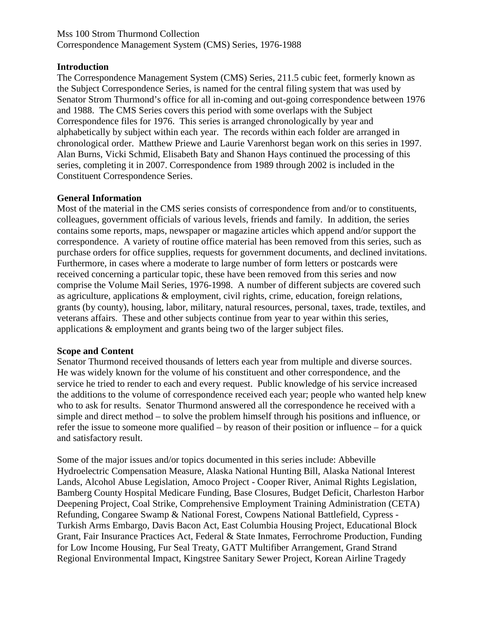#### Mss 100 Strom Thurmond Collection Correspondence Management System (CMS) Series, 1976-1988

#### **Introduction**

The Correspondence Management System (CMS) Series, 211.5 cubic feet, formerly known as the Subject Correspondence Series, is named for the central filing system that was used by Senator Strom Thurmond's office for all in-coming and out-going correspondence between 1976 and 1988. The CMS Series covers this period with some overlaps with the Subject Correspondence files for 1976. This series is arranged chronologically by year and alphabetically by subject within each year. The records within each folder are arranged in chronological order. Matthew Priewe and Laurie Varenhorst began work on this series in 1997. Alan Burns, Vicki Schmid, Elisabeth Baty and Shanon Hays continued the processing of this series, completing it in 2007. Correspondence from 1989 through 2002 is included in the Constituent Correspondence Series.

#### **General Information**

Most of the material in the CMS series consists of correspondence from and/or to constituents, colleagues, government officials of various levels, friends and family. In addition, the series contains some reports, maps, newspaper or magazine articles which append and/or support the correspondence. A variety of routine office material has been removed from this series, such as purchase orders for office supplies, requests for government documents, and declined invitations. Furthermore, in cases where a moderate to large number of form letters or postcards were received concerning a particular topic, these have been removed from this series and now comprise the Volume Mail Series, 1976-1998. A number of different subjects are covered such as agriculture, applications & employment, civil rights, crime, education, foreign relations, grants (by county), housing, labor, military, natural resources, personal, taxes, trade, textiles, and veterans affairs. These and other subjects continue from year to year within this series, applications & employment and grants being two of the larger subject files.

#### **Scope and Content**

Senator Thurmond received thousands of letters each year from multiple and diverse sources. He was widely known for the volume of his constituent and other correspondence, and the service he tried to render to each and every request. Public knowledge of his service increased the additions to the volume of correspondence received each year; people who wanted help knew who to ask for results. Senator Thurmond answered all the correspondence he received with a simple and direct method – to solve the problem himself through his positions and influence, or refer the issue to someone more qualified – by reason of their position or influence – for a quick and satisfactory result.

Some of the major issues and/or topics documented in this series include: Abbeville Hydroelectric Compensation Measure, Alaska National Hunting Bill, Alaska National Interest Lands, Alcohol Abuse Legislation, Amoco Project - Cooper River, Animal Rights Legislation, Bamberg County Hospital Medicare Funding, Base Closures, Budget Deficit, Charleston Harbor Deepening Project, Coal Strike, Comprehensive Employment Training Administration (CETA) Refunding, Congaree Swamp & National Forest, Cowpens National Battlefield, Cypress - Turkish Arms Embargo, Davis Bacon Act, East Columbia Housing Project, Educational Block Grant, Fair Insurance Practices Act, Federal & State Inmates, Ferrochrome Production, Funding for Low Income Housing, Fur Seal Treaty, GATT Multifiber Arrangement, Grand Strand Regional Environmental Impact, Kingstree Sanitary Sewer Project, Korean Airline Tragedy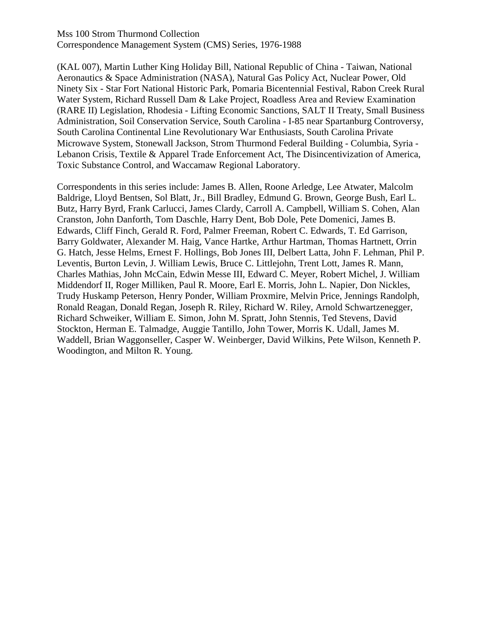Mss 100 Strom Thurmond Collection Correspondence Management System (CMS) Series, 1976-1988

(KAL 007), Martin Luther King Holiday Bill, National Republic of China - Taiwan, National Aeronautics & Space Administration (NASA), Natural Gas Policy Act, Nuclear Power, Old Ninety Six - Star Fort National Historic Park, Pomaria Bicentennial Festival, Rabon Creek Rural Water System, Richard Russell Dam & Lake Project, Roadless Area and Review Examination (RARE II) Legislation, Rhodesia - Lifting Economic Sanctions, SALT II Treaty, Small Business Administration, Soil Conservation Service, South Carolina - I-85 near Spartanburg Controversy, South Carolina Continental Line Revolutionary War Enthusiasts, South Carolina Private Microwave System, Stonewall Jackson, Strom Thurmond Federal Building - Columbia, Syria - Lebanon Crisis, Textile & Apparel Trade Enforcement Act, The Disincentivization of America, Toxic Substance Control, and Waccamaw Regional Laboratory.

Correspondents in this series include: James B. Allen, Roone Arledge, Lee Atwater, Malcolm Baldrige, Lloyd Bentsen, Sol Blatt, Jr., Bill Bradley, Edmund G. Brown, George Bush, Earl L. Butz, Harry Byrd, Frank Carlucci, James Clardy, Carroll A. Campbell, William S. Cohen, Alan Cranston, John Danforth, Tom Daschle, Harry Dent, Bob Dole, Pete Domenici, James B. Edwards, Cliff Finch, Gerald R. Ford, Palmer Freeman, Robert C. Edwards, T. Ed Garrison, Barry Goldwater, Alexander M. Haig, Vance Hartke, Arthur Hartman, Thomas Hartnett, Orrin G. Hatch, Jesse Helms, Ernest F. Hollings, Bob Jones III, Delbert Latta, John F. Lehman, Phil P. Leventis, Burton Levin, J. William Lewis, Bruce C. Littlejohn, Trent Lott, James R. Mann, Charles Mathias, John McCain, Edwin Messe III, Edward C. Meyer, Robert Michel, J. William Middendorf II, Roger Milliken, Paul R. Moore, Earl E. Morris, John L. Napier, Don Nickles, Trudy Huskamp Peterson, Henry Ponder, William Proxmire, Melvin Price, Jennings Randolph, Ronald Reagan, Donald Regan, Joseph R. Riley, Richard W. Riley, Arnold Schwartzenegger, Richard Schweiker, William E. Simon, John M. Spratt, John Stennis, Ted Stevens, David Stockton, Herman E. Talmadge, Auggie Tantillo, John Tower, Morris K. Udall, James M. Waddell, Brian Waggonseller, Casper W. Weinberger, David Wilkins, Pete Wilson, Kenneth P. Woodington, and Milton R. Young.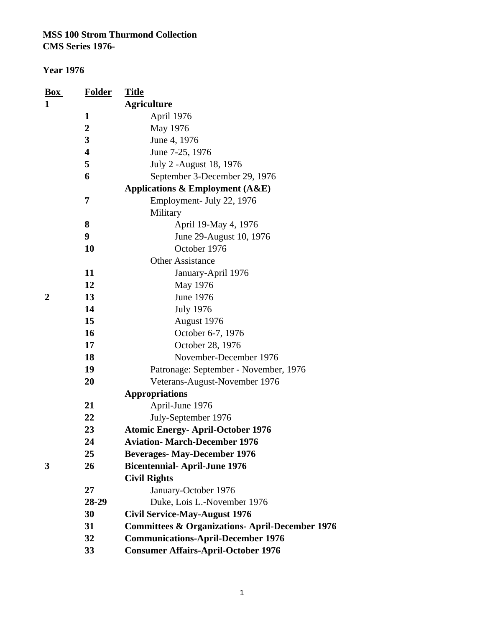| Box | <b>Folder</b> | <u>Title</u>                                               |
|-----|---------------|------------------------------------------------------------|
| 1   |               | <b>Agriculture</b>                                         |
|     | 1             | April 1976                                                 |
|     | 2             | May 1976                                                   |
|     | 3             | June 4, 1976                                               |
|     | 4             | June 7-25, 1976                                            |
|     | 5             | July 2 - August 18, 1976                                   |
|     | 6             | September 3-December 29, 1976                              |
|     |               | Applications $\&$ Employment (A&E)                         |
|     | 7             | Employment- July 22, 1976                                  |
|     |               | Military                                                   |
|     | 8             | April 19-May 4, 1976                                       |
|     | 9             | June 29-August 10, 1976                                    |
|     | 10            | October 1976                                               |
|     |               | <b>Other Assistance</b>                                    |
|     | 11            | January-April 1976                                         |
|     | 12            | May 1976                                                   |
| 2   | 13            | <b>June 1976</b>                                           |
|     | 14            | <b>July 1976</b>                                           |
|     | 15            | August 1976                                                |
|     | 16            | October 6-7, 1976                                          |
|     | 17            | October 28, 1976                                           |
|     | 18            | November-December 1976                                     |
|     | 19            | Patronage: September - November, 1976                      |
|     | 20            | Veterans-August-November 1976                              |
|     |               | <b>Appropriations</b>                                      |
|     | 21            | April-June 1976                                            |
|     | 22            | July-September 1976                                        |
|     | 23            | <b>Atomic Energy- April-October 1976</b>                   |
|     | 24            | <b>Aviation- March-December 1976</b>                       |
|     | 25            | <b>Beverages-May-December 1976</b>                         |
| 3   | 26            | <b>Bicentennial-April-June 1976</b>                        |
|     |               | <b>Civil Rights</b>                                        |
|     | 27            | January-October 1976                                       |
|     | 28-29         | Duke, Lois L.-November 1976                                |
|     | 30            | <b>Civil Service-May-August 1976</b>                       |
|     | 31            | <b>Committees &amp; Organizations- April-December 1976</b> |
|     | 32            | <b>Communications-April-December 1976</b>                  |
|     | 33            | <b>Consumer Affairs-April-October 1976</b>                 |
|     |               |                                                            |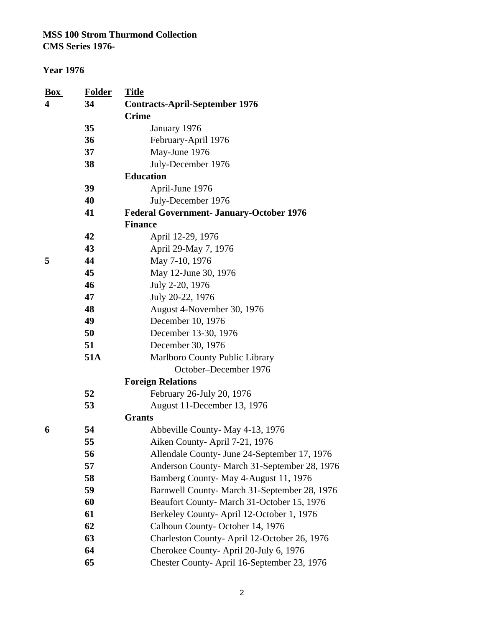| <u>Box</u> | <b>Folder</b> | <b>Title</b>                                    |
|------------|---------------|-------------------------------------------------|
| 4          | 34            | <b>Contracts-April-September 1976</b>           |
|            |               | <b>Crime</b>                                    |
|            | 35            | January 1976                                    |
|            | 36            | February-April 1976                             |
|            | 37            | May-June 1976                                   |
|            | 38            | July-December 1976                              |
|            |               | <b>Education</b>                                |
|            | 39            | April-June 1976                                 |
|            | 40            | July-December 1976                              |
|            | 41            | <b>Federal Government- January-October 1976</b> |
|            |               | <b>Finance</b>                                  |
|            | 42            | April 12-29, 1976                               |
|            | 43            | April 29-May 7, 1976                            |
| 5          | 44            | May 7-10, 1976                                  |
|            | 45            | May 12-June 30, 1976                            |
|            | 46            | July 2-20, 1976                                 |
|            | 47            | July 20-22, 1976                                |
|            | 48            | August 4-November 30, 1976                      |
|            | 49            | December 10, 1976                               |
|            | 50            | December 13-30, 1976                            |
|            | 51            | December 30, 1976                               |
|            | 51A           | Marlboro County Public Library                  |
|            |               | October-December 1976                           |
|            |               | <b>Foreign Relations</b>                        |
|            | 52            | February 26-July 20, 1976                       |
|            | 53            | August 11-December 13, 1976                     |
|            |               | <b>Grants</b>                                   |
| 6          | 54            | Abbeville County-May 4-13, 1976                 |
|            | 55            | Aiken County-April 7-21, 1976                   |
|            | 56            | Allendale County- June 24-September 17, 1976    |
|            | 57            | Anderson County- March 31-September 28, 1976    |
|            | 58            | Bamberg County-May 4-August 11, 1976            |
|            | 59            | Barnwell County- March 31-September 28, 1976    |
|            | 60            | Beaufort County- March 31-October 15, 1976      |
|            | 61            | Berkeley County-April 12-October 1, 1976        |
|            | 62            | Calhoun County-October 14, 1976                 |
|            | 63            | Charleston County-April 12-October 26, 1976     |
|            | 64            | Cherokee County-April 20-July 6, 1976           |
|            | 65            | Chester County- April 16-September 23, 1976     |

|        | ۰. | ۰,<br>۰.<br>۰. |  |
|--------|----|----------------|--|
| $\sim$ |    |                |  |
|        |    |                |  |
|        |    |                |  |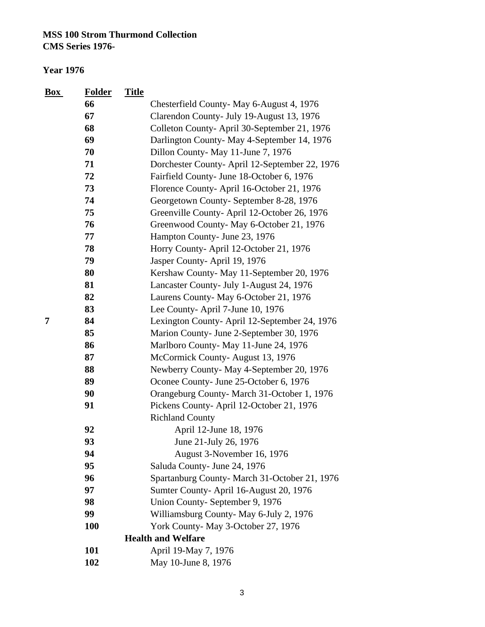| <b>Box</b> | <b>Folder</b> | <b>Title</b> |                                                |
|------------|---------------|--------------|------------------------------------------------|
|            | 66            |              | Chesterfield County-May 6-August 4, 1976       |
|            | 67            |              | Clarendon County- July 19-August 13, 1976      |
|            | 68            |              | Colleton County-April 30-September 21, 1976    |
|            | 69            |              | Darlington County-May 4-September 14, 1976     |
|            | 70            |              | Dillon County-May 11-June 7, 1976              |
|            | 71            |              | Dorchester County- April 12-September 22, 1976 |
|            | 72            |              | Fairfield County- June 18-October 6, 1976      |
|            | 73            |              | Florence County-April 16-October 21, 1976      |
|            | 74            |              | Georgetown County- September 8-28, 1976        |
|            | 75            |              | Greenville County- April 12-October 26, 1976   |
|            | 76            |              | Greenwood County-May 6-October 21, 1976        |
|            | 77            |              | Hampton County- June 23, 1976                  |
|            | 78            |              | Horry County-April 12-October 21, 1976         |
|            | 79            |              | Jasper County-April 19, 1976                   |
|            | 80            |              | Kershaw County-May 11-September 20, 1976       |
|            | 81            |              | Lancaster County- July 1-August 24, 1976       |
|            | 82            |              | Laurens County-May 6-October 21, 1976          |
|            | 83            |              | Lee County-April 7-June 10, 1976               |
| 7          | 84            |              | Lexington County-April 12-September 24, 1976   |
|            | 85            |              | Marion County- June 2-September 30, 1976       |
|            | 86            |              | Marlboro County- May 11-June 24, 1976          |
|            | 87            |              | McCormick County-August 13, 1976               |
|            | 88            |              | Newberry County-May 4-September 20, 1976       |
|            | 89            |              | Oconee County- June 25-October 6, 1976         |
|            | 90            |              | Orangeburg County-March 31-October 1, 1976     |
|            | 91            |              | Pickens County-April 12-October 21, 1976       |
|            |               |              | <b>Richland County</b>                         |
|            | 92            |              | April 12-June 18, 1976                         |
|            | 93            |              | June 21-July 26, 1976                          |
|            | 94            |              | August 3-November 16, 1976                     |
|            | 95            |              | Saluda County- June 24, 1976                   |
|            | 96            |              | Spartanburg County-March 31-October 21, 1976   |
|            | 97            |              | Sumter County- April 16-August 20, 1976        |
|            | 98            |              | Union County-September 9, 1976                 |
|            | 99            |              | Williamsburg County- May 6-July 2, 1976        |
|            | <b>100</b>    |              | York County- May 3-October 27, 1976            |
|            |               |              | <b>Health and Welfare</b>                      |
|            | 101           |              | April 19-May 7, 1976                           |
|            | 102           |              | May 10-June 8, 1976                            |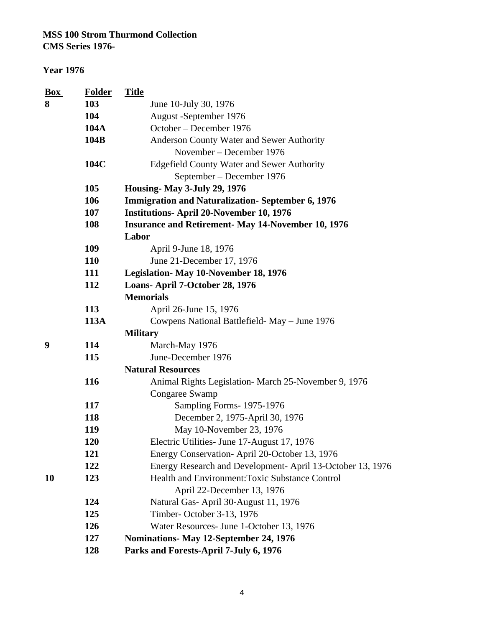#### **Year 1976**

| <b>Box</b> | <b>Folder</b> | <b>Title</b>                                              |
|------------|---------------|-----------------------------------------------------------|
| 8          | 103           | June 10-July 30, 1976                                     |
|            | 104           | August -September 1976                                    |
|            | <b>104A</b>   | October – December 1976                                   |
|            | 104B          | Anderson County Water and Sewer Authority                 |
|            |               | November – December 1976                                  |
|            | 104C          | <b>Edgefield County Water and Sewer Authority</b>         |
|            |               | September – December 1976                                 |
|            | 105           | <b>Housing-May 3-July 29, 1976</b>                        |
|            | 106           | <b>Immigration and Naturalization-September 6, 1976</b>   |
|            | 107           | <b>Institutions-April 20-November 10, 1976</b>            |
|            | 108           | <b>Insurance and Retirement- May 14-November 10, 1976</b> |
|            |               | Labor                                                     |
|            | 109           | April 9-June 18, 1976                                     |
|            | 110           | June 21-December 17, 1976                                 |
|            | 111           | Legislation-May 10-November 18, 1976                      |
|            | 112           | Loans-April 7-October 28, 1976                            |
|            |               | <b>Memorials</b>                                          |
|            | 113           | April 26-June 15, 1976                                    |
|            | 113A          | Cowpens National Battlefield- May – June 1976             |
|            |               | <b>Military</b>                                           |
| 9          | 114           | March-May 1976                                            |
|            | 115           | June-December 1976                                        |
|            |               | <b>Natural Resources</b>                                  |
|            | 116           | Animal Rights Legislation- March 25-November 9, 1976      |
|            |               | Congaree Swamp                                            |
|            | 117           | Sampling Forms-1975-1976                                  |
|            | 118           | December 2, 1975-April 30, 1976                           |
|            | 119           | May 10-November 23, 1976                                  |
|            | <b>120</b>    | Electric Utilities - June 17-August 17, 1976              |
|            | 121           | Energy Conservation-April 20-October 13, 1976             |
|            | 122           | Energy Research and Development-April 13-October 13, 1976 |
| <b>10</b>  | 123           | Health and Environment: Toxic Substance Control           |
|            |               | April 22-December 13, 1976                                |
|            | 124           | Natural Gas-April 30-August 11, 1976                      |
|            | 125           | Timber-October 3-13, 1976                                 |
|            | 126           | Water Resources- June 1-October 13, 1976                  |
|            | 127           | Nominations- May 12-September 24, 1976                    |
|            | 128           | Parks and Forests-April 7-July 6, 1976                    |
|            |               |                                                           |

4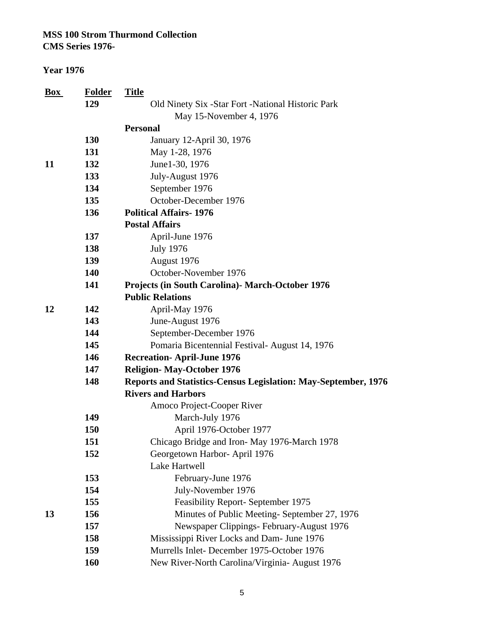**CMS Series 1976-**

| <b>Box</b> | <b>Folder</b> | <b>Title</b>                                                          |
|------------|---------------|-----------------------------------------------------------------------|
|            | 129           | Old Ninety Six -Star Fort -National Historic Park                     |
|            |               | May 15-November 4, 1976                                               |
|            |               | <b>Personal</b>                                                       |
|            | 130           | January 12-April 30, 1976                                             |
|            | 131           | May 1-28, 1976                                                        |
| 11         | 132           | June1-30, 1976                                                        |
|            | 133           | July-August 1976                                                      |
|            | 134           | September 1976                                                        |
|            | 135           | October-December 1976                                                 |
|            | 136           | <b>Political Affairs-1976</b>                                         |
|            |               | <b>Postal Affairs</b>                                                 |
|            | 137           | April-June 1976                                                       |
|            | 138           | <b>July 1976</b>                                                      |
|            | 139           | August 1976                                                           |
|            | 140           | October-November 1976                                                 |
|            | 141           | <b>Projects (in South Carolina) - March-October 1976</b>              |
|            |               | <b>Public Relations</b>                                               |
| 12         | 142           | April-May 1976                                                        |
|            | 143           | June-August 1976                                                      |
|            | 144           | September-December 1976                                               |
|            | 145           | Pomaria Bicentennial Festival-August 14, 1976                         |
|            | 146           | <b>Recreation-April-June 1976</b>                                     |
|            | 147           | <b>Religion-May-October 1976</b>                                      |
|            | 148           | <b>Reports and Statistics-Census Legislation: May-September, 1976</b> |
|            |               | <b>Rivers and Harbors</b>                                             |
|            |               | Amoco Project-Cooper River                                            |
|            | 149           | March-July 1976                                                       |
|            | 150           | April 1976-October 1977                                               |
|            | 151           | Chicago Bridge and Iron-May 1976-March 1978                           |
|            | 152           | Georgetown Harbor- April 1976                                         |
|            |               | Lake Hartwell                                                         |
|            | 153           | February-June 1976                                                    |
|            | 154           | July-November 1976                                                    |
|            | 155           | Feasibility Report- September 1975                                    |
| 13         | 156           | Minutes of Public Meeting-September 27, 1976                          |
|            | 157           | Newspaper Clippings- February-August 1976                             |
|            | 158           | Mississippi River Locks and Dam- June 1976                            |
|            | 159           | Murrells Inlet-December 1975-October 1976                             |
|            | 160           | New River-North Carolina/Virginia- August 1976                        |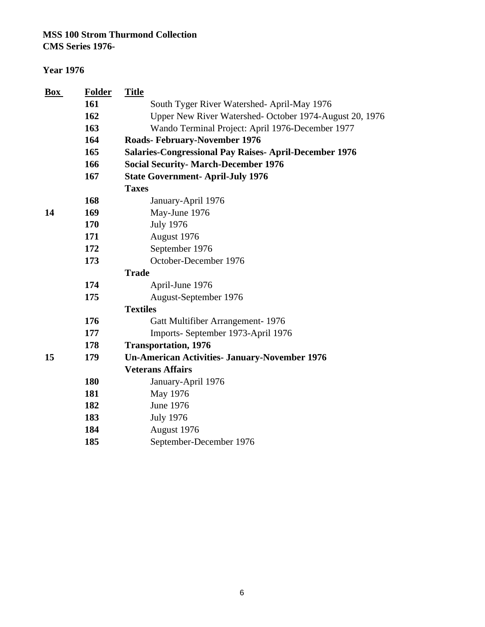**CMS Series 1976-**

| <b>Box</b> | <b>Folder</b> | <b>Title</b>                                                 |
|------------|---------------|--------------------------------------------------------------|
|            | 161           | South Tyger River Watershed- April-May 1976                  |
|            | 162           | Upper New River Watershed- October 1974-August 20, 1976      |
|            | 163           | Wando Terminal Project: April 1976-December 1977             |
|            | 164           | <b>Roads-February-November 1976</b>                          |
|            | 165           | <b>Salaries-Congressional Pay Raises-April-December 1976</b> |
|            | 166           | <b>Social Security- March-December 1976</b>                  |
|            | 167           | <b>State Government-April-July 1976</b>                      |
|            |               | <b>Taxes</b>                                                 |
|            | 168           | January-April 1976                                           |
| 14         | 169           | May-June 1976                                                |
|            | 170           | <b>July 1976</b>                                             |
|            | 171           | August 1976                                                  |
|            | 172           | September 1976                                               |
|            | 173           | October-December 1976                                        |
|            |               | <b>Trade</b>                                                 |
|            | 174           | April-June 1976                                              |
|            | 175           | August-September 1976                                        |
|            |               | <b>Textiles</b>                                              |
|            | 176           | Gatt Multifiber Arrangement-1976                             |
|            | 177           | Imports-September 1973-April 1976                            |
|            | 178           | <b>Transportation, 1976</b>                                  |
| 15         | 179           | <b>Un-American Activities- January-November 1976</b>         |
|            |               | <b>Veterans Affairs</b>                                      |
|            | 180           | January-April 1976                                           |
|            | 181           | May 1976                                                     |
|            | 182           | June 1976                                                    |
|            | 183           | <b>July 1976</b>                                             |
|            | 184           | August 1976                                                  |
|            | 185           | September-December 1976                                      |
|            |               |                                                              |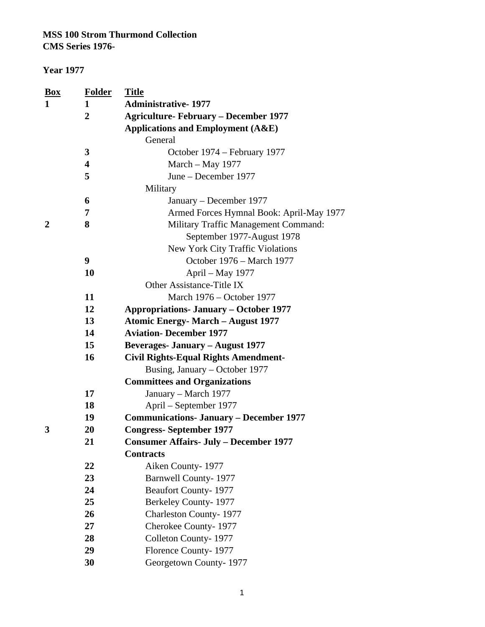#### **Year 1977**

| <b>Box</b>  | <b>Folder</b>           | <b>Title</b>                                   |
|-------------|-------------------------|------------------------------------------------|
| 1           | 1                       | <b>Administrative-1977</b>                     |
|             | $\overline{2}$          | <b>Agriculture-February – December 1977</b>    |
|             |                         | <b>Applications and Employment (A&amp;E)</b>   |
|             |                         | General                                        |
|             | 3                       | October 1974 – February 1977                   |
|             | $\overline{\mathbf{4}}$ | March - May 1977                               |
|             | 5                       | June – December 1977                           |
|             |                         | Military                                       |
|             | 6                       | January – December 1977                        |
|             | 7                       | Armed Forces Hymnal Book: April-May 1977       |
| $\mathbf 2$ | 8                       | Military Traffic Management Command:           |
|             |                         | September 1977-August 1978                     |
|             |                         | New York City Traffic Violations               |
|             | 9                       | October 1976 – March 1977                      |
|             | 10                      | April – May 1977                               |
|             |                         | Other Assistance-Title IX                      |
|             | 11                      | March 1976 – October 1977                      |
|             | 12                      | <b>Appropriations- January - October 1977</b>  |
|             | 13                      | <b>Atomic Energy- March - August 1977</b>      |
|             | 14                      | <b>Aviation-December 1977</b>                  |
|             | 15                      | <b>Beverages- January - August 1977</b>        |
|             | 16                      | <b>Civil Rights-Equal Rights Amendment-</b>    |
|             |                         | Busing, January – October 1977                 |
|             |                         | <b>Committees and Organizations</b>            |
|             | 17                      | January – March 1977                           |
|             | 18                      | April – September 1977                         |
|             | 19                      | <b>Communications- January – December 1977</b> |
| 3           | 20                      | <b>Congress-September 1977</b>                 |
|             | 21                      | <b>Consumer Affairs- July - December 1977</b>  |
|             |                         | <b>Contracts</b>                               |
|             | 22                      | Aiken County-1977                              |
|             | 23                      | <b>Barnwell County-1977</b>                    |
|             | 24                      | <b>Beaufort County-1977</b>                    |
|             | 25                      | Berkeley County-1977                           |
|             | 26                      | <b>Charleston County-1977</b>                  |
|             | 27                      | Cherokee County-1977                           |
|             | 28                      | Colleton County-1977                           |
|             | 29                      | Florence County-1977                           |
|             | 30                      | Georgetown County-1977                         |
|             |                         |                                                |

1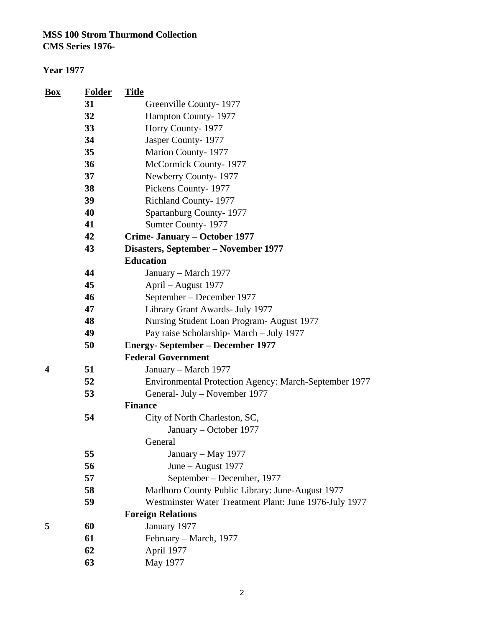| Box | <b>Folder</b> | <b>Title</b>                                           |
|-----|---------------|--------------------------------------------------------|
|     | 31            | Greenville County-1977                                 |
|     | 32            | Hampton County-1977                                    |
|     | 33            | Horry County-1977                                      |
|     | 34            | Jasper County-1977                                     |
|     | 35            | Marion County-1977                                     |
|     | 36            | McCormick County-1977                                  |
|     | 37            | Newberry County-1977                                   |
|     | 38            | Pickens County-1977                                    |
|     | 39            | Richland County-1977                                   |
|     | 40            | Spartanburg County-1977                                |
|     | 41            | Sumter County-1977                                     |
|     | 42            | Crime- January – October 1977                          |
|     | 43            | Disasters, September - November 1977                   |
|     |               | <b>Education</b>                                       |
|     | 44            | January – March 1977                                   |
|     | 45            | April – August 1977                                    |
|     | 46            | September – December 1977                              |
|     | 47            | Library Grant Awards- July 1977                        |
|     | 48            | Nursing Student Loan Program-August 1977               |
|     | 49            | Pay raise Scholarship-March - July 1977                |
|     | 50            | <b>Energy-September – December 1977</b>                |
|     |               | <b>Federal Government</b>                              |
| 4   | 51            | January – March 1977                                   |
|     | 52            | Environmental Protection Agency: March-September 1977  |
|     | 53            | General- July – November 1977                          |
|     |               | <b>Finance</b>                                         |
|     | 54            | City of North Charleston, SC,                          |
|     |               | January – October 1977                                 |
|     |               | General                                                |
|     | 55            | January – May 1977                                     |
|     | 56            | June - August 1977                                     |
|     | 57            | September – December, 1977                             |
|     | 58            | Marlboro County Public Library: June-August 1977       |
|     | 59            | Westminster Water Treatment Plant: June 1976-July 1977 |
|     |               | <b>Foreign Relations</b>                               |
| 5   | 60            | January 1977                                           |
|     | 61            | February – March, 1977                                 |
|     | 62            | April 1977                                             |
|     | 63            | May 1977                                               |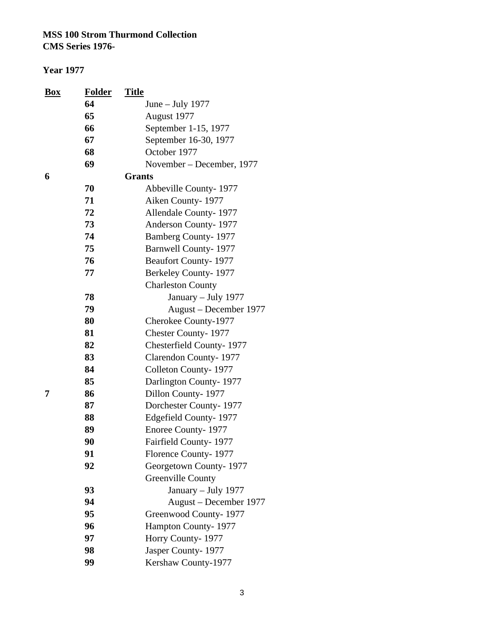| <b>Box</b> | <b>Folder</b> | <u>Title</u>                |
|------------|---------------|-----------------------------|
|            | 64            | June $-$ July 1977          |
|            | 65            | August 1977                 |
|            | 66            | September 1-15, 1977        |
|            | 67            | September 16-30, 1977       |
|            | 68            | October 1977                |
|            | 69            | November – December, 1977   |
| 6          |               | <b>Grants</b>               |
|            | 70            | Abbeville County-1977       |
|            | 71            | Aiken County-1977           |
|            | 72            | Allendale County-1977       |
|            | 73            | Anderson County-1977        |
|            | 74            | <b>Bamberg County-1977</b>  |
|            | 75            | <b>Barnwell County-1977</b> |
|            | 76            | <b>Beaufort County-1977</b> |
|            | 77            | Berkeley County-1977        |
|            |               | <b>Charleston County</b>    |
|            | 78            | January - July 1977         |
|            | 79            | August - December 1977      |
|            | 80            | Cherokee County-1977        |
|            | 81            | <b>Chester County-1977</b>  |
|            | 82            | Chesterfield County-1977    |
|            | 83            | Clarendon County-1977       |
|            | 84            | Colleton County-1977        |
|            | 85            | Darlington County-1977      |
| 7          | 86            | Dillon County-1977          |
|            | 87            | Dorchester County-1977      |
|            | 88            | Edgefield County-1977       |
|            | 89            | Enoree County-1977          |
|            | 90            | Fairfield County-1977       |
|            | 91            | Florence County-1977        |
|            | 92            | Georgetown County-1977      |
|            |               | Greenville County           |
|            | 93            | January - July 1977         |
|            | 94            | August – December 1977      |
|            | 95            | Greenwood County-1977       |
|            | 96            | Hampton County-1977         |
|            | 97            | Horry County-1977           |
|            | 98            | Jasper County-1977          |
|            | 99            | Kershaw County-1977         |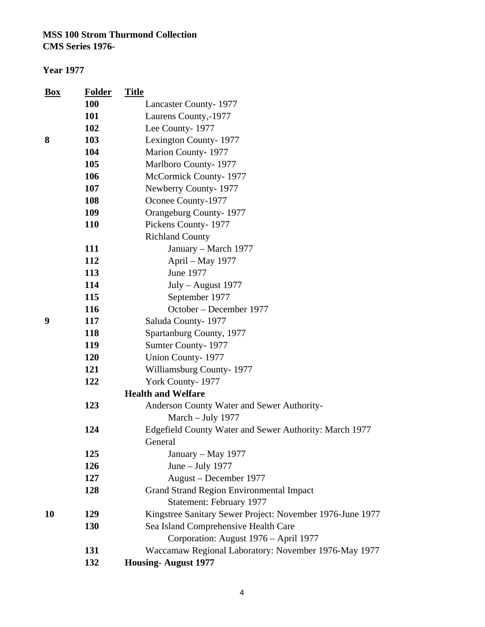**Year 1977**

| <u>Box</u> | <b>Folder</b> | <b>Title</b>                                              |
|------------|---------------|-----------------------------------------------------------|
|            | <b>100</b>    | <b>Lancaster County-1977</b>                              |
|            | 101           | Laurens County,-1977                                      |
|            | 102           | Lee County-1977                                           |
| 8          | 103           | Lexington County-1977                                     |
|            | 104           | Marion County-1977                                        |
|            | 105           | Marlboro County-1977                                      |
|            | 106           | McCormick County-1977                                     |
|            | 107           | Newberry County-1977                                      |
|            | 108           | Oconee County-1977                                        |
|            | 109           | Orangeburg County-1977                                    |
|            | 110           | Pickens County-1977                                       |
|            |               | <b>Richland County</b>                                    |
|            | 111           | January - March 1977                                      |
|            | 112           | April - May 1977                                          |
|            | 113           | June 1977                                                 |
|            | 114           | July - August 1977                                        |
|            | 115           | September 1977                                            |
|            | 116           | October - December 1977                                   |
| 9          | 117           | Saluda County-1977                                        |
|            | 118           | Spartanburg County, 1977                                  |
|            | 119           | Sumter County-1977                                        |
|            | 120           | <b>Union County-1977</b>                                  |
|            | 121           | Williamsburg County-1977                                  |
|            | 122           | York County-1977                                          |
|            |               | <b>Health and Welfare</b>                                 |
|            | 123           | Anderson County Water and Sewer Authority-                |
|            |               | March - July 1977                                         |
|            | 124           | Edgefield County Water and Sewer Authority: March 1977    |
|            |               | General                                                   |
|            | 125           | January – May 1977                                        |
|            | 126           | June $-$ July 1977                                        |
|            | 127           | August – December 1977                                    |
|            | 128           | <b>Grand Strand Region Environmental Impact</b>           |
|            |               | Statement: February 1977                                  |
| 10         | 129           | Kingstree Sanitary Sewer Project: November 1976-June 1977 |
|            | 130           | Sea Island Comprehensive Health Care                      |
|            |               | Corporation: August 1976 - April 1977                     |
|            | 131           | Waccamaw Regional Laboratory: November 1976-May 1977      |
|            | 132           | <b>Housing-August 1977</b>                                |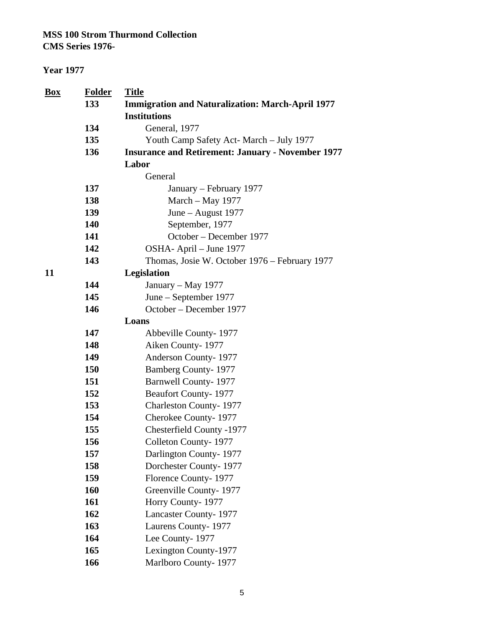| $\underline{Box}$ | <b>Folder</b><br>133 | <b>Title</b>                                                                   |
|-------------------|----------------------|--------------------------------------------------------------------------------|
|                   |                      | <b>Immigration and Naturalization: March-April 1977</b><br><b>Institutions</b> |
|                   | 134                  | General, 1977                                                                  |
|                   | 135                  | Youth Camp Safety Act- March - July 1977                                       |
|                   | 136                  | <b>Insurance and Retirement: January - November 1977</b>                       |
|                   |                      | Labor                                                                          |
|                   |                      | General                                                                        |
|                   | 137                  | January – February 1977                                                        |
|                   | 138                  | March - May 1977                                                               |
|                   | 139                  | June - August 1977                                                             |
|                   | 140                  | September, 1977                                                                |
|                   | 141                  | October – December 1977                                                        |
|                   | 142                  | OSHA-April – June 1977                                                         |
|                   | 143                  | Thomas, Josie W. October 1976 – February 1977                                  |
| 11                |                      | Legislation                                                                    |
|                   | 144                  | January – May 1977                                                             |
|                   | 145                  | June – September 1977                                                          |
|                   | 146                  | October – December 1977                                                        |
|                   |                      | Loans                                                                          |
|                   | 147                  | Abbeville County-1977                                                          |
|                   | 148                  | Aiken County-1977                                                              |
|                   | 149                  | Anderson County-1977                                                           |
|                   | 150                  | <b>Bamberg County-1977</b>                                                     |
|                   | 151                  | <b>Barnwell County-1977</b>                                                    |
|                   | 152                  | <b>Beaufort County-1977</b>                                                    |
|                   | 153                  | <b>Charleston County-1977</b>                                                  |
|                   | 154                  | Cherokee County-1977                                                           |
|                   | 155                  | Chesterfield County -1977                                                      |
|                   | 156                  | Colleton County-1977                                                           |
|                   | 157                  | Darlington County-1977                                                         |
|                   | 158                  | Dorchester County-1977                                                         |
|                   | 159                  | Florence County-1977                                                           |
|                   | 160                  | Greenville County-1977                                                         |
|                   | 161                  | Horry County-1977                                                              |
|                   | 162                  | Lancaster County-1977                                                          |
|                   | 163                  | Laurens County-1977                                                            |
|                   | 164                  | Lee County-1977                                                                |
|                   | 165                  | Lexington County-1977                                                          |
|                   | 166                  | Marlboro County-1977                                                           |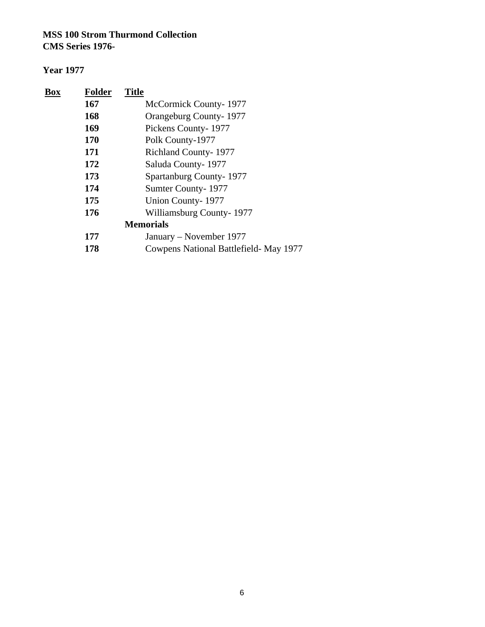| Box | <b>Folder</b> | <b>Title</b>                           |
|-----|---------------|----------------------------------------|
|     | 167           | McCormick County-1977                  |
|     | 168           | Orangeburg County-1977                 |
|     | 169           | Pickens County-1977                    |
|     | <b>170</b>    | Polk County-1977                       |
|     | 171           | <b>Richland County-1977</b>            |
|     | 172           | Saluda County-1977                     |
|     | 173           | Spartanburg County-1977                |
|     | 174           | Sumter County-1977                     |
|     | 175           | Union County-1977                      |
|     | 176           | Williamsburg County-1977               |
|     |               | <b>Memorials</b>                       |
|     | 177           | January – November 1977                |
|     | 178           | Cowpens National Battlefield- May 1977 |
|     |               |                                        |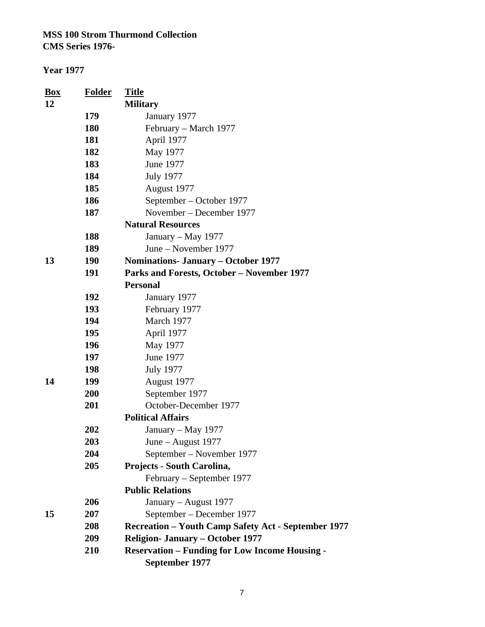| <b>Box</b> | <b>Folder</b> | <b>Title</b>                                               |
|------------|---------------|------------------------------------------------------------|
| 12         |               | <b>Military</b>                                            |
|            | 179           | January 1977                                               |
|            | <b>180</b>    | February – March 1977                                      |
|            | 181           | April 1977                                                 |
|            | 182           | May 1977                                                   |
|            | 183           | June 1977                                                  |
|            | 184           | <b>July 1977</b>                                           |
|            | 185           | August 1977                                                |
|            | 186           | September – October 1977                                   |
|            | 187           | November – December 1977                                   |
|            |               | <b>Natural Resources</b>                                   |
|            | 188           | January – May 1977                                         |
|            | 189           | June – November 1977                                       |
| 13         | <b>190</b>    | <b>Nominations- January – October 1977</b>                 |
|            | 191           | Parks and Forests, October - November 1977                 |
|            |               | <b>Personal</b>                                            |
|            | 192           | January 1977                                               |
|            | 193           | February 1977                                              |
|            | 194           | March 1977                                                 |
|            | 195           | April 1977                                                 |
|            | 196           | May 1977                                                   |
|            | 197           | June 1977                                                  |
|            | 198           | <b>July 1977</b>                                           |
| 14         | 199           | August 1977                                                |
|            | 200           | September 1977                                             |
|            | 201           | October-December 1977                                      |
|            |               | <b>Political Affairs</b>                                   |
|            | 202           | January - May 1977                                         |
|            | 203           | June – August 1977                                         |
|            | 204           | September - November 1977                                  |
|            | 205           | Projects - South Carolina,                                 |
|            |               | February – September 1977                                  |
|            |               | <b>Public Relations</b>                                    |
|            | 206           | January - August 1977                                      |
| 15         | 207           | September – December 1977                                  |
|            | 208           | <b>Recreation – Youth Camp Safety Act - September 1977</b> |
|            | 209           | <b>Religion- January – October 1977</b>                    |
|            | 210           | <b>Reservation - Funding for Low Income Housing -</b>      |
|            |               | September 1977                                             |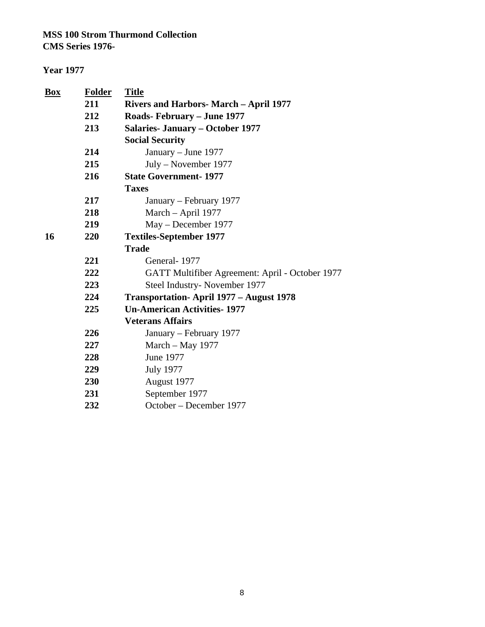| <b>Box</b> | <b>Folder</b> | <b>Title</b>                                    |  |
|------------|---------------|-------------------------------------------------|--|
|            | 211           | <b>Rivers and Harbors- March - April 1977</b>   |  |
|            | 212           | <b>Roads-February - June 1977</b>               |  |
|            | 213           | <b>Salaries- January – October 1977</b>         |  |
|            |               | <b>Social Security</b>                          |  |
|            | 214           | January – June 1977                             |  |
|            | 215           | July – November 1977                            |  |
|            | 216           | <b>State Government-1977</b>                    |  |
|            |               | <b>Taxes</b>                                    |  |
|            | 217           | January – February 1977                         |  |
|            | 218           | March - April 1977                              |  |
|            | 219           | May - December 1977                             |  |
| 16         | 220           | <b>Textiles-September 1977</b>                  |  |
|            |               | <b>Trade</b>                                    |  |
|            | 221           | General-1977                                    |  |
|            | 222           | GATT Multifiber Agreement: April - October 1977 |  |
|            | 223           | Steel Industry-November 1977                    |  |
|            | 224           | <b>Transportation-April 1977 – August 1978</b>  |  |
|            | 225           | <b>Un-American Activities-1977</b>              |  |
|            |               | <b>Veterans Affairs</b>                         |  |
|            | 226           | January – February 1977                         |  |
|            | 227           | March - May 1977                                |  |
|            | 228           | <b>June 1977</b>                                |  |
|            | 229           | <b>July 1977</b>                                |  |
|            | 230           | August 1977                                     |  |
|            | 231           | September 1977                                  |  |
|            | 232           | October – December 1977                         |  |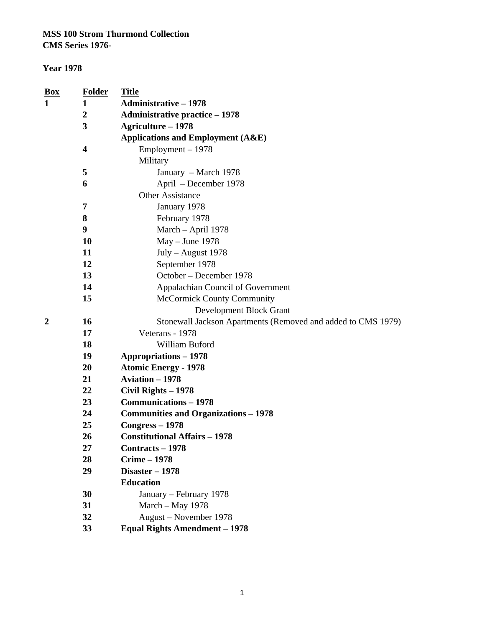#### **Year 1978**

| <u>Box</u> | <b>Folder</b>           | <b>Title</b>                                                 |  |  |  |
|------------|-------------------------|--------------------------------------------------------------|--|--|--|
| 1          | 1                       | <b>Administrative - 1978</b>                                 |  |  |  |
|            | $\boldsymbol{2}$        | <b>Administrative practice - 1978</b>                        |  |  |  |
|            | 3                       | <b>Agriculture - 1978</b>                                    |  |  |  |
|            |                         | <b>Applications and Employment (A&amp;E)</b>                 |  |  |  |
|            | $\overline{\mathbf{4}}$ | Employment - 1978                                            |  |  |  |
|            |                         | Military                                                     |  |  |  |
|            | 5                       | January – March 1978                                         |  |  |  |
|            | 6                       | April - December 1978                                        |  |  |  |
|            |                         | <b>Other Assistance</b>                                      |  |  |  |
|            | 7                       | January 1978                                                 |  |  |  |
|            | 8                       | February 1978                                                |  |  |  |
|            | 9                       | March - April 1978                                           |  |  |  |
|            | 10                      | May - June 1978                                              |  |  |  |
|            | 11                      | July - August 1978                                           |  |  |  |
|            | 12                      | September 1978                                               |  |  |  |
|            | 13                      | October - December 1978                                      |  |  |  |
|            | 14                      | Appalachian Council of Government                            |  |  |  |
|            | 15                      | <b>McCormick County Community</b>                            |  |  |  |
|            |                         | <b>Development Block Grant</b>                               |  |  |  |
| 2          | 16                      | Stonewall Jackson Apartments (Removed and added to CMS 1979) |  |  |  |
|            | 17                      | Veterans - 1978                                              |  |  |  |
|            | 18                      | William Buford                                               |  |  |  |
|            | 19                      | <b>Appropriations - 1978</b>                                 |  |  |  |
|            | 20                      | <b>Atomic Energy - 1978</b>                                  |  |  |  |
|            | 21                      | <b>Aviation - 1978</b>                                       |  |  |  |
|            | 22                      | Civil Rights - 1978                                          |  |  |  |
|            | 23                      | <b>Communications - 1978</b>                                 |  |  |  |
|            | 24                      | <b>Communities and Organizations - 1978</b>                  |  |  |  |
|            | 25                      | $Congress - 1978$                                            |  |  |  |
|            | 26                      | <b>Constitutional Affairs - 1978</b>                         |  |  |  |
|            | 27                      | Contracts - 1978                                             |  |  |  |
|            | 28                      | <b>Crime - 1978</b>                                          |  |  |  |
|            | 29                      | Disaster - 1978                                              |  |  |  |
|            |                         | <b>Education</b>                                             |  |  |  |
|            | 30                      | January – February 1978                                      |  |  |  |
|            | 31                      | March - May 1978                                             |  |  |  |
|            | 32                      | August – November 1978                                       |  |  |  |
|            | 33                      | <b>Equal Rights Amendment - 1978</b>                         |  |  |  |

1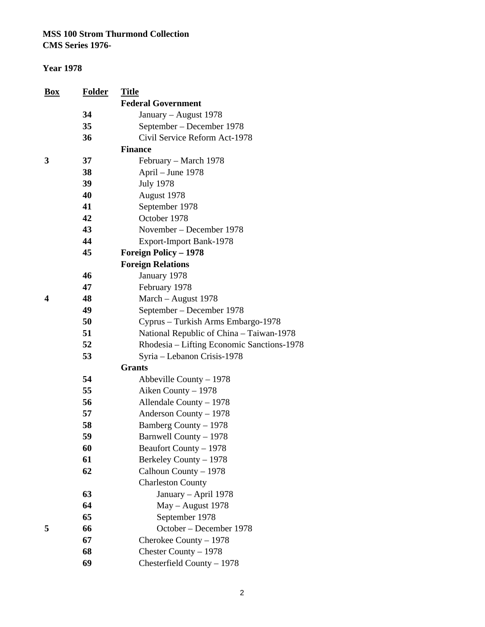**CMS Series 1976-**

| <b>Box</b>       | <b>Folder</b> | <b>Title</b>                               |
|------------------|---------------|--------------------------------------------|
|                  |               | <b>Federal Government</b>                  |
|                  | 34            | January – August 1978                      |
|                  | 35            | September – December 1978                  |
|                  | 36            | Civil Service Reform Act-1978              |
|                  |               | <b>Finance</b>                             |
| 3                | 37            | February – March 1978                      |
|                  | 38            | April – June 1978                          |
|                  | 39            | <b>July 1978</b>                           |
|                  | 40            | August 1978                                |
|                  | 41            | September 1978                             |
|                  | 42            | October 1978                               |
|                  | 43            | November – December 1978                   |
|                  | 44            | Export-Import Bank-1978                    |
|                  | 45            | <b>Foreign Policy - 1978</b>               |
|                  |               | <b>Foreign Relations</b>                   |
|                  | 46            | January 1978                               |
|                  | 47            | February 1978                              |
| $\boldsymbol{4}$ | 48            | March - August 1978                        |
|                  | 49            | September – December 1978                  |
|                  | 50            | Cyprus - Turkish Arms Embargo-1978         |
|                  | 51            | National Republic of China – Taiwan-1978   |
|                  | 52            | Rhodesia – Lifting Economic Sanctions-1978 |
|                  | 53            | Syria - Lebanon Crisis-1978                |
|                  |               | <b>Grants</b>                              |
|                  | 54            | Abbeville County $-1978$                   |
|                  | 55            | Aiken County - 1978                        |
|                  | 56            | Allendale County - 1978                    |
|                  | 57            | Anderson County - 1978                     |
|                  | 58            | Bamberg County - 1978                      |
|                  | 59            | Barnwell County - 1978                     |
|                  | 60            | Beaufort County – 1978                     |
|                  | 61            | Berkeley County - 1978                     |
|                  | 62            | Calhoun County - 1978                      |
|                  |               | <b>Charleston County</b>                   |
|                  | 63            | January - April 1978                       |
|                  | 64            | May - August 1978                          |
|                  | 65            | September 1978                             |
| 5                | 66            | October - December 1978                    |
|                  | 67            | Cherokee County - 1978                     |
|                  | 68            | Chester County - 1978                      |
|                  | 69            | Chesterfield County - 1978                 |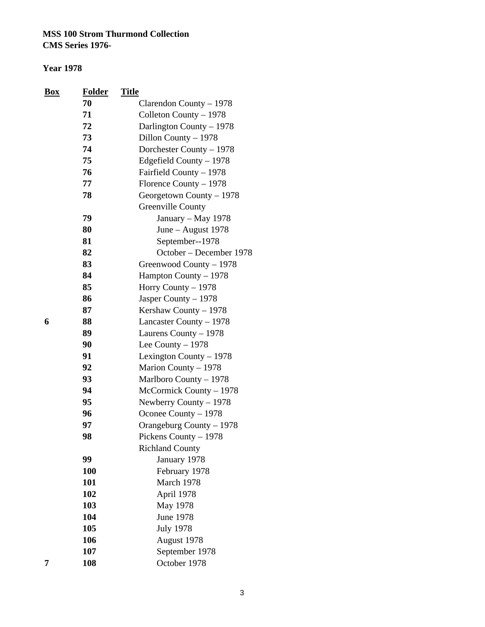| <b>Box</b> | <b>Folder</b> | <b>Title</b>             |
|------------|---------------|--------------------------|
|            | 70            | Clarendon County - 1978  |
|            | 71            | Colleton County - 1978   |
|            | 72            | Darlington County - 1978 |
|            | 73            | Dillon County - 1978     |
|            | 74            | Dorchester County - 1978 |
|            | 75            | Edgefield County - 1978  |
|            | 76            | Fairfield County - 1978  |
|            | 77            | Florence County - 1978   |
|            | 78            | Georgetown County - 1978 |
|            |               | Greenville County        |
|            | 79            | January - May 1978       |
|            | 80            | June - August 1978       |
|            | 81            | September--1978          |
|            | 82            | October – December 1978  |
|            | 83            | Greenwood County - 1978  |
|            | 84            | Hampton County - 1978    |
|            | 85            | Horry County - 1978      |
|            | 86            | Jasper County - 1978     |
|            | 87            | Kershaw County - 1978    |
| 6          | 88            | Lancaster County - 1978  |
|            | 89            | Laurens County - 1978    |
|            | 90            | Lee County $-1978$       |
|            | 91            | Lexington County $-1978$ |
|            | 92            | Marion County - 1978     |
|            | 93            | Marlboro County - 1978   |
|            | 94            | McCormick County - 1978  |
|            | 95            | Newberry County – 1978   |
|            | 96            | Oconee County - 1978     |
|            | 97            | Orangeburg County - 1978 |
|            | 98            | Pickens County - 1978    |
|            |               | <b>Richland County</b>   |
|            | 99            | January 1978             |
|            | 100           | February 1978            |
|            | 101           | March 1978               |
|            | 102           | April 1978               |
|            | 103           | May 1978                 |
|            | 104           | <b>June 1978</b>         |
|            | 105           | <b>July 1978</b>         |
|            | 106           | August 1978              |
|            | 107           | September 1978           |
| 7          | 108           | October 1978             |

|    |   | ٧<br>٠ | I<br>۰. |
|----|---|--------|---------|
|    | ٠ | í      |         |
| i, |   |        | I<br>۰. |
|    |   | ۰,     | ۰,      |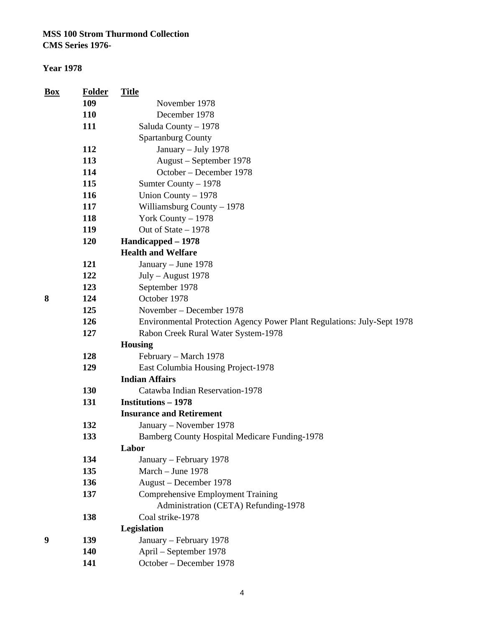**CMS Series 1976-**

| Box        | <b>Folder</b> | <b>Title</b>                                                            |  |  |
|------------|---------------|-------------------------------------------------------------------------|--|--|
|            | 109           | November 1978                                                           |  |  |
| <b>110</b> |               | December 1978                                                           |  |  |
|            | 111           | Saluda County - 1978                                                    |  |  |
|            |               | <b>Spartanburg County</b>                                               |  |  |
|            | 112           | January - July 1978                                                     |  |  |
|            | 113           | August – September 1978                                                 |  |  |
|            | 114           | October – December 1978                                                 |  |  |
|            | 115           | Sumter County - 1978                                                    |  |  |
|            | 116           | Union County - 1978                                                     |  |  |
|            | 117           | Williamsburg County - 1978                                              |  |  |
|            | 118           | York County $-1978$                                                     |  |  |
|            | 119           | Out of State $-1978$                                                    |  |  |
|            | 120           | Handicapped - 1978                                                      |  |  |
|            |               | <b>Health and Welfare</b>                                               |  |  |
|            | 121           | January - June 1978                                                     |  |  |
|            | 122           | July - August 1978                                                      |  |  |
|            | 123           | September 1978                                                          |  |  |
| 8          | 124           | October 1978                                                            |  |  |
|            | 125           | November – December 1978                                                |  |  |
|            | 126           | Environmental Protection Agency Power Plant Regulations: July-Sept 1978 |  |  |
|            | 127           | Rabon Creek Rural Water System-1978                                     |  |  |
|            |               | <b>Housing</b>                                                          |  |  |
|            | 128           | February – March 1978                                                   |  |  |
|            | 129           | East Columbia Housing Project-1978                                      |  |  |
|            |               | <b>Indian Affairs</b>                                                   |  |  |
|            | 130           | Catawba Indian Reservation-1978                                         |  |  |
|            | 131           | <b>Institutions - 1978</b>                                              |  |  |
|            |               | <b>Insurance and Retirement</b>                                         |  |  |
|            | 132           | January – November 1978                                                 |  |  |
|            | 133           | <b>Bamberg County Hospital Medicare Funding-1978</b>                    |  |  |
|            |               | Labor                                                                   |  |  |
|            | 134           | January – February 1978                                                 |  |  |
|            | 135           | March - June 1978                                                       |  |  |
|            | 136           | August - December 1978                                                  |  |  |
|            | 137           | <b>Comprehensive Employment Training</b>                                |  |  |
|            |               | Administration (CETA) Refunding-1978                                    |  |  |
|            | 138           | Coal strike-1978                                                        |  |  |
|            |               | Legislation                                                             |  |  |
| 9          | 139           | January - February 1978                                                 |  |  |
|            | 140           | April - September 1978                                                  |  |  |
|            | 141           | October - December 1978                                                 |  |  |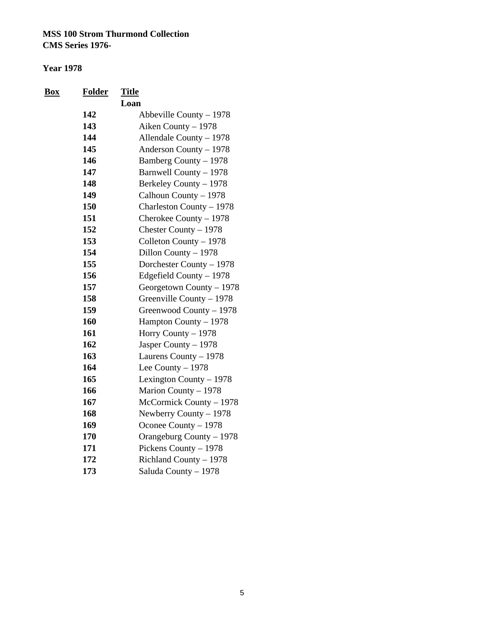| <u>Box</u> | <b>Folder</b> | <b>Title</b>             |
|------------|---------------|--------------------------|
|            |               | Loan                     |
|            | 142           | Abbeville County $-1978$ |
|            | 143           | Aiken County - 1978      |
|            | 144           | Allendale County - 1978  |
|            | 145           | Anderson County - 1978   |
|            | 146           | Bamberg County - 1978    |
|            | 147           | Barnwell County - 1978   |
|            | 148           | Berkeley County - 1978   |
|            | 149           | Calhoun County - 1978    |
|            | 150           | Charleston County - 1978 |
|            | 151           | Cherokee County - 1978   |
|            | 152           | Chester County - 1978    |
|            | 153           | Colleton County - 1978   |
|            | 154           | Dillon County - 1978     |
|            | 155           | Dorchester County - 1978 |
|            | 156           | Edgefield County - 1978  |
|            | 157           | Georgetown County - 1978 |
|            | 158           | Greenville County - 1978 |
|            | 159           | Greenwood County - 1978  |
|            | 160           | Hampton County - 1978    |
|            | 161           | Horry County - 1978      |
|            | 162           | Jasper County - 1978     |
|            | 163           | Laurens County - 1978    |
|            | 164           | Lee County $-1978$       |
|            | 165           | Lexington County - 1978  |
|            | 166           | Marion County - 1978     |
|            | 167           | McCormick County - 1978  |
|            | 168           | Newberry County - 1978   |
|            | 169           | Oconee County - 1978     |
|            | 170           | Orangeburg County - 1978 |
|            | 171           | Pickens County - 1978    |
|            | 172           | Richland County - 1978   |
|            | 173           | Saluda County - 1978     |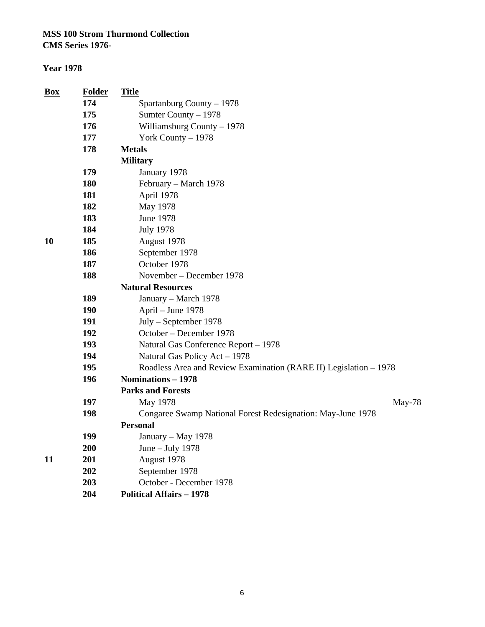**CMS Series 1976-**

| <b>Box</b> | <b>Folder</b> | <b>Title</b>                                                      |  |  |  |
|------------|---------------|-------------------------------------------------------------------|--|--|--|
|            | 174           | Spartanburg County - 1978                                         |  |  |  |
|            | 175           | Sumter County - 1978                                              |  |  |  |
|            | 176           | Williamsburg County - 1978                                        |  |  |  |
|            | 177           | York County - 1978                                                |  |  |  |
|            | 178           | <b>Metals</b>                                                     |  |  |  |
|            |               | <b>Military</b>                                                   |  |  |  |
|            | 179           | January 1978                                                      |  |  |  |
|            | 180           | February – March 1978                                             |  |  |  |
|            | 181           | April 1978                                                        |  |  |  |
|            | 182           | May 1978                                                          |  |  |  |
|            | 183           | <b>June 1978</b>                                                  |  |  |  |
|            | 184           | <b>July 1978</b>                                                  |  |  |  |
| 10         | 185           | August 1978                                                       |  |  |  |
|            | 186           | September 1978                                                    |  |  |  |
|            | 187           | October 1978                                                      |  |  |  |
|            | 188           | November – December 1978                                          |  |  |  |
|            |               | <b>Natural Resources</b>                                          |  |  |  |
|            | 189           | January - March 1978                                              |  |  |  |
|            | <b>190</b>    | April - June 1978                                                 |  |  |  |
|            | 191           | July – September 1978                                             |  |  |  |
|            | 192           | October - December 1978                                           |  |  |  |
|            | 193           | Natural Gas Conference Report - 1978                              |  |  |  |
|            | 194           | Natural Gas Policy Act - 1978                                     |  |  |  |
|            | 195           | Roadless Area and Review Examination (RARE II) Legislation - 1978 |  |  |  |
|            | 196           | Nominations - 1978                                                |  |  |  |
|            |               | <b>Parks and Forests</b>                                          |  |  |  |
|            | 197           | May 1978<br>May-78                                                |  |  |  |
|            | 198           | Congaree Swamp National Forest Redesignation: May-June 1978       |  |  |  |
|            |               | <b>Personal</b>                                                   |  |  |  |
|            | 199           | January – May 1978                                                |  |  |  |
|            | 200           | June - July 1978                                                  |  |  |  |
| 11         | 201           | August 1978                                                       |  |  |  |
|            | 202           | September 1978                                                    |  |  |  |
|            | 203           | October - December 1978                                           |  |  |  |
|            | 204           | <b>Political Affairs - 1978</b>                                   |  |  |  |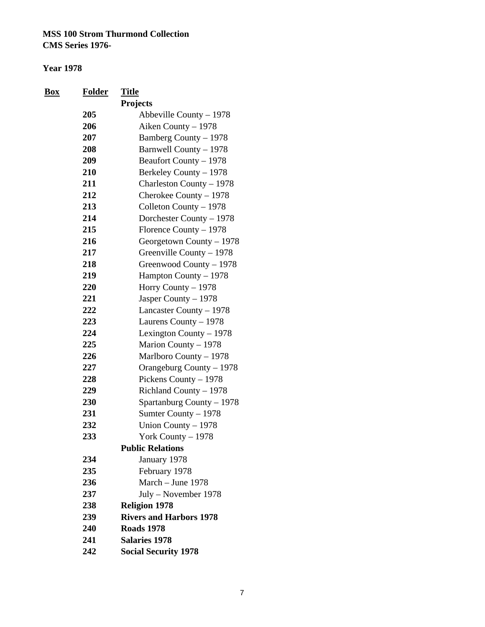| <u>Box</u> | <b>Folder</b> | <b>Title</b>                   |
|------------|---------------|--------------------------------|
|            |               | Projects                       |
|            | 205           | Abbeville County $-1978$       |
|            | 206           | Aiken County - 1978            |
|            | 207           | Bamberg County - 1978          |
|            | 208           | Barnwell County - 1978         |
|            | 209           | Beaufort County - 1978         |
|            | 210           | Berkeley County - 1978         |
|            | 211           | Charleston County - 1978       |
|            | 212           | Cherokee County - 1978         |
|            | 213           | Colleton County - 1978         |
|            | 214           | Dorchester County - 1978       |
|            | 215           | Florence County - 1978         |
|            | 216           | Georgetown County - 1978       |
|            | 217           | Greenville County - 1978       |
|            | 218           | Greenwood County - 1978        |
|            | 219           | Hampton County - 1978          |
|            | 220           | Horry County - 1978            |
|            | 221           | Jasper County - 1978           |
|            | 222           | Lancaster County - 1978        |
|            | 223           | Laurens County - 1978          |
|            | 224           | Lexington County - 1978        |
|            | 225           | Marion County - 1978           |
|            | 226           | Marlboro County - 1978         |
|            | 227           | Orangeburg County - 1978       |
|            | 228           | Pickens County - 1978          |
|            | 229           | Richland County - 1978         |
|            | 230           | Spartanburg County - 1978      |
|            | 231           | Sumter County - 1978           |
|            | 232           | Union County - 1978            |
|            | 233           | York County - 1978             |
|            |               | <b>Public Relations</b>        |
|            | 234           | January 1978                   |
|            | 235           | February 1978                  |
|            | 236           | March - June 1978              |
|            | 237           | July - November 1978           |
|            | 238           | <b>Religion 1978</b>           |
|            | 239           | <b>Rivers and Harbors 1978</b> |
|            | 240           | <b>Roads 1978</b>              |
|            | 241           | <b>Salaries 1978</b>           |
|            | 242           | <b>Social Security 1978</b>    |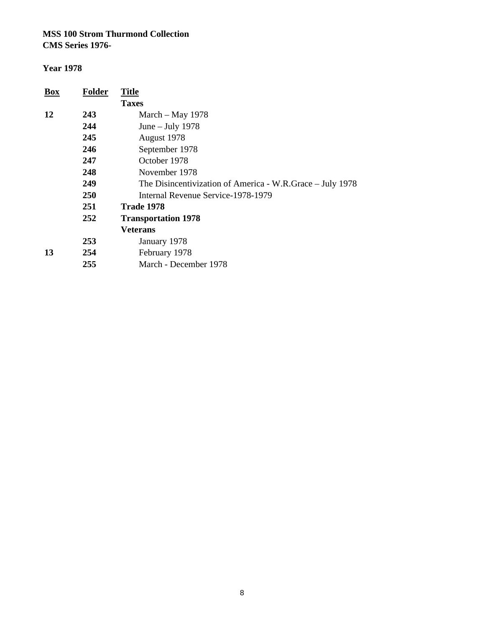**CMS Series 1976-**

| <b>Box</b> | <b>Folder</b> | <b>Title</b>                                              |
|------------|---------------|-----------------------------------------------------------|
|            |               | <b>Taxes</b>                                              |
| 12         | 243           | March $-$ May 1978                                        |
|            | 244           | June $-$ July 1978                                        |
|            | 245           | August 1978                                               |
|            | 246           | September 1978                                            |
|            | 247           | October 1978                                              |
|            | 248           | November 1978                                             |
|            | 249           | The Disincentivization of America - W.R.Grace - July 1978 |
|            | <b>250</b>    | Internal Revenue Service-1978-1979                        |
|            | 251           | <b>Trade 1978</b>                                         |
|            | 252           | <b>Transportation 1978</b>                                |
|            |               | <b>Veterans</b>                                           |
|            | 253           | January 1978                                              |
| 13         | 254           | February 1978                                             |
|            | 255           | March - December 1978                                     |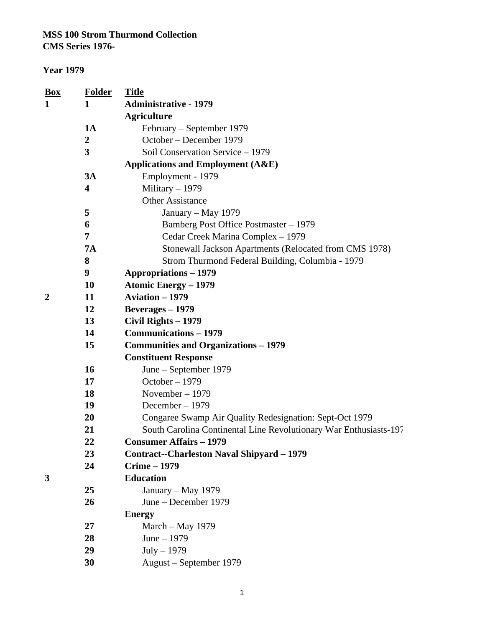| <u>Box</u>                        | <b>Folder</b>           | <b>Title</b>                                                      |
|-----------------------------------|-------------------------|-------------------------------------------------------------------|
| <b>Administrative - 1979</b><br>1 |                         |                                                                   |
|                                   |                         | <b>Agriculture</b>                                                |
|                                   | <b>1A</b>               | February – September 1979                                         |
|                                   | $\boldsymbol{2}$        | October - December 1979                                           |
|                                   | 3                       | Soil Conservation Service - 1979                                  |
|                                   |                         | <b>Applications and Employment (A&amp;E)</b>                      |
|                                   | 3A                      | Employment - 1979                                                 |
|                                   | $\overline{\mathbf{4}}$ | Military $-1979$                                                  |
|                                   |                         | <b>Other Assistance</b>                                           |
|                                   | 5                       | January – May 1979                                                |
|                                   | 6                       | Bamberg Post Office Postmaster - 1979                             |
|                                   | 7                       | Cedar Creek Marina Complex - 1979                                 |
|                                   | <b>7A</b>               | Stonewall Jackson Apartments (Relocated from CMS 1978)            |
|                                   | 8                       | Strom Thurmond Federal Building, Columbia - 1979                  |
|                                   | 9                       | <b>Appropriations - 1979</b>                                      |
|                                   | 10                      | <b>Atomic Energy - 1979</b>                                       |
| 2                                 | 11                      | <b>Aviation - 1979</b>                                            |
|                                   | 12                      | <b>Beverages</b> – 1979                                           |
|                                   | 13                      | Civil Rights - 1979                                               |
|                                   | 14                      | <b>Communications – 1979</b>                                      |
|                                   | 15                      | <b>Communities and Organizations – 1979</b>                       |
|                                   |                         | <b>Constituent Response</b>                                       |
|                                   | 16                      | June – September 1979                                             |
|                                   | 17                      | October - 1979                                                    |
|                                   | 18                      | November - 1979                                                   |
|                                   | 19                      | December - 1979                                                   |
|                                   | 20                      | Congaree Swamp Air Quality Redesignation: Sept-Oct 1979           |
|                                   | 21                      | South Carolina Continental Line Revolutionary War Enthusiasts-197 |
|                                   | 22                      | <b>Consumer Affairs – 1979</b>                                    |
|                                   | 23                      | <b>Contract--Charleston Naval Shipyard - 1979</b>                 |
|                                   | 24                      | <b>Crime - 1979</b>                                               |
| 3                                 |                         | <b>Education</b>                                                  |
|                                   | 25                      | January – May 1979                                                |
|                                   | 26                      | June – December 1979                                              |
|                                   |                         | <b>Energy</b>                                                     |
|                                   | 27                      | March - May 1979                                                  |
|                                   | 28                      | June $-1979$                                                      |
|                                   | 29                      | $July - 1979$                                                     |
|                                   | 30                      | August – September 1979                                           |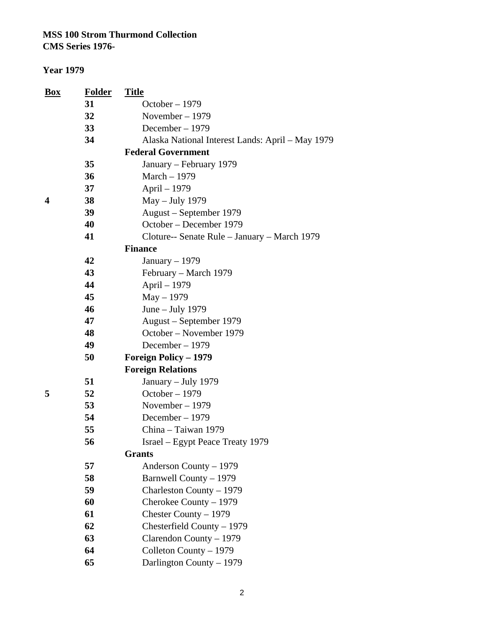**CMS Series 1976-**

| <b>Box</b> | <b>Folder</b> | <b>Title</b>                                     |
|------------|---------------|--------------------------------------------------|
|            | 31            | October $-1979$                                  |
|            | 32            | November - 1979                                  |
|            | 33            | December - 1979                                  |
|            | 34            | Alaska National Interest Lands: April - May 1979 |
|            |               | <b>Federal Government</b>                        |
|            | 35            | January – February 1979                          |
|            | 36            | March - 1979                                     |
|            | 37            | April - 1979                                     |
| 4          | 38            | May - July 1979                                  |
|            | 39            | August – September 1979                          |
|            | 40            | October – December 1979                          |
|            | 41            | Cloture-- Senate Rule - January - March 1979     |
|            |               | <b>Finance</b>                                   |
|            | 42            | January $-1979$                                  |
|            | 43            | February – March 1979                            |
|            | 44            | April - 1979                                     |
|            | 45            | $May - 1979$                                     |
|            | 46            | June - July 1979                                 |
|            | 47            | August – September 1979                          |
|            | 48            | October – November 1979                          |
|            | 49            | December $-1979$                                 |
|            | 50            | <b>Foreign Policy - 1979</b>                     |
|            |               | <b>Foreign Relations</b>                         |
|            | 51            | January – July 1979                              |
| 5          | 52            | October - 1979                                   |
|            | 53            | November $-1979$                                 |
|            | 54            | December - 1979                                  |
|            | 55            | China - Taiwan 1979                              |
|            | 56            | Israel – Egypt Peace Treaty 1979                 |
|            |               | <b>Grants</b>                                    |
|            | 57            | Anderson County – 1979                           |
|            | 58            | Barnwell County - 1979                           |
|            | 59            | Charleston County – 1979                         |
|            | 60            | Cherokee County - 1979                           |
|            | 61            | Chester County $-1979$                           |
|            | 62            | Chesterfield County $-1979$                      |
|            | 63            | Clarendon County - 1979                          |
|            | 64            | Colleton County - 1979                           |
|            | 65            | Darlington County - 1979                         |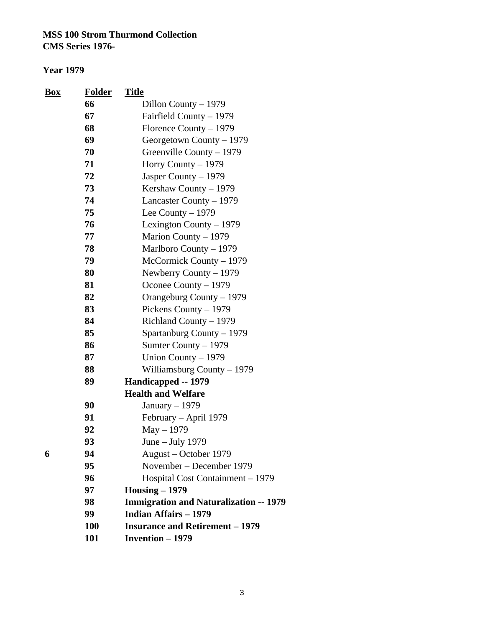| <b>Box</b> | <b>Folder</b> | <b>Title</b>                                  |
|------------|---------------|-----------------------------------------------|
|            | 66            | Dillon County - 1979                          |
|            | 67            | Fairfield County – 1979                       |
|            | 68            | Florence County – 1979                        |
|            | 69            | Georgetown County - 1979                      |
|            | 70            | Greenville County - 1979                      |
|            | 71            | Horry County – 1979                           |
|            | 72            | Jasper County - 1979                          |
|            | 73            | Kershaw County $-1979$                        |
|            | 74            | Lancaster County – 1979                       |
|            | 75            | Lee County $-1979$                            |
|            | 76            | Lexington County $-1979$                      |
|            | 77            | Marion County – 1979                          |
|            | 78            | Marlboro County - 1979                        |
|            | 79            | McCormick County – 1979                       |
|            | 80            | Newberry County $-1979$                       |
|            | 81            | Oconee County - 1979                          |
|            | 82            | Orangeburg County – 1979                      |
|            | 83            | Pickens County – 1979                         |
|            | 84            | Richland County – 1979                        |
|            | 85            | Spartanburg County – 1979                     |
|            | 86            | Sumter County - 1979                          |
|            | 87            | Union County - 1979                           |
|            | 88            | Williamsburg County - 1979                    |
|            | 89            | Handicapped -- 1979                           |
|            |               | <b>Health and Welfare</b>                     |
|            | 90            | January $-1979$                               |
|            | 91            | February - April 1979                         |
|            | 92            | $May - 1979$                                  |
|            | 93            | June – July 1979                              |
| 6          | 94            | August – October 1979                         |
|            | 95            | November – December 1979                      |
|            | 96            | Hospital Cost Containment - 1979              |
|            | 97            | $Housing - 1979$                              |
|            | 98            | <b>Immigration and Naturalization -- 1979</b> |
|            | 99            | <b>Indian Affairs - 1979</b>                  |
|            | 100           | <b>Insurance and Retirement – 1979</b>        |
|            | 101           | <b>Invention - 1979</b>                       |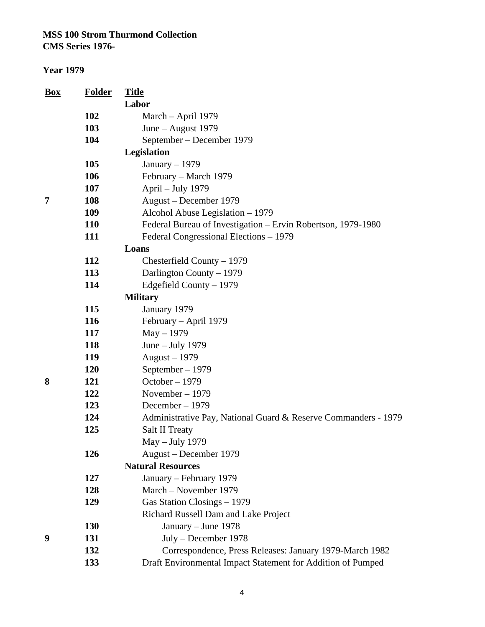| <u>Box</u> | <b>Folder</b> | <b>Title</b>                                                   |
|------------|---------------|----------------------------------------------------------------|
|            |               | Labor                                                          |
|            | 102           | March - April 1979                                             |
|            | 103           | June - August 1979                                             |
|            | 104           | September – December 1979                                      |
|            |               | Legislation                                                    |
|            | 105           | January $-1979$                                                |
|            | 106           | February - March 1979                                          |
|            | 107           | April - July 1979                                              |
| 7          | 108           | August - December 1979                                         |
|            | 109           | Alcohol Abuse Legislation - 1979                               |
|            | <b>110</b>    | Federal Bureau of Investigation - Ervin Robertson, 1979-1980   |
|            | 111           | Federal Congressional Elections - 1979                         |
|            |               | Loans                                                          |
|            | <b>112</b>    | Chesterfield County $-1979$                                    |
|            | 113           | Darlington County - 1979                                       |
|            | 114           | Edgefield County - 1979                                        |
|            |               | <b>Military</b>                                                |
|            | 115           | January 1979                                                   |
|            | 116           | February - April 1979                                          |
|            | 117           | May - 1979                                                     |
|            | 118           | June - July 1979                                               |
|            | 119           | August - 1979                                                  |
|            | <b>120</b>    | September - 1979                                               |
| 8          | 121           | October - 1979                                                 |
|            | 122           | November - 1979                                                |
|            | 123           | December - 1979                                                |
|            | 124           | Administrative Pay, National Guard & Reserve Commanders - 1979 |
|            | 125           | <b>Salt II Treaty</b>                                          |
|            |               | May – July 1979                                                |
|            | 126           | August – December 1979                                         |
|            |               | <b>Natural Resources</b>                                       |
|            | 127           | January – February 1979                                        |
|            | 128           | March - November 1979                                          |
|            | 129           | Gas Station Closings - 1979                                    |
|            |               | Richard Russell Dam and Lake Project                           |
|            | <b>130</b>    | January - June 1978                                            |
| 9          | 131           | July - December 1978                                           |
|            | 132           | Correspondence, Press Releases: January 1979-March 1982        |
|            | 133           | Draft Environmental Impact Statement for Addition of Pumped    |
|            |               |                                                                |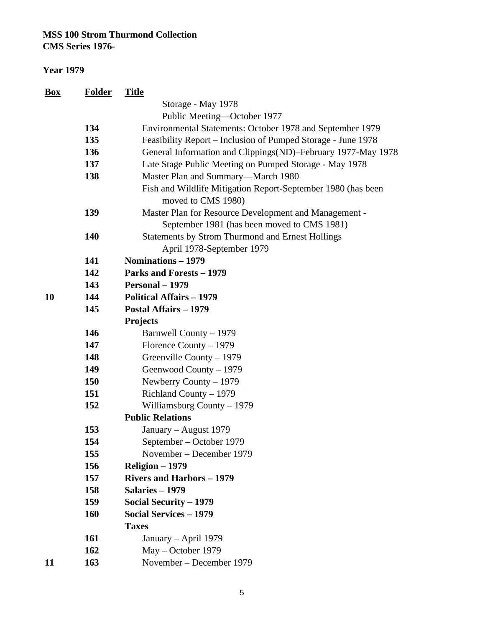**CMS Series 1976-**

| <u>Box</u> | <b>Folder</b> | <b>Title</b>                                                                       |
|------------|---------------|------------------------------------------------------------------------------------|
|            |               | Storage - May 1978                                                                 |
|            |               | Public Meeting-October 1977                                                        |
|            | 134           | Environmental Statements: October 1978 and September 1979                          |
|            | 135           | Feasibility Report – Inclusion of Pumped Storage - June 1978                       |
|            | 136           | General Information and Clippings (ND)-February 1977-May 1978                      |
|            | 137           | Late Stage Public Meeting on Pumped Storage - May 1978                             |
|            | 138           | Master Plan and Summary-March 1980                                                 |
|            |               | Fish and Wildlife Mitigation Report-September 1980 (has been<br>moved to CMS 1980) |
|            | 139           | Master Plan for Resource Development and Management -                              |
|            |               | September 1981 (has been moved to CMS 1981)                                        |
|            | 140           | <b>Statements by Strom Thurmond and Ernest Hollings</b>                            |
|            |               | April 1978-September 1979                                                          |
|            | 141           | Nominations - 1979                                                                 |
|            | 142           | <b>Parks and Forests - 1979</b>                                                    |
|            | 143           | Personal - 1979                                                                    |
| 10         | 144           | <b>Political Affairs - 1979</b>                                                    |
|            | 145           | <b>Postal Affairs - 1979</b>                                                       |
|            |               | <b>Projects</b>                                                                    |
|            | 146           | Barnwell County - 1979                                                             |
|            | 147           | Florence County $-1979$                                                            |
|            | 148           | Greenville County - 1979                                                           |
|            | 149           | Geenwood County - 1979                                                             |
|            | 150           | Newberry County $-1979$                                                            |
|            | 151           | Richland County - 1979                                                             |
|            | 152           | Williamsburg County $-1979$                                                        |
|            |               | <b>Public Relations</b>                                                            |
|            | 153           | January – August 1979                                                              |
|            | 154           | September – October 1979                                                           |
|            | 155           | November – December 1979                                                           |
|            | 156           | Religion - 1979                                                                    |
|            | 157           | <b>Rivers and Harbors - 1979</b>                                                   |
|            | 158           | Salaries - 1979                                                                    |
|            | 159           | Social Security - 1979                                                             |
|            | 160           | <b>Social Services - 1979</b>                                                      |
|            |               | <b>Taxes</b>                                                                       |
|            | 161           | January - April 1979                                                               |
|            | 162           | May – October 1979                                                                 |
| 11         | 163           | November – December 1979                                                           |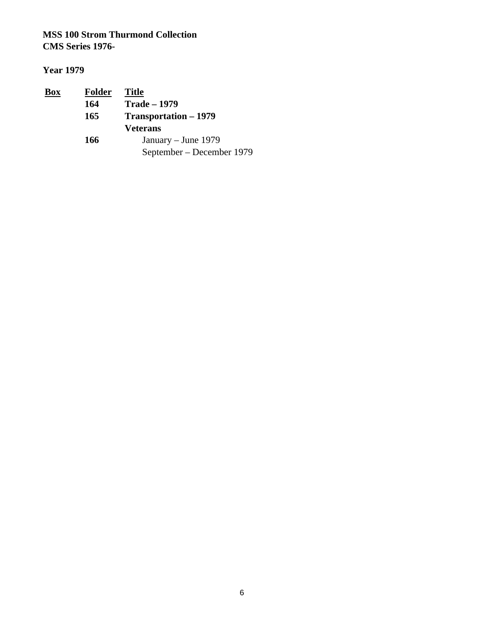| <u>Box</u> | <b>Folder</b> | <b>Title</b>                 |  |
|------------|---------------|------------------------------|--|
|            | 164           | <b>Trade – 1979</b>          |  |
|            | 165           | <b>Transportation – 1979</b> |  |
|            |               | <b>Veterans</b>              |  |
|            | 166           | January – June 1979          |  |
|            |               | September – December 1979    |  |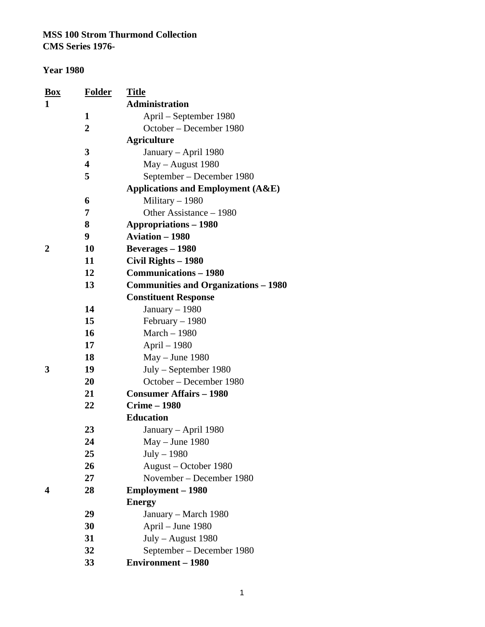#### **Year 1980**

| <b>Box</b> | <u>Folder</u>           | <u>Title</u>                                 |
|------------|-------------------------|----------------------------------------------|
| 1          |                         | <b>Administration</b>                        |
|            | 1                       | April – September 1980                       |
|            | $\overline{2}$          | October - December 1980                      |
|            |                         | <b>Agriculture</b>                           |
|            | 3                       | January - April 1980                         |
|            | $\overline{\mathbf{4}}$ | May - August 1980                            |
|            | 5                       | September - December 1980                    |
|            |                         | <b>Applications and Employment (A&amp;E)</b> |
|            | 6                       | Military $-1980$                             |
|            | 7                       | Other Assistance – 1980                      |
|            | 8                       | <b>Appropriations – 1980</b>                 |
|            | 9                       | <b>Aviation - 1980</b>                       |
| 2          | 10                      | Beverages - 1980                             |
|            | 11                      | Civil Rights - 1980                          |
|            | 12                      | <b>Communications - 1980</b>                 |
|            | 13                      | <b>Communities and Organizations – 1980</b>  |
|            |                         | <b>Constituent Response</b>                  |
|            | 14                      | January $-1980$                              |
|            | 15                      | February $-1980$                             |
|            | 16                      | March - 1980                                 |
|            | 17                      | April - 1980                                 |
|            | 18                      | $May - June 1980$                            |
| 3          | 19                      | $July - September 1980$                      |
|            | 20                      | October – December 1980                      |
|            | 21                      | <b>Consumer Affairs - 1980</b>               |
|            | 22                      | <b>Crime - 1980</b>                          |
|            |                         | <b>Education</b>                             |
|            | 23                      | January – April 1980                         |
|            | 24                      | $May - June 1980$                            |
|            | 25                      | $July - 1980$                                |
|            | 26                      | August – October 1980                        |
|            | 27                      | November – December 1980                     |
| 4          | 28                      | <b>Employment – 1980</b>                     |
|            |                         | <b>Energy</b>                                |
|            | 29                      | January – March 1980                         |
|            | 30                      | April - June 1980                            |
|            | 31                      | July - August 1980                           |
|            | 32                      | September – December 1980                    |
|            | 33                      | <b>Environment - 1980</b>                    |

1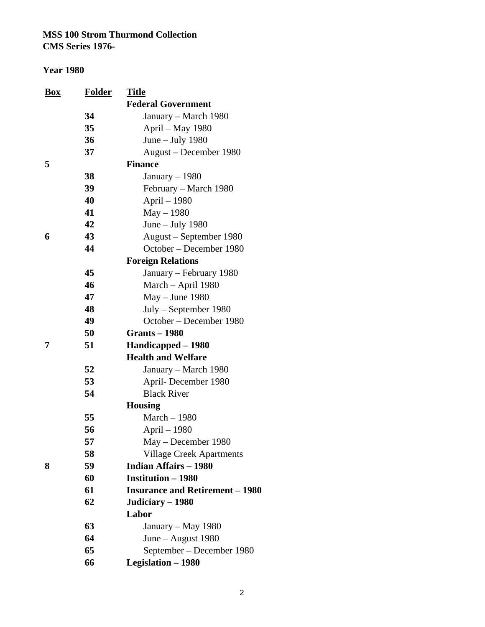| <u>Box</u> | <b>Folder</b> | <u>Title</u>                                                    |
|------------|---------------|-----------------------------------------------------------------|
|            |               | <b>Federal Government</b>                                       |
|            | 34            | January - March 1980                                            |
|            | 35            | April - May 1980                                                |
|            | 36            | June $-$ July 1980                                              |
|            | 37            | August - December 1980                                          |
| 5          |               | <b>Finance</b>                                                  |
|            | 38            | January $-1980$                                                 |
|            | 39            | February – March 1980                                           |
|            | 40            | April - 1980                                                    |
|            | 41            | $May - 1980$                                                    |
|            | 42            | June $-$ July 1980                                              |
| 6          | 43            | August – September 1980                                         |
|            | 44            | October – December 1980                                         |
|            |               | <b>Foreign Relations</b>                                        |
|            | 45            | January - February 1980                                         |
|            | 46            | March - April 1980                                              |
|            | 47            | $May - June 1980$                                               |
|            | 48            | $July - September 1980$                                         |
|            | 49            | October – December 1980                                         |
|            | 50            | <b>Grants - 1980</b>                                            |
| 7          | 51            | Handicapped – 1980                                              |
|            |               | <b>Health and Welfare</b>                                       |
|            | 52            | January – March 1980                                            |
|            | 53            | April-December 1980                                             |
|            | 54            | <b>Black River</b>                                              |
|            |               | <b>Housing</b>                                                  |
|            | 55            | March - 1980                                                    |
|            | 56            | April - 1980                                                    |
|            | 57            | May – December 1980                                             |
|            | 58            | <b>Village Creek Apartments</b><br><b>Indian Affairs - 1980</b> |
| 8          | 59            |                                                                 |
|            | 60<br>61      | <b>Institution - 1980</b>                                       |
|            | 62            | <b>Insurance and Retirement – 1980</b>                          |
|            |               | Judiciary - 1980<br>Labor                                       |
|            | 63            |                                                                 |
|            | 64            | January – May 1980<br>June – August $1980$                      |
|            | 65            | September – December 1980                                       |
|            | 66            | <b>Legislation - 1980</b>                                       |
|            |               |                                                                 |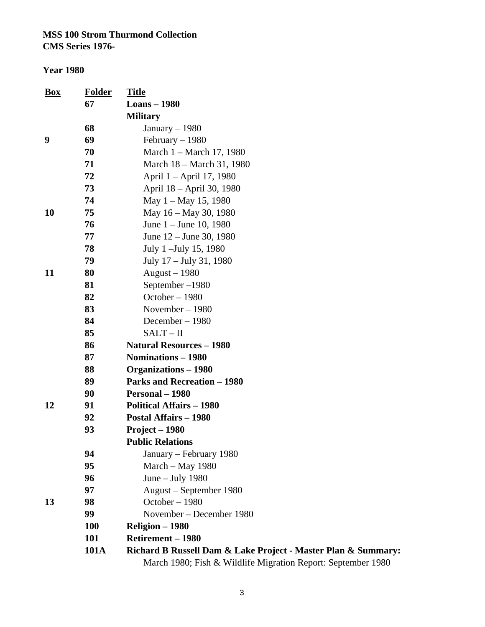| <u>Box</u> | <b>Folder</b> | <b>Title</b>                                                  |
|------------|---------------|---------------------------------------------------------------|
|            | 67            | <b>Loans</b> - 1980                                           |
|            |               | <b>Military</b>                                               |
|            | 68            | January - 1980                                                |
| 9          | 69            | February $-1980$                                              |
|            | 70            | March 1 - March 17, 1980                                      |
|            | 71            | March 18 – March 31, 1980                                     |
|            | 72            | April 1 – April 17, 1980                                      |
|            | 73            | April 18 – April 30, 1980                                     |
|            | 74            | May $1 -$ May 15, 1980                                        |
| 10         | 75            | May 16 – May 30, 1980                                         |
|            | 76            | June $1 -$ June 10, 1980                                      |
|            | 77            | June $12 -$ June 30, 1980                                     |
|            | 78            | July 1 - July 15, 1980                                        |
|            | 79            | July 17 – July 31, 1980                                       |
| 11         | 80            | August $-1980$                                                |
|            | 81            | September-1980                                                |
|            | 82            | October-1980                                                  |
|            | 83            | November $-1980$                                              |
|            | 84            | December $-1980$                                              |
|            | 85            | $SALT - II$                                                   |
|            | 86            | <b>Natural Resources - 1980</b>                               |
|            | 87            | Nominations - 1980                                            |
|            | 88            | <b>Organizations - 1980</b>                                   |
|            | 89            | <b>Parks and Recreation - 1980</b>                            |
|            | 90            | Personal - 1980                                               |
| 12         | 91            | <b>Political Affairs - 1980</b>                               |
|            | 92            | <b>Postal Affairs - 1980</b>                                  |
|            | 93            | Project - 1980                                                |
|            |               | <b>Public Relations</b>                                       |
|            | 94            | January – February 1980                                       |
|            | 95            | March - May 1980                                              |
|            | 96            | June $-$ July 1980                                            |
|            | 97            | August – September 1980                                       |
| 13         | 98            | October - 1980                                                |
|            | 99            | November – December 1980                                      |
|            | <b>100</b>    | Religion - 1980                                               |
|            | 101           | <b>Retirement - 1980</b>                                      |
|            | <b>101A</b>   | Richard B Russell Dam & Lake Project - Master Plan & Summary: |
|            |               | March 1980; Fish & Wildlife Migration Report: September 1980  |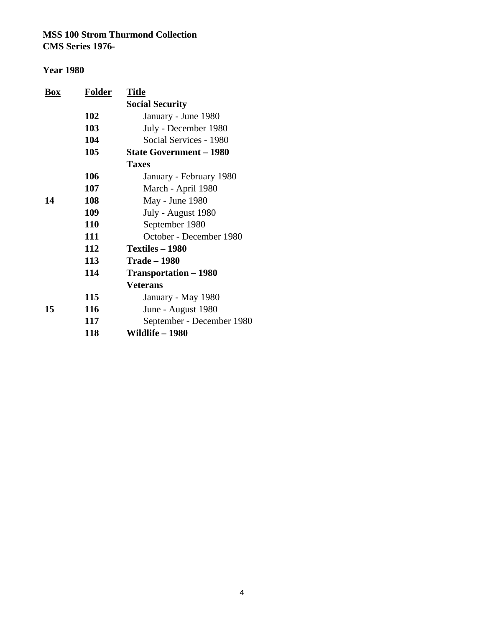| <b>Box</b> | <b>Folder</b> | <b>Title</b>                   |
|------------|---------------|--------------------------------|
|            |               | <b>Social Security</b>         |
|            | 102           | January - June 1980            |
|            | 103           | July - December 1980           |
|            | 104           | Social Services - 1980         |
|            | 105           | <b>State Government - 1980</b> |
|            |               | <b>Taxes</b>                   |
|            | 106           | January - February 1980        |
|            | 107           | March - April 1980             |
| 14         | 108           | May - June 1980                |
|            | 109           | July - August 1980             |
|            | <b>110</b>    | September 1980                 |
|            | 111           | October - December 1980        |
|            | 112           | Textiles - 1980                |
|            | 113           | <b>Trade – 1980</b>            |
|            | 114           | Transportation – 1980          |
|            |               | <b>Veterans</b>                |
|            | 115           | January - May 1980             |
| 15         | 116           | June - August 1980             |
|            | 117           | September - December 1980      |
|            | 118           | Wildlife - 1980                |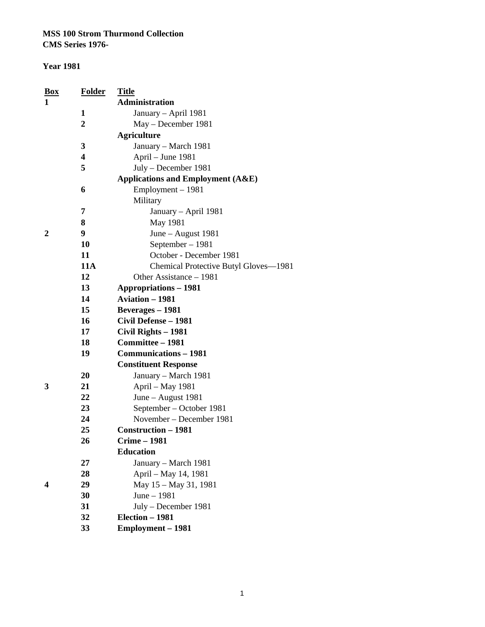**CMS Series 1976-**

#### **Year 1981**

| Box | Folder         | <b>Title</b>                                 |
|-----|----------------|----------------------------------------------|
| 1   |                | <b>Administration</b>                        |
|     | 1              | January - April 1981                         |
|     | $\overline{2}$ | May – December 1981                          |
|     |                | <b>Agriculture</b>                           |
|     | 3              | January - March 1981                         |
|     | 4              | April – June 1981                            |
|     | 5              | July - December 1981                         |
|     |                | <b>Applications and Employment (A&amp;E)</b> |
|     | 6              | Employment - 1981                            |
|     |                | Military                                     |
|     | 7              | January – April 1981                         |
|     | 8              | May 1981                                     |
| 2   | 9              | June - August 1981                           |
|     | 10             | September - 1981                             |
|     | 11             | October - December 1981                      |
|     | <b>11A</b>     | Chemical Protective Butyl Gloves-1981        |
|     | 12             | Other Assistance - 1981                      |
|     | 13             | <b>Appropriations - 1981</b>                 |
|     | 14             | <b>Aviation - 1981</b>                       |
|     | 15             | Beverages - 1981                             |
|     | 16             | Civil Defense - 1981                         |
|     | 17             | Civil Rights - 1981                          |
|     | 18             | Committee - 1981                             |
|     | 19             | <b>Communications - 1981</b>                 |
|     |                | <b>Constituent Response</b>                  |
|     | 20             | January - March 1981                         |
| 3   | 21             | April - May 1981                             |
|     | 22             | June - August 1981                           |
|     | 23             | September - October 1981                     |
|     | 24             | November – December 1981                     |
|     | 25             | <b>Construction - 1981</b>                   |
|     | 26             | <b>Crime – 1981</b>                          |
|     |                | <b>Education</b>                             |
|     | 27             | January - March 1981                         |
|     | 28             | April - May 14, 1981                         |
| 4   | 29             | May 15 - May 31, 1981                        |
|     | 30             | June - 1981                                  |
|     | 31             | July - December 1981                         |
|     | 32             | Election - 1981                              |
|     | 33             | Employment - 1981                            |

1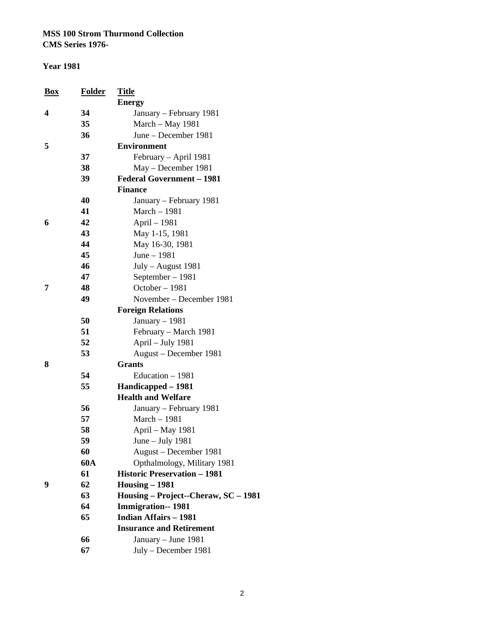**CMS Series 1976-**

| Box | Folder     | <b>Title</b>                         |
|-----|------------|--------------------------------------|
|     |            | <b>Energy</b>                        |
| 4   | 34         | January – February 1981              |
|     | 35         | March - May 1981                     |
|     | 36         | June – December 1981                 |
| 5   |            | <b>Environment</b>                   |
|     | 37         | February – April 1981                |
|     | 38         | May – December 1981                  |
|     | 39         | <b>Federal Government - 1981</b>     |
|     |            | <b>Finance</b>                       |
|     | 40         | January - February 1981              |
|     | 41         | March - 1981                         |
| 6   | 42         | April - 1981                         |
|     | 43         | May 1-15, 1981                       |
|     | 44         | May 16-30, 1981                      |
|     | 45         | June - 1981                          |
|     | 46         | July - August 1981                   |
|     | 47         | September - 1981                     |
| 7   | 48         | October-1981                         |
|     | 49         | November – December 1981             |
|     |            | <b>Foreign Relations</b>             |
|     | 50         | January $-1981$                      |
|     | 51         | February - March 1981                |
|     | 52         | April - July 1981                    |
|     | 53         | August – December 1981               |
| 8   |            | <b>Grants</b>                        |
|     | 54         | Education - 1981                     |
|     | 55         | Handicapped - 1981                   |
|     |            | <b>Health and Welfare</b>            |
|     | 56         | January – February 1981              |
|     | 57         | March - 1981                         |
|     | 58         | April - May 1981                     |
|     | 59         | June $-$ July 1981                   |
|     | 60         | August - December 1981               |
|     | <b>60A</b> | Opthalmology, Military 1981          |
|     | 61         | <b>Historic Preservation - 1981</b>  |
| 9   | 62         | $Housing - 1981$                     |
|     | 63         | Housing - Project--Cheraw, SC - 1981 |
|     | 64         | <b>Immigration--1981</b>             |
|     | 65         | <b>Indian Affairs - 1981</b>         |
|     |            | <b>Insurance and Retirement</b>      |
|     | 66         | January - June 1981                  |
|     | 67         | July - December 1981                 |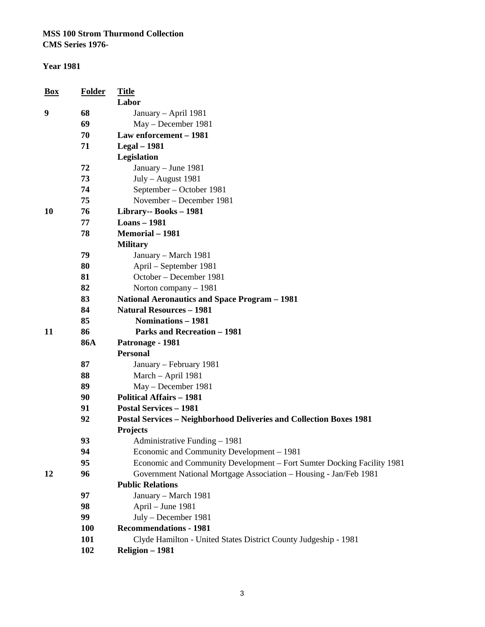**CMS Series 1976-**

#### **Year 1981**

| Box | Folder     | <b>Title</b><br>Labor                                                      |
|-----|------------|----------------------------------------------------------------------------|
| 9   | 68         | January - April 1981                                                       |
|     | 69         | May - December 1981                                                        |
|     | 70         | Law enforcement - 1981                                                     |
|     | 71         | <b>Legal</b> – 1981                                                        |
|     |            | Legislation                                                                |
|     | 72         | January - June 1981                                                        |
|     | 73         | July - August 1981                                                         |
|     | 74         | September – October 1981                                                   |
|     | 75         | November – December 1981                                                   |
| 10  | 76         | Library-- Books - 1981                                                     |
|     | 77         | <b>Loans</b> - 1981                                                        |
|     | 78         | <b>Memorial - 1981</b>                                                     |
|     |            | <b>Military</b>                                                            |
|     | 79         | January – March 1981                                                       |
|     | 80         | April – September 1981                                                     |
|     | 81         | October - December 1981                                                    |
|     | 82         | Norton company - 1981                                                      |
|     | 83         | <b>National Aeronautics and Space Program - 1981</b>                       |
|     | 84         | <b>Natural Resources - 1981</b>                                            |
|     | 85         | Nominations - 1981                                                         |
| 11  | 86         | <b>Parks and Recreation - 1981</b>                                         |
|     | <b>86A</b> | Patronage - 1981                                                           |
|     |            | <b>Personal</b>                                                            |
|     | 87         | January – February 1981                                                    |
|     | 88         | March - April 1981                                                         |
|     | 89         | May - December 1981                                                        |
|     | 90         | <b>Political Affairs - 1981</b>                                            |
|     | 91         | <b>Postal Services - 1981</b>                                              |
|     | 92         | <b>Postal Services - Neighborhood Deliveries and Collection Boxes 1981</b> |
|     |            | <b>Projects</b>                                                            |
|     | 93         | Administrative Funding - 1981                                              |
|     | 94         | Economic and Community Development - 1981                                  |
|     | 95         | Economic and Community Development - Fort Sumter Docking Facility 1981     |
| 12  | 96         | Government National Mortgage Association - Housing - Jan/Feb 1981          |
|     |            | <b>Public Relations</b>                                                    |
|     | 97         | January - March 1981                                                       |
|     | 98         | April - June 1981                                                          |
|     | 99         | July - December 1981                                                       |
|     | <b>100</b> | <b>Recommendations - 1981</b>                                              |
|     | 101        | Clyde Hamilton - United States District County Judgeship - 1981            |
|     | 102        | Religion - 1981                                                            |

3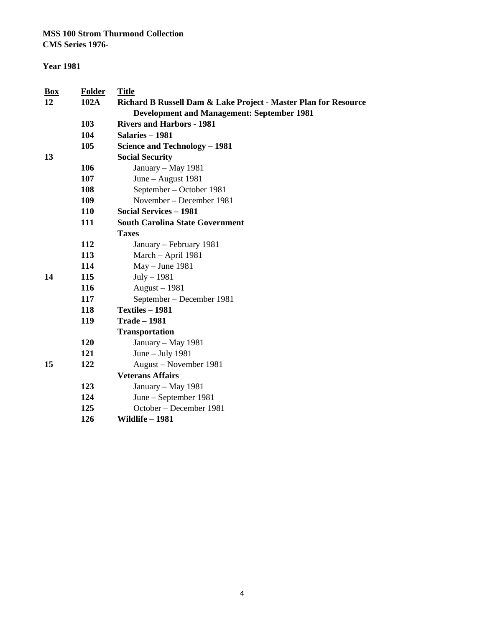**CMS Series 1976-**

#### **Year 1981**

| Box | Folder     | <b>Title</b>                                                    |  |
|-----|------------|-----------------------------------------------------------------|--|
| 12  | 102A       | Richard B Russell Dam & Lake Project - Master Plan for Resource |  |
|     |            | <b>Development and Management: September 1981</b>               |  |
|     | 103        | <b>Rivers and Harbors - 1981</b>                                |  |
|     | 104        | Salaries - 1981                                                 |  |
|     | 105        | Science and Technology - 1981                                   |  |
| 13  |            | <b>Social Security</b>                                          |  |
|     | 106        | January – May 1981                                              |  |
|     | 107        | June - August 1981                                              |  |
|     | 108        | September - October 1981                                        |  |
|     | 109        | November – December 1981                                        |  |
|     | <b>110</b> | <b>Social Services - 1981</b>                                   |  |
|     | 111        | <b>South Carolina State Government</b>                          |  |
|     |            | <b>Taxes</b>                                                    |  |
|     | 112        | January – February 1981                                         |  |
|     | 113        | March - April 1981                                              |  |
|     | 114        | $May - June 1981$                                               |  |
| 14  | 115        | $July-1981$                                                     |  |
|     | 116        | August – 1981                                                   |  |
|     | 117        | September – December 1981                                       |  |
|     | 118        | <b>Textiles - 1981</b>                                          |  |
|     | 119        | <b>Trade - 1981</b>                                             |  |
|     |            | <b>Transportation</b>                                           |  |
|     | 120        | January – May 1981                                              |  |
|     | 121        | June $-$ July 1981                                              |  |
| 15  | 122        | August – November 1981                                          |  |
|     |            | <b>Veterans Affairs</b>                                         |  |
|     | 123        | January - May 1981                                              |  |
|     | 124        | June – September 1981                                           |  |
|     | 125        | October - December 1981                                         |  |
|     | 126        | Wildlife - 1981                                                 |  |
|     |            |                                                                 |  |

4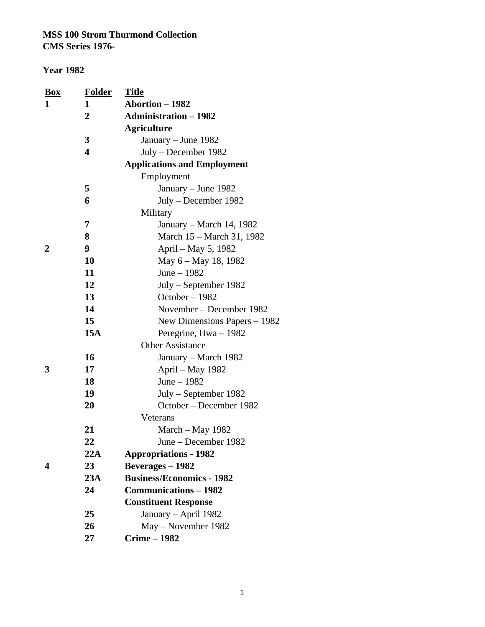| <b>Box</b>     | <b>Folder</b>           | <u>Title</u>                       |
|----------------|-------------------------|------------------------------------|
| 1              | 1                       | Abortion - 1982                    |
|                | $\overline{2}$          | <b>Administration - 1982</b>       |
|                |                         | <b>Agriculture</b>                 |
|                | 3                       | January – June 1982                |
|                | $\overline{\mathbf{4}}$ | July – December 1982               |
|                |                         | <b>Applications and Employment</b> |
|                |                         | Employment                         |
|                | 5                       | January – June 1982                |
|                | 6                       | July – December 1982               |
|                |                         | Military                           |
|                | 7                       | January – March 14, 1982           |
|                | 8                       | March 15 – March 31, 1982          |
| $\overline{2}$ | 9                       | April - May 5, 1982                |
|                | 10                      | May 6 – May 18, 1982               |
|                | 11                      | June $-1982$                       |
|                | 12                      | $July - September 1982$            |
|                | 13                      | October - 1982                     |
|                | 14                      | November – December 1982           |
|                | 15                      | New Dimensions Papers $-1982$      |
|                | 15A                     | Peregrine, $Hwa - 1982$            |
|                |                         | <b>Other Assistance</b>            |
|                | 16                      | January – March 1982               |
| 3              | 17                      | April - May 1982                   |
|                | 18                      | June $-1982$                       |
|                | 19                      | July - September 1982              |
|                | 20                      | October – December 1982            |
|                |                         | Veterans                           |
|                | 21                      | March – May 1982                   |
|                | 22                      | June - December 1982               |
|                | 22A                     | <b>Appropriations - 1982</b>       |
| 4              | 23                      | <b>Beverages</b> – 1982            |
|                | 23A                     | <b>Business/Economics - 1982</b>   |
|                | 24                      | <b>Communications - 1982</b>       |
|                |                         | <b>Constituent Response</b>        |
|                | 25                      | January – April 1982               |
|                | 26                      | May – November 1982                |
|                | 27                      | <b>Crime - 1982</b>                |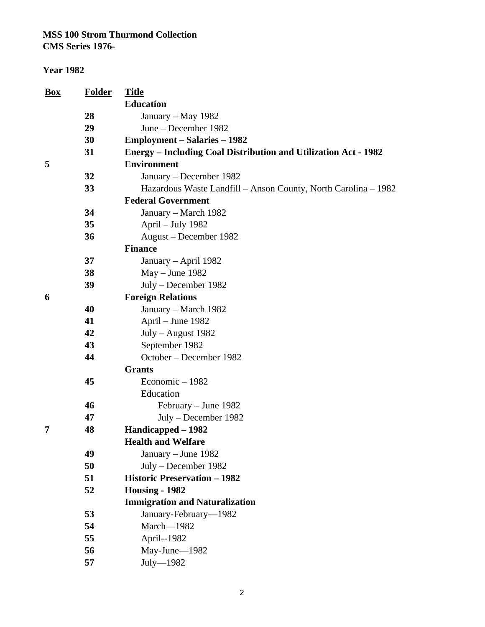**CMS Series 1976-**

| <b>Folder</b> | <b>Title</b>                                                           |
|---------------|------------------------------------------------------------------------|
|               | <b>Education</b>                                                       |
| 28            | January - May 1982                                                     |
| 29            | June – December 1982                                                   |
| 30            | <b>Employment – Salaries – 1982</b>                                    |
| 31            | <b>Energy - Including Coal Distribution and Utilization Act - 1982</b> |
|               | <b>Environment</b>                                                     |
| 32            | January – December 1982                                                |
| 33            | Hazardous Waste Landfill - Anson County, North Carolina - 1982         |
|               | <b>Federal Government</b>                                              |
| 34            | January – March 1982                                                   |
| 35            | April – July 1982                                                      |
| 36            | August – December 1982                                                 |
|               | <b>Finance</b>                                                         |
| 37            | January – April 1982                                                   |
| 38            | $May - June 1982$                                                      |
| 39            | July – December 1982                                                   |
|               | <b>Foreign Relations</b>                                               |
| 40            | January – March 1982                                                   |
| 41            | April - June 1982                                                      |
| 42            | July - August 1982                                                     |
| 43            | September 1982                                                         |
| 44            | October – December 1982                                                |
|               | <b>Grants</b>                                                          |
| 45            | Economic - 1982                                                        |
|               | Education                                                              |
| 46            | February – June 1982                                                   |
| 47            | July – December 1982                                                   |
| 48            | Handicapped - 1982                                                     |
|               | <b>Health and Welfare</b>                                              |
| 49            | January - June 1982                                                    |
|               | July – December 1982                                                   |
| 51            | <b>Historic Preservation - 1982</b>                                    |
|               | Housing - 1982                                                         |
|               | <b>Immigration and Naturalization</b>                                  |
| 53            | January-February-1982                                                  |
| 54            | March-1982                                                             |
|               | April--1982                                                            |
| 56            | May-June-1982                                                          |
| 57            | $July-1982$                                                            |
|               | 50<br>52<br>55                                                         |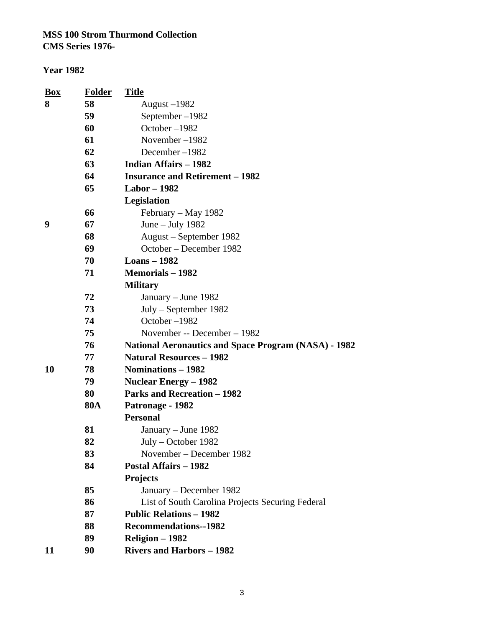| <b>Box</b> | <b>Folder</b>             | <b>Title</b>                                                |  |  |  |
|------------|---------------------------|-------------------------------------------------------------|--|--|--|
| 8          | 58                        | August $-1982$                                              |  |  |  |
|            | 59                        | September-1982                                              |  |  |  |
|            | 60                        | October-1982                                                |  |  |  |
|            | 61                        | November-1982                                               |  |  |  |
|            | 62                        | December-1982                                               |  |  |  |
|            | 63                        | <b>Indian Affairs - 1982</b>                                |  |  |  |
|            | 64                        | <b>Insurance and Retirement - 1982</b>                      |  |  |  |
|            | 65<br><b>Labor – 1982</b> |                                                             |  |  |  |
|            |                           | Legislation                                                 |  |  |  |
|            | 66                        | February – May 1982                                         |  |  |  |
| 9          | 67                        | June $-$ July 1982                                          |  |  |  |
|            | 68                        | August – September 1982                                     |  |  |  |
|            | 69                        | October – December 1982                                     |  |  |  |
|            | 70                        | <b>Loans</b> – 1982                                         |  |  |  |
|            | 71                        | <b>Memorials - 1982</b>                                     |  |  |  |
|            |                           | <b>Military</b>                                             |  |  |  |
|            | 72                        | January - June 1982                                         |  |  |  |
|            | 73                        | $July - September 1982$                                     |  |  |  |
|            | 74                        | October-1982                                                |  |  |  |
|            | 75                        | November -- December – 1982                                 |  |  |  |
|            | 76                        | <b>National Aeronautics and Space Program (NASA) - 1982</b> |  |  |  |
|            | 77                        | <b>Natural Resources - 1982</b>                             |  |  |  |
| <b>10</b>  | 78                        | Nominations - 1982                                          |  |  |  |
|            | 79                        | <b>Nuclear Energy – 1982</b>                                |  |  |  |
|            | 80                        | <b>Parks and Recreation - 1982</b>                          |  |  |  |
|            | <b>80A</b>                | Patronage - 1982                                            |  |  |  |
|            |                           | <b>Personal</b>                                             |  |  |  |
|            | 81                        | January – June 1982                                         |  |  |  |
|            | 82                        | $July - October 1982$                                       |  |  |  |
|            | 83                        | November – December 1982                                    |  |  |  |
|            | 84                        | <b>Postal Affairs - 1982</b>                                |  |  |  |
|            |                           | <b>Projects</b>                                             |  |  |  |
|            | 85                        | January – December 1982                                     |  |  |  |
|            | 86                        | List of South Carolina Projects Securing Federal            |  |  |  |
|            | 87                        | <b>Public Relations - 1982</b>                              |  |  |  |
|            | 88                        | <b>Recommendations--1982</b>                                |  |  |  |
|            | 89                        | Religion - 1982                                             |  |  |  |
| 11         | 90                        | <b>Rivers and Harbors - 1982</b>                            |  |  |  |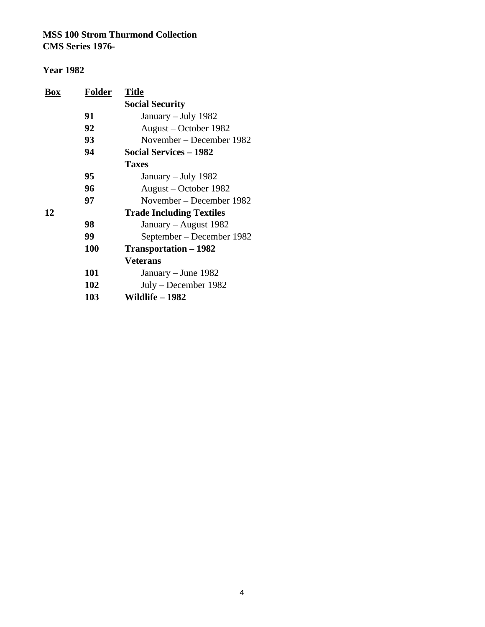| Box | Folder | <b>Title</b>                    |
|-----|--------|---------------------------------|
|     |        | <b>Social Security</b>          |
|     | 91     | January – July 1982             |
|     | 92     | August – October 1982           |
|     | 93     | November – December 1982        |
|     | 94     | <b>Social Services - 1982</b>   |
|     |        | <b>Taxes</b>                    |
|     | 95     | January – July 1982             |
|     | 96     | August – October 1982           |
|     | 97     | November – December 1982        |
| 12  |        | <b>Trade Including Textiles</b> |
|     | 98     | January – August 1982           |
|     | 99     | September – December 1982       |
|     | 100    | Transportation – 1982           |
|     |        | <b>Veterans</b>                 |
|     | 101    | January – June 1982             |
|     | 102    | July – December 1982            |
|     | 103    | Wildlife – 1982                 |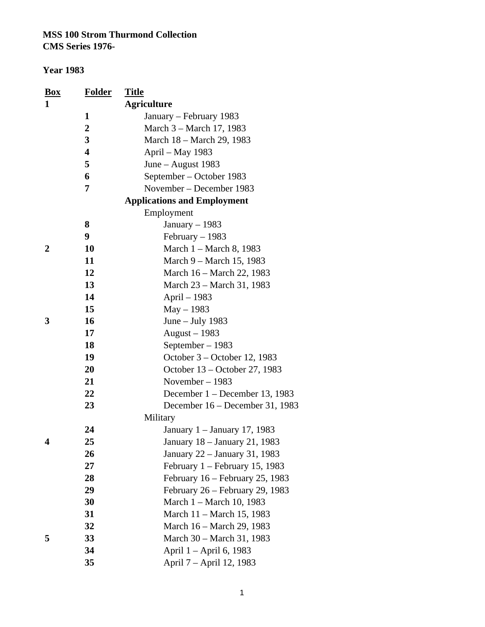| <b>Box</b>  | <b>Folder</b>           | <u>Title</u>                       |
|-------------|-------------------------|------------------------------------|
| 1           |                         | <b>Agriculture</b>                 |
|             | $\mathbf{1}$            | January – February 1983            |
|             | $\boldsymbol{2}$        | March 3 – March 17, 1983           |
|             | 3                       | March 18 – March 29, 1983          |
|             | $\overline{\mathbf{4}}$ | April - May 1983                   |
|             | 5                       | June – August 1983                 |
|             | 6                       | September – October 1983           |
|             | 7                       | November - December 1983           |
|             |                         | <b>Applications and Employment</b> |
|             |                         | Employment                         |
|             | 8                       | January $-1983$                    |
|             | 9                       | February $-1983$                   |
| $\mathbf 2$ | 10                      | March 1 - March 8, 1983            |
|             | 11                      | March 9 – March 15, 1983           |
|             | 12                      | March 16 – March 22, 1983          |
|             | 13                      | March 23 – March 31, 1983          |
|             | 14                      | April – 1983                       |
|             | 15                      | $May - 1983$                       |
| 3           | 16                      | June $-$ July 1983                 |
|             | 17                      | August $-1983$                     |
|             | 18                      | September - 1983                   |
|             | 19                      | October 3 – October 12, 1983       |
|             | 20                      | October 13 – October 27, 1983      |
|             | 21                      | November $-1983$                   |
|             | 22                      | December $1 -$ December 13, 1983   |
|             | 23                      | December 16 - December 31, 1983    |
|             |                         | Military                           |
|             | 24                      | January 1 - January 17, 1983       |
| 4           | 25                      | January 18 – January 21, 1983      |
|             | 26                      | January 22 – January 31, 1983      |
|             | 27                      | February 1 - February 15, 1983     |
|             | 28                      | February 16 – February 25, 1983    |
|             | 29                      | February 26 – February 29, 1983    |
|             | 30                      | March 1 – March 10, 1983           |
|             | 31                      | March 11 – March 15, 1983          |
|             | 32                      | March 16 – March 29, 1983          |
| 5           | 33                      | March 30 – March 31, 1983          |
|             | 34                      | April 1 – April 6, 1983            |
|             | 35                      | April 7 – April 12, 1983           |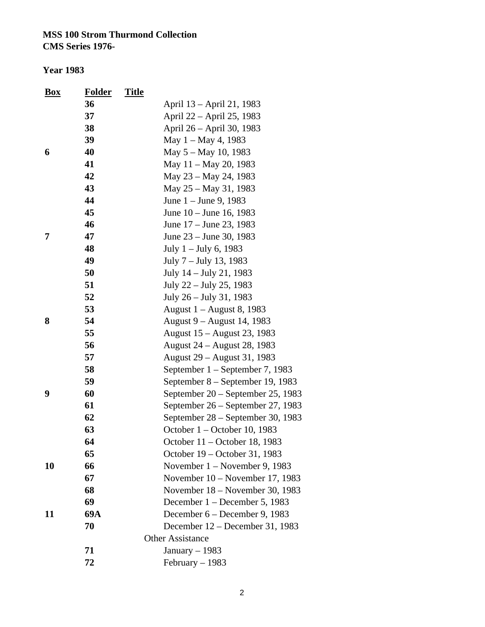| <b>Box</b> | <b>Folder</b> | <b>Title</b> |                                   |
|------------|---------------|--------------|-----------------------------------|
|            | 36            |              | April 13 – April 21, 1983         |
|            | 37            |              | April 22 - April 25, 1983         |
|            | 38            |              | April 26 - April 30, 1983         |
|            | 39            |              | May $1 -$ May 4, 1983             |
| 6          | 40            |              | May 5 – May 10, 1983              |
|            | 41            |              | May 11 – May 20, 1983             |
|            | 42            |              | May 23 – May 24, 1983             |
|            | 43            |              | May 25 – May 31, 1983             |
|            | 44            |              | June 1 – June 9, 1983             |
|            | 45            |              | June 10 – June 16, 1983           |
|            | 46            |              | June 17 – June 23, 1983           |
| 7          | 47            |              | June 23 – June 30, 1983           |
|            | 48            |              | July $1 -$ July 6, 1983           |
|            | 49            |              | July 7 – July 13, 1983            |
|            | 50            |              | July 14 – July 21, 1983           |
|            | 51            |              | July 22 – July 25, 1983           |
|            | 52            |              | July 26 – July 31, 1983           |
|            | 53            |              | August 1 – August 8, 1983         |
| 8          | 54            |              | August 9 – August 14, 1983        |
|            | 55            |              | August 15 – August 23, 1983       |
|            | 56            |              | August 24 – August 28, 1983       |
|            | 57            |              | August 29 – August 31, 1983       |
|            | 58            |              | September 1 – September 7, 1983   |
|            | 59            |              | September 8 – September 19, 1983  |
| 9          | 60            |              | September 20 - September 25, 1983 |
|            | 61            |              | September 26 – September 27, 1983 |
|            | 62            |              | September 28 – September 30, 1983 |
|            | 63            |              | October 1 – October 10, 1983      |
|            | 64            |              | October 11 – October 18, 1983     |
|            | 65            |              | October 19 – October 31, 1983     |
| 10         | 66            |              | November $1 -$ November 9, 1983   |
|            | 67            |              | November $10 -$ November 17, 1983 |
|            | 68            |              | November 18 – November 30, 1983   |
|            | 69            |              | December 1 – December 5, 1983     |
| 11         | 69A           |              | December 6 – December 9, 1983     |
|            | 70            |              | December $12$ – December 31, 1983 |
|            |               |              | <b>Other Assistance</b>           |
|            | 71            |              | January $-1983$                   |
|            | 72            |              | February $-1983$                  |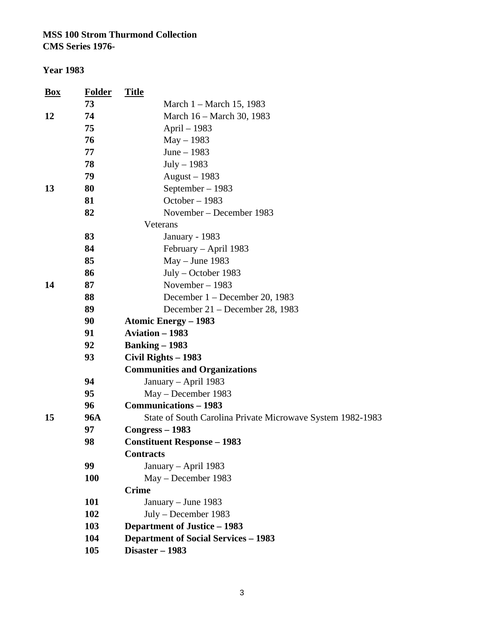**CMS Series 1976-**

| <b>Box</b> | <b>Folder</b> | <b>Title</b>                                               |
|------------|---------------|------------------------------------------------------------|
|            | 73            | March 1 – March 15, 1983                                   |
| 12         | 74            | March 16 – March 30, 1983                                  |
|            | 75            | April – 1983                                               |
|            | 76            | $May - 1983$                                               |
|            | 77            | June $-1983$                                               |
|            | 78            | $July-1983$                                                |
|            | 79            | August $-1983$                                             |
| 13         | 80            | September – 1983                                           |
|            | 81            | October - 1983                                             |
|            | 82            | November – December 1983                                   |
|            |               | Veterans                                                   |
|            | 83            | January - 1983                                             |
|            | 84            | February – April 1983                                      |
|            | 85            | $May - June 1983$                                          |
|            | 86            | July – October 1983                                        |
| 14         | 87            | November - 1983                                            |
|            | 88            | December 1 – December 20, 1983                             |
|            | 89            | December 21 – December 28, 1983                            |
|            | 90            | <b>Atomic Energy - 1983</b>                                |
|            | 91            | <b>Aviation - 1983</b>                                     |
|            | 92            | <b>Banking – 1983</b>                                      |
|            | 93            | Civil Rights - 1983                                        |
|            |               | <b>Communities and Organizations</b>                       |
|            | 94            | January - April 1983                                       |
|            | 95            | May - December 1983                                        |
|            | 96            | <b>Communications - 1983</b>                               |
| 15         | <b>96A</b>    | State of South Carolina Private Microwave System 1982-1983 |
|            | 97            | Congress – 1983                                            |
|            | 98            | <b>Constituent Response - 1983</b>                         |
|            |               | <b>Contracts</b>                                           |
|            | 99            | January - April 1983                                       |
|            | 100           | May – December 1983                                        |
|            |               | <b>Crime</b>                                               |
|            | 101           | January - June 1983                                        |
|            | 102           | July – December 1983                                       |
|            | 103           | <b>Department of Justice - 1983</b>                        |
|            | 104           | <b>Department of Social Services - 1983</b>                |
|            | 105           | Disaster - 1983                                            |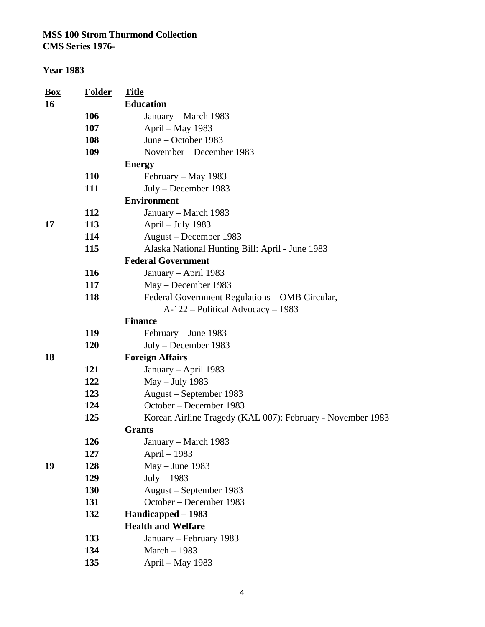#### **Year 1983**

| <b>Box</b> | <b>Folder</b> | <b>Title</b>                                               |
|------------|---------------|------------------------------------------------------------|
| 16         |               | <b>Education</b>                                           |
|            | 106           | January – March 1983                                       |
|            | 107           | April – May 1983                                           |
|            | 108           | June – October 1983                                        |
|            | 109           | November – December 1983                                   |
|            |               | <b>Energy</b>                                              |
|            | <b>110</b>    | February – May 1983                                        |
|            | 111           | July – December 1983                                       |
|            |               | <b>Environment</b>                                         |
|            | 112           | January – March 1983                                       |
| 17         | 113           | April – July 1983                                          |
|            | 114           | August – December 1983                                     |
|            | 115           | Alaska National Hunting Bill: April - June 1983            |
|            |               | <b>Federal Government</b>                                  |
|            | 116           | January - April 1983                                       |
|            | 117           | May – December 1983                                        |
|            | 118           | Federal Government Regulations - OMB Circular,             |
|            |               | A-122 – Political Advocacy – 1983                          |
|            |               | <b>Finance</b>                                             |
|            | 119           | February – June 1983                                       |
|            | <b>120</b>    | July – December 1983                                       |
| 18         |               | <b>Foreign Affairs</b>                                     |
|            | 121           | January - April 1983                                       |
|            | 122           | May - July 1983                                            |
|            | 123           | August – September 1983                                    |
|            | 124           | October – December 1983                                    |
|            | 125           | Korean Airline Tragedy (KAL 007): February - November 1983 |
|            |               | <b>Grants</b>                                              |
|            | 126           | January – March 1983                                       |
|            | 127           | April - 1983                                               |
| 19         | 128           | $May - June 1983$                                          |
|            | 129           | $July - 1983$                                              |
|            | 130           | August – September 1983                                    |
|            | 131           | October - December 1983                                    |
|            | 132           | Handicapped - 1983                                         |
|            |               | <b>Health and Welfare</b>                                  |
|            | 133           | January – February 1983                                    |
|            | 134           | March - 1983                                               |
|            | 135           | April – May 1983                                           |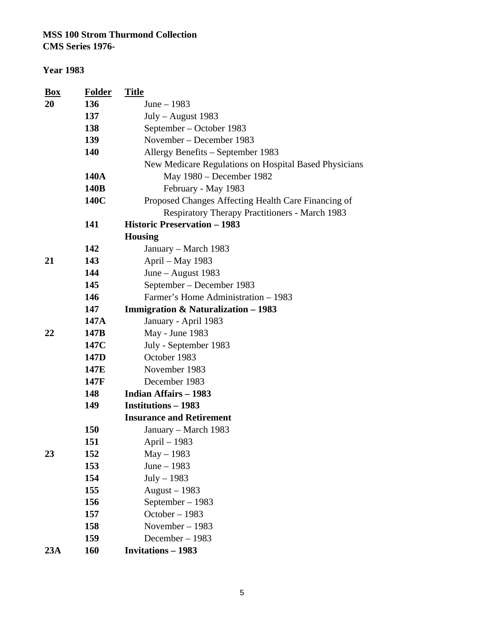| <b>Box</b> | <b>Folder</b>    | <b>Title</b>                                          |
|------------|------------------|-------------------------------------------------------|
| 20         | 136              | June $-1983$                                          |
|            | 137              | July - August 1983                                    |
|            | 138              | September – October 1983                              |
|            | 139              | November – December 1983                              |
|            | 140              | Allergy Benefits - September 1983                     |
|            |                  | New Medicare Regulations on Hospital Based Physicians |
|            | 140A             | May 1980 – December 1982                              |
|            | 140B             | February - May 1983                                   |
|            | 140C             | Proposed Changes Affecting Health Care Financing of   |
|            |                  | <b>Respiratory Therapy Practitioners - March 1983</b> |
|            | 141              | <b>Historic Preservation - 1983</b>                   |
|            |                  | <b>Housing</b>                                        |
|            | 142              | January – March 1983                                  |
| 21         | 143              | April - May 1983                                      |
|            | 144              | June - August 1983                                    |
|            | 145              | September – December 1983                             |
|            | 146              | Farmer's Home Administration - 1983                   |
|            | 147              | <b>Immigration &amp; Naturalization - 1983</b>        |
|            | 147A             | January - April 1983                                  |
| 22         | 147B             | May - June 1983                                       |
|            | 147C             | July - September 1983                                 |
|            | 147 <sub>D</sub> | October 1983                                          |
|            | 147E             | November 1983                                         |
|            | 147F             | December 1983                                         |
|            | 148              | <b>Indian Affairs - 1983</b>                          |
|            | 149              | <b>Institutions – 1983</b>                            |
|            |                  | <b>Insurance and Retirement</b>                       |
|            | 150              | January – March 1983                                  |
|            | 151              | April – 1983                                          |
| 23         | 152              | May - 1983                                            |
|            | 153              | June $-1983$                                          |
|            | 154              | $July - 1983$                                         |
|            | 155              | August $-1983$                                        |
|            | 156              | September - 1983                                      |
|            | 157              | October - 1983                                        |
|            | 158              | November $-1983$                                      |
|            | 159              | December $-1983$                                      |
| 23A        | 160              | <b>Invitations - 1983</b>                             |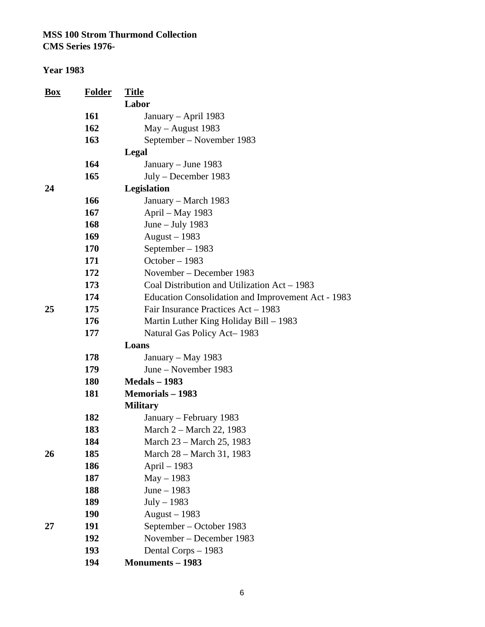| <b>Box</b> | <b>Folder</b> | <b>Title</b>                                              |
|------------|---------------|-----------------------------------------------------------|
|            |               | Labor                                                     |
|            | 161           | January – April 1983                                      |
|            | 162           | May - August 1983                                         |
|            | 163           | September – November 1983                                 |
|            |               | Legal                                                     |
|            | 164           | January – June 1983                                       |
|            | 165           | July - December 1983                                      |
| 24         |               | Legislation                                               |
|            | 166           | January - March 1983                                      |
|            | 167           | April – May 1983                                          |
|            | 168           | June $-$ July 1983                                        |
|            | 169           | August $-1983$                                            |
|            | 170           | September - 1983                                          |
|            | 171           | October - 1983                                            |
|            | 172           | November – December 1983                                  |
|            | 173           | Coal Distribution and Utilization Act – 1983              |
|            | 174           | <b>Education Consolidation and Improvement Act - 1983</b> |
| 25         | 175           | Fair Insurance Practices Act - 1983                       |
|            | 176           | Martin Luther King Holiday Bill – 1983                    |
|            | 177           | Natural Gas Policy Act-1983                               |
|            |               | Loans                                                     |
|            | 178           | January – May 1983                                        |
|            | 179           | June – November 1983                                      |
|            | 180           | <b>Medals - 1983</b>                                      |
|            | 181           | <b>Memorials – 1983</b>                                   |
|            |               | <b>Military</b>                                           |
|            | 182           | January – February 1983                                   |
|            | 183           | March 2 – March 22, 1983                                  |
|            | 184           | March 23 – March 25, 1983                                 |
| 26         | 185           | March 28 – March 31, 1983                                 |
|            | 186           | April $-1983$                                             |
|            | 187           | $May - 1983$                                              |
|            | 188           | June $-1983$                                              |
|            | 189           | $July - 1983$                                             |
|            | 190           | August $-1983$                                            |
| 27         | 191           | September – October 1983                                  |
|            | 192           | November – December 1983                                  |
|            | 193           | Dental Corps - 1983                                       |
|            | 194           | <b>Monuments - 1983</b>                                   |
|            |               |                                                           |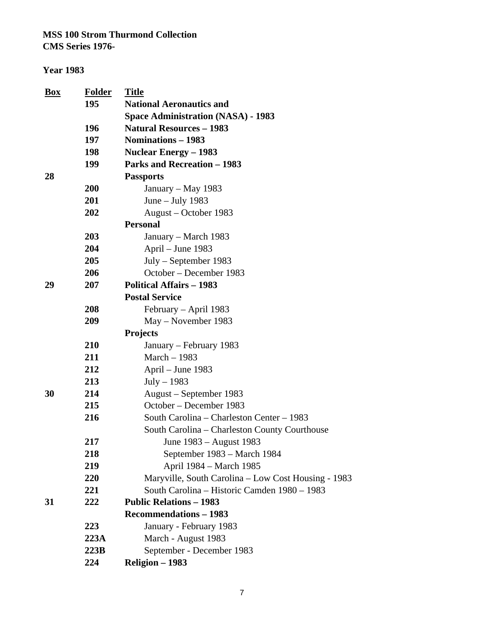| Box | <b>Folder</b> | <b>Title</b>                                        |
|-----|---------------|-----------------------------------------------------|
|     | 195           | <b>National Aeronautics and</b>                     |
|     |               | <b>Space Administration (NASA) - 1983</b>           |
|     | 196           | <b>Natural Resources - 1983</b>                     |
|     | 197           | <b>Nominations - 1983</b>                           |
|     | 198           | <b>Nuclear Energy – 1983</b>                        |
|     | 199           | <b>Parks and Recreation - 1983</b>                  |
| 28  |               | <b>Passports</b>                                    |
|     | 200           | January – May 1983                                  |
|     | 201           | June $-$ July 1983                                  |
|     | 202           | August – October 1983                               |
|     |               | <b>Personal</b>                                     |
|     | 203           | January – March 1983                                |
|     | 204           | April – June 1983                                   |
|     | 205           | $July - September 1983$                             |
|     | 206           | October – December 1983                             |
| 29  | 207           | <b>Political Affairs - 1983</b>                     |
|     |               | <b>Postal Service</b>                               |
|     | 208           | February – April 1983                               |
|     | 209           | May – November 1983                                 |
|     |               | <b>Projects</b>                                     |
|     | 210           | January – February 1983                             |
|     | 211           | March - 1983                                        |
|     | 212           | April – June 1983                                   |
|     | 213           | $July - 1983$                                       |
| 30  | 214           | August – September 1983                             |
|     | 215           | October – December 1983                             |
|     | 216           | South Carolina – Charleston Center – 1983           |
|     |               | South Carolina – Charleston County Courthouse       |
|     | 217           | June 1983 - August 1983                             |
|     | 218           | September 1983 – March 1984                         |
|     | 219           | April 1984 – March 1985                             |
|     | 220           | Maryville, South Carolina - Low Cost Housing - 1983 |
|     | 221           | South Carolina - Historic Camden 1980 - 1983        |
| 31  | 222           | <b>Public Relations - 1983</b>                      |
|     |               | <b>Recommendations - 1983</b>                       |
|     | 223           | January - February 1983                             |
|     | 223A          | March - August 1983                                 |
|     | 223B          | September - December 1983                           |
|     | 224           | Religion - 1983                                     |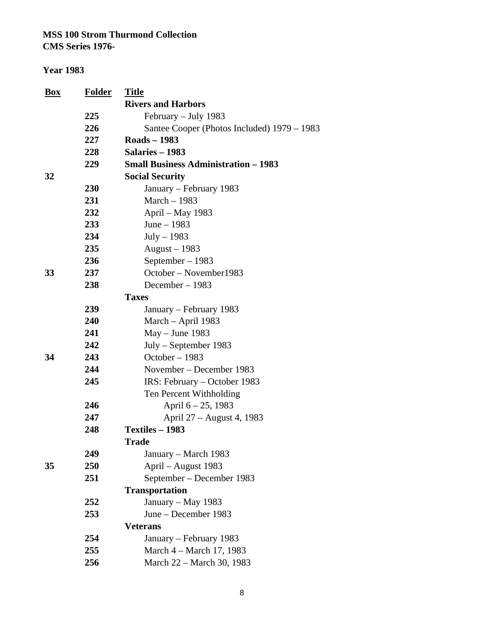**CMS Series 1976-**

| Box | <b>Folder</b> | <b>Title</b>                                |  |  |
|-----|---------------|---------------------------------------------|--|--|
|     |               | <b>Rivers and Harbors</b>                   |  |  |
|     | 225           | February - July 1983                        |  |  |
|     | 226           | Santee Cooper (Photos Included) 1979 – 1983 |  |  |
|     | 227           | <b>Roads - 1983</b>                         |  |  |
|     | 228           | Salaries - 1983                             |  |  |
|     | 229           | <b>Small Business Administration - 1983</b> |  |  |
| 32  |               | <b>Social Security</b>                      |  |  |
|     | 230           | January – February 1983                     |  |  |
|     | 231           | March $-1983$                               |  |  |
|     | 232           | April – May 1983                            |  |  |
|     | 233           | June $-1983$                                |  |  |
|     | 234           | $July - 1983$                               |  |  |
|     | 235           | August $-1983$                              |  |  |
|     | 236           | September - 1983                            |  |  |
| 33  | 237           | October – November1983                      |  |  |
|     | 238           | December - 1983                             |  |  |
|     |               | <b>Taxes</b>                                |  |  |
|     | 239           | January – February 1983                     |  |  |
|     | 240           | March - April 1983                          |  |  |
|     | 241           | $May - June 1983$                           |  |  |
|     | 242           | $July - September 1983$                     |  |  |
| 34  | 243           | October - 1983                              |  |  |
|     | 244           | November – December 1983                    |  |  |
|     | 245           | IRS: February - October 1983                |  |  |
|     |               | Ten Percent Withholding                     |  |  |
|     | 246           | April $6 - 25$ , 1983                       |  |  |
|     | 247           | April 27 – August 4, 1983                   |  |  |
|     | 248           | Textiles - 1983                             |  |  |
|     |               | Trade                                       |  |  |
|     | 249           | January – March 1983                        |  |  |
| 35  | 250           | April – August 1983                         |  |  |
|     | 251           | September – December 1983                   |  |  |
|     |               | <b>Transportation</b>                       |  |  |
|     | 252           | January – May 1983                          |  |  |
|     | 253           | June – December 1983                        |  |  |
|     |               | <b>Veterans</b>                             |  |  |
|     | 254           | January – February 1983                     |  |  |
|     | 255           | March 4 – March 17, 1983                    |  |  |
|     | 256           | March 22 - March 30, 1983                   |  |  |
|     |               |                                             |  |  |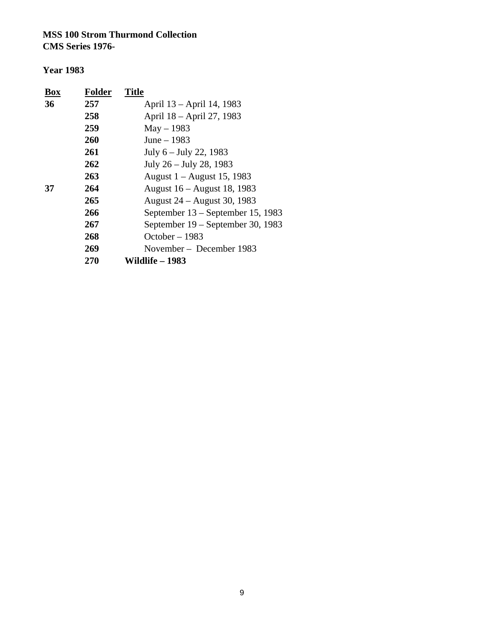| Box | <b>Folder</b> | <b>Title</b>                      |
|-----|---------------|-----------------------------------|
| 36  | 257           | April 13 – April 14, 1983         |
|     | 258           | April 18 – April 27, 1983         |
|     | 259           | $May - 1983$                      |
|     | 260           | June $-1983$                      |
|     | 261           | July 6 – July 22, 1983            |
|     | 262           | July 26 – July 28, 1983           |
|     | 263           | August 1 – August 15, 1983        |
| 37  | 264           | August 16 – August 18, 1983       |
|     | 265           | August 24 – August 30, 1983       |
|     | 266           | September 13 – September 15, 1983 |
|     | 267           | September 19 – September 30, 1983 |
|     | 268           | October $-1983$                   |
|     | 269           | November - December 1983          |
|     | 270           | Wildlife – 1983                   |
|     |               |                                   |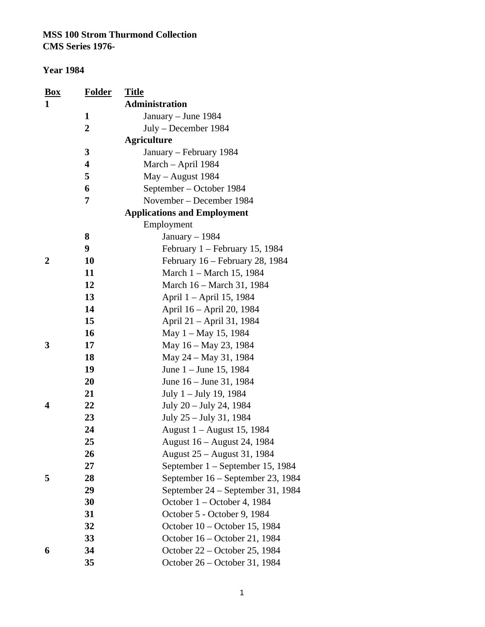| <b>Box</b> | <b>Folder</b>  | <b>Title</b>                       |
|------------|----------------|------------------------------------|
| 1          |                | <b>Administration</b>              |
|            | 1              | January – June 1984                |
|            | $\overline{2}$ | July – December 1984               |
|            |                | <b>Agriculture</b>                 |
|            | 3              | January – February 1984            |
|            | 4              | March - April 1984                 |
|            | 5              | May - August 1984                  |
|            | 6              | September – October 1984           |
|            | 7              | November – December 1984           |
|            |                | <b>Applications and Employment</b> |
|            |                | Employment                         |
|            | 8              | January $-1984$                    |
|            | 9              | February 1 - February 15, 1984     |
| 2          | 10             | February 16 – February 28, 1984    |
|            | 11             | March 1 – March 15, 1984           |
|            | 12             | March 16 – March 31, 1984          |
|            | 13             | April 1 - April 15, 1984           |
|            | 14             | April 16 – April 20, 1984          |
|            | 15             | April 21 – April 31, 1984          |
|            | 16             | May $1 -$ May 15, 1984             |
| 3          | 17             | May 16 – May 23, 1984              |
|            | 18             | May 24 – May 31, 1984              |
|            | 19             | June 1 – June 15, 1984             |
|            | 20             | June 16 – June 31, 1984            |
|            | 21             | July 1 – July 19, 1984             |
| 4          | 22             | July 20 – July 24, 1984            |
|            | 23             | July 25 – July 31, 1984            |
|            | 24             | August 1 – August 15, 1984         |
|            | 25             | August 16 - August 24, 1984        |
|            | 26             | August 25 – August 31, 1984        |
|            | 27             | September 1 – September 15, 1984   |
| 5          | 28             | September 16 – September 23, 1984  |
|            | 29             | September 24 – September 31, 1984  |
|            | 30             | October 1 – October 4, 1984        |
|            | 31             | October 5 - October 9, 1984        |
|            | 32             | October 10 – October 15, 1984      |
|            | 33             | October 16 - October 21, 1984      |
| 6          | 34             | October 22 - October 25, 1984      |
|            | 35             | October 26 – October 31, 1984      |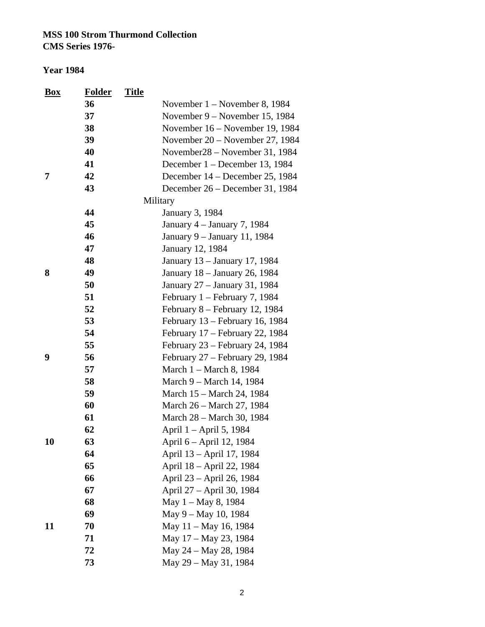| <b>Box</b> | <b>Folder</b> | <b>Title</b> |                                 |
|------------|---------------|--------------|---------------------------------|
|            | 36            |              | November $1 -$ November 8, 1984 |
|            | 37            |              | November 9 – November 15, 1984  |
|            | 38            |              | November 16 – November 19, 1984 |
|            | 39            |              | November 20 – November 27, 1984 |
|            | 40            |              | November 28 – November 31, 1984 |
|            | 41            |              | December 1 – December 13, 1984  |
| 7          | 42            |              | December 14 - December 25, 1984 |
|            | 43            |              | December 26 – December 31, 1984 |
|            |               |              | Military                        |
|            | 44            |              | <b>January 3, 1984</b>          |
|            | 45            |              | January $4$ – January 7, 1984   |
|            | 46            |              | January 9 - January 11, 1984    |
|            | 47            |              | January 12, 1984                |
|            | 48            |              | January 13 – January 17, 1984   |
| 8          | 49            |              | January 18 - January 26, 1984   |
|            | 50            |              | January 27 - January 31, 1984   |
|            | 51            |              | February 1 – February 7, 1984   |
|            | 52            |              | February 8 - February 12, 1984  |
|            | 53            |              | February 13 – February 16, 1984 |
|            | 54            |              | February 17 – February 22, 1984 |
|            | 55            |              | February 23 – February 24, 1984 |
| 9          | 56            |              | February 27 - February 29, 1984 |
|            | 57            |              | March 1 - March 8, 1984         |
|            | 58            |              | March 9 – March 14, 1984        |
|            | 59            |              | March 15 – March 24, 1984       |
|            | 60            |              | March 26 – March 27, 1984       |
|            | 61            |              | March 28 - March 30, 1984       |
|            | 62            |              | April 1 – April 5, 1984         |
| 10         | 63            |              | April 6 – April 12, 1984        |
|            | 64            |              | April 13 - April 17, 1984       |
|            | 65            |              | April 18 - April 22, 1984       |
|            | 66            |              | April 23 - April 26, 1984       |
|            | 67            |              | April 27 - April 30, 1984       |
|            | 68            |              | May 1 – May 8, 1984             |
|            | 69            |              | May 9 – May 10, 1984            |
| 11         | 70            |              | May 11 - May 16, 1984           |
|            | 71            |              | May 17 - May 23, 1984           |
|            | 72            |              | May 24 - May 28, 1984           |
|            | 73            |              | May 29 - May 31, 1984           |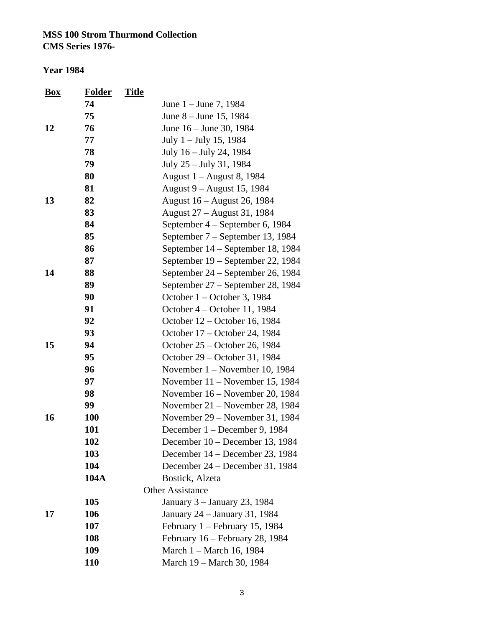| <b>Box</b> | <b>Folder</b> | <b>Title</b> |                                   |
|------------|---------------|--------------|-----------------------------------|
|            | 74            |              | June 1 – June 7, 1984             |
|            | 75            |              | June 8 – June 15, 1984            |
| 12         | 76            |              | June 16 – June 30, 1984           |
|            | 77            |              | July $1 -$ July 15, 1984          |
|            | 78            |              | July 16 – July 24, 1984           |
|            | 79            |              | July 25 - July 31, 1984           |
|            | 80            |              | August 1 – August 8, 1984         |
|            | 81            |              | August 9 – August 15, 1984        |
| 13         | 82            |              | August 16 – August 26, 1984       |
|            | 83            |              | August 27 – August 31, 1984       |
|            | 84            |              | September 4 – September 6, 1984   |
|            | 85            |              | September 7 – September 13, 1984  |
|            | 86            |              | September 14 – September 18, 1984 |
|            | 87            |              | September 19 – September 22, 1984 |
| 14         | 88            |              | September 24 – September 26, 1984 |
|            | 89            |              | September 27 – September 28, 1984 |
|            | 90            |              | October 1 – October 3, 1984       |
|            | 91            |              | October 4 – October 11, 1984      |
|            | 92            |              | October 12 – October 16, 1984     |
|            | 93            |              | October 17 - October 24, 1984     |
| 15         | 94            |              | October 25 – October 26, 1984     |
|            | 95            |              | October 29 – October 31, 1984     |
|            | 96            |              | November $1 -$ November 10, 1984  |
|            | 97            |              | November $11$ – November 15, 1984 |
|            | 98            |              | November 16 – November 20, 1984   |
|            | 99            |              | November 21 – November 28, 1984   |
| 16         | 100           |              | November 29 – November 31, 1984   |
|            | 101           |              | December 1 – December 9, 1984     |
|            | 102           |              | December 10 – December 13, 1984   |
|            | 103           |              | December 14 – December 23, 1984   |
|            | 104           |              | December 24 – December 31, 1984   |
|            | 104A          |              | Bostick, Alzeta                   |
|            |               |              | <b>Other Assistance</b>           |
|            | 105           |              | January 3 - January 23, 1984      |
| 17         | 106           |              | January 24 – January 31, 1984     |
|            | 107           |              | February $1 -$ February 15, 1984  |
|            | 108           |              | February 16 – February 28, 1984   |
|            | 109           |              | March 1 – March 16, 1984          |
|            | 110           |              | March 19 - March 30, 1984         |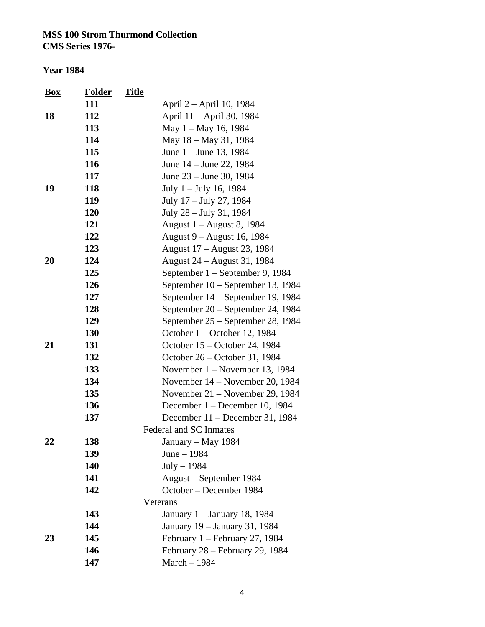| <b>Box</b> | <b>Folder</b> | <b>Title</b>                      |
|------------|---------------|-----------------------------------|
|            | 111           | April 2 – April 10, 1984          |
| 18         | 112           | April 11 - April 30, 1984         |
|            | 113           | May 1 – May 16, 1984              |
|            | 114           | May 18 – May 31, 1984             |
|            | 115           | June 1 – June 13, 1984            |
|            | 116           | June 14 – June 22, 1984           |
|            | 117           | June 23 – June 30, 1984           |
| 19         | 118           | July 1 – July 16, 1984            |
|            | 119           | July 17 – July 27, 1984           |
|            | 120           | July 28 – July 31, 1984           |
|            | 121           | August 1 – August 8, 1984         |
|            | 122           | August 9 - August 16, 1984        |
|            | 123           | August 17 – August 23, 1984       |
| 20         | 124           | August 24 – August 31, 1984       |
|            | 125           | September 1 – September 9, 1984   |
|            | 126           | September 10 – September 13, 1984 |
|            | 127           | September 14 – September 19, 1984 |
|            | 128           | September 20 – September 24, 1984 |
|            | 129           | September 25 – September 28, 1984 |
|            | 130           | October 1 – October 12, 1984      |
| 21         | 131           | October 15 – October 24, 1984     |
|            | 132           | October 26 – October 31, 1984     |
|            | 133           | November $1 -$ November 13, 1984  |
|            | 134           | November 14 – November 20, 1984   |
|            | 135           | November $21$ – November 29, 1984 |
|            | 136           | December 1 – December 10, 1984    |
|            | 137           | December 11 - December 31, 1984   |
|            |               | Federal and SC Inmates            |
| 22         | 138           | January - May 1984                |
|            | 139           | June - 1984                       |
|            | 140           | $July-1984$                       |
|            | 141           | August – September 1984           |
|            | 142           | October - December 1984           |
|            |               | Veterans                          |
|            | 143           | January 1 - January 18, 1984      |
|            | 144           | January 19 - January 31, 1984     |
| 23         | 145           | February 1 – February 27, 1984    |
|            | 146           | February 28 – February 29, 1984   |
|            | 147           | March - 1984                      |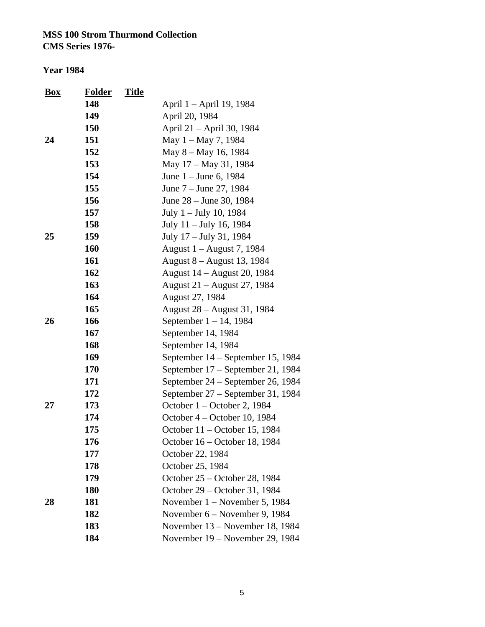| <b>Box</b> | <b>Folder</b> | <b>Title</b> |                                   |
|------------|---------------|--------------|-----------------------------------|
|            | 148           |              | April 1 - April 19, 1984          |
|            | 149           |              | April 20, 1984                    |
|            | 150           |              | April 21 – April 30, 1984         |
| 24         | 151           |              | May 1 – May 7, 1984               |
|            | 152           |              | May 8 – May 16, 1984              |
|            | 153           |              | May 17 - May 31, 1984             |
|            | 154           |              | June 1 – June 6, 1984             |
|            | 155           |              | June 7 – June 27, 1984            |
|            | 156           |              | June 28 – June 30, 1984           |
|            | 157           |              | July 1 – July 10, 1984            |
|            | 158           |              | July 11 - July 16, 1984           |
| 25         | 159           |              | July 17 – July 31, 1984           |
|            | 160           |              | August 1 – August 7, 1984         |
|            | 161           |              | August 8 - August 13, 1984        |
|            | 162           |              | August 14 – August 20, 1984       |
|            | 163           |              | August 21 – August 27, 1984       |
|            | 164           |              | August 27, 1984                   |
|            | 165           |              | August 28 – August 31, 1984       |
| 26         | 166           |              | September $1 - 14$ , 1984         |
|            | 167           |              | September 14, 1984                |
|            | 168           |              | September 14, 1984                |
|            | 169           |              | September 14 - September 15, 1984 |
|            | 170           |              | September 17 – September 21, 1984 |
|            | 171           |              | September 24 – September 26, 1984 |
|            | 172           |              | September 27 – September 31, 1984 |
| 27         | 173           |              | October 1 – October 2, 1984       |
|            | 174           |              | October 4 – October 10, 1984      |
|            | 175           |              | October 11 – October 15, 1984     |
|            | 176           |              | October 16 - October 18, 1984     |
|            | 177           |              | October 22, 1984                  |
|            | 178           |              | October 25, 1984                  |
|            | 179           |              | October 25 – October 28, 1984     |
|            | <b>180</b>    |              | October 29 – October 31, 1984     |
| 28         | 181           |              | November $1 -$ November 5, 1984   |
|            | 182           |              | November 6 – November 9, 1984     |
|            | 183           |              | November 13 - November 18, 1984   |
|            | 184           |              | November 19 – November 29, 1984   |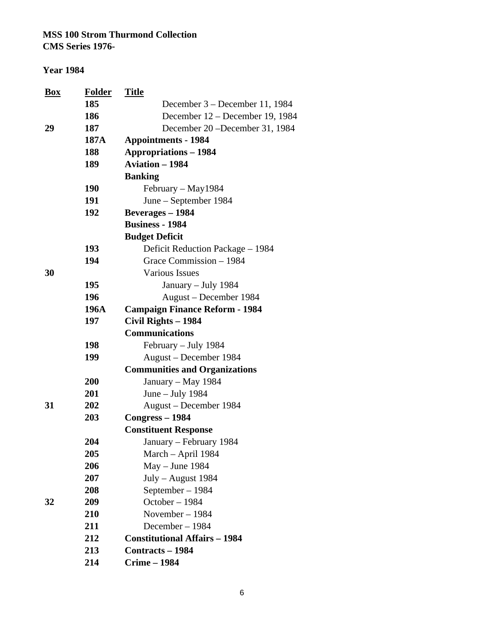**CMS Series 1976-**

| <b>Box</b> | <b>Folder</b> | <u>Title</u>                          |
|------------|---------------|---------------------------------------|
|            | 185           | December 3 – December 11, 1984        |
|            | 186           | December 12 – December 19, 1984       |
| 29         | 187           | December 20 – December 31, 1984       |
|            | 187A          | <b>Appointments - 1984</b>            |
|            | 188           | <b>Appropriations - 1984</b>          |
|            | 189           | <b>Aviation - 1984</b>                |
|            |               | <b>Banking</b>                        |
|            | 190           | February - May1984                    |
|            | 191           | June – September 1984                 |
|            | 192           | <b>Beverages - 1984</b>               |
|            |               | <b>Business - 1984</b>                |
|            |               | <b>Budget Deficit</b>                 |
|            | 193           | Deficit Reduction Package - 1984      |
|            | 194           | Grace Commission - 1984               |
| 30         |               | <b>Various Issues</b>                 |
|            | 195           | January - July 1984                   |
|            | 196           | August – December 1984                |
|            | 196A          | <b>Campaign Finance Reform - 1984</b> |
|            | 197           | Civil Rights - 1984                   |
|            |               | <b>Communications</b>                 |
|            | 198           | February - July 1984                  |
|            | 199           | August – December 1984                |
|            |               | <b>Communities and Organizations</b>  |
|            | 200           | January – May 1984                    |
|            | 201           | June – July 1984                      |
| 31         | 202           | August – December 1984                |
|            | 203           | Congress - 1984                       |
|            |               | <b>Constituent Response</b>           |
|            | 204           | January – February 1984               |
|            | 205           | March - April 1984                    |
|            | 206           | May - June 1984                       |
|            | 207           | $July - August 1984$                  |
|            | 208           | September - 1984                      |
| 32         | 209           | October - 1984                        |
|            | 210           | November $-1984$                      |
|            | 211           | December $-1984$                      |
|            | 212           | <b>Constitutional Affairs - 1984</b>  |
|            | 213           | <b>Contracts – 1984</b>               |
|            | 214           | <b>Crime - 1984</b>                   |
|            |               |                                       |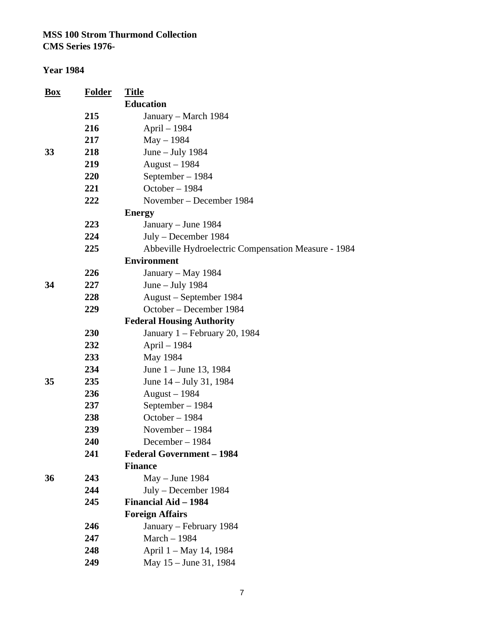| <u>Box</u> | <b>Folder</b> | <b>Title</b>                                        |
|------------|---------------|-----------------------------------------------------|
|            |               | <b>Education</b>                                    |
|            | 215           | January – March 1984                                |
|            | 216           | April - 1984                                        |
|            | 217           | $May - 1984$                                        |
| 33         | 218           | June $-$ July 1984                                  |
|            | 219           | August - 1984                                       |
|            | 220           | September - 1984                                    |
|            | 221           | October - 1984                                      |
|            | 222           | November – December 1984                            |
|            |               | <b>Energy</b>                                       |
|            | 223           | January – June 1984                                 |
|            | 224           | July – December 1984                                |
|            | 225           | Abbeville Hydroelectric Compensation Measure - 1984 |
|            |               | <b>Environment</b>                                  |
|            | 226           | January - May 1984                                  |
| 34         | 227           | June $-$ July 1984                                  |
|            | 228           | August – September 1984                             |
|            | 229           | October - December 1984                             |
|            |               | <b>Federal Housing Authority</b>                    |
|            | 230           | January 1 – February 20, 1984                       |
|            | 232           | April - 1984                                        |
|            | 233           | May 1984                                            |
|            | 234           | June $1 -$ June 13, 1984                            |
| 35         | 235           | June 14 - July 31, 1984                             |
|            | 236           | August $-1984$                                      |
|            | 237           | September - 1984                                    |
|            | 238           | October - 1984                                      |
|            | 239           | November - 1984                                     |
|            | 240           | December $-1984$                                    |
|            | 241           | <b>Federal Government - 1984</b>                    |
|            |               | <b>Finance</b>                                      |
| 36         | 243           | $May - June 1984$                                   |
|            | 244           | July – December 1984                                |
|            | 245           | <b>Financial Aid - 1984</b>                         |
|            |               | <b>Foreign Affairs</b>                              |
|            | 246           | January - February 1984                             |
|            | 247           | March - 1984                                        |
|            | 248           | April 1 – May 14, 1984                              |
|            | 249           | May 15 - June 31, 1984                              |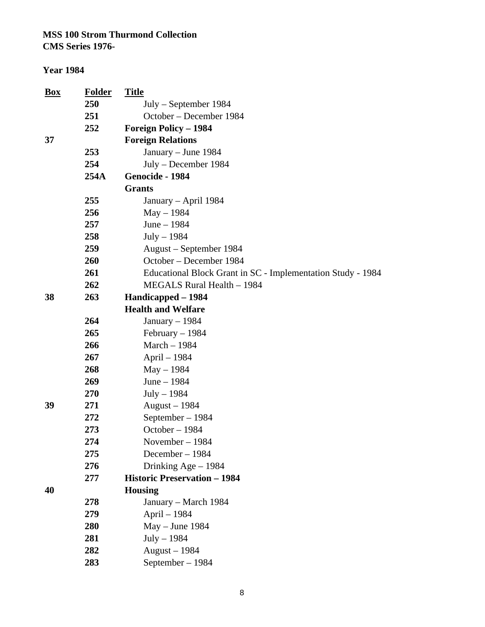**CMS Series 1976-**

#### **Year 1984**

| <b>Box</b> | <b>Folder</b> | <b>Title</b>                                                |
|------------|---------------|-------------------------------------------------------------|
|            | 250           | July – September 1984                                       |
|            | 251           | October - December 1984                                     |
|            | 252           | <b>Foreign Policy - 1984</b>                                |
| 37         |               | <b>Foreign Relations</b>                                    |
|            | 253           | January – June 1984                                         |
|            | 254           | July - December 1984                                        |
|            | 254A          | Genocide - 1984                                             |
|            |               | <b>Grants</b>                                               |
|            | 255           | January – April 1984                                        |
|            | 256           | $May - 1984$                                                |
|            | 257           | June $-1984$                                                |
|            | 258           | $July - 1984$                                               |
|            | 259           | August – September 1984                                     |
|            | 260           | October – December 1984                                     |
|            | 261           | Educational Block Grant in SC - Implementation Study - 1984 |
|            | 262           | MEGALS Rural Health - 1984                                  |
| 38         | 263           | Handicapped - 1984                                          |
|            |               | <b>Health and Welfare</b>                                   |
|            | 264           | January $-1984$                                             |
|            | 265           | $February - 1984$                                           |
|            | 266           | March - 1984                                                |
|            | 267           | April - 1984                                                |
|            | 268           | $May - 1984$                                                |
|            | 269           | June - 1984                                                 |
|            | 270           | $July - 1984$                                               |
| 39         | 271           | August $-1984$                                              |
|            | 272           | September - 1984                                            |
|            | 273           | October - 1984                                              |
|            | 274           | November $-1984$                                            |
|            | 275           | December - 1984                                             |
|            | 276           | Drinking Age $-1984$                                        |
|            | 277           | <b>Historic Preservation - 1984</b>                         |
| 40         |               | <b>Housing</b>                                              |
|            | 278           | January – March 1984                                        |
|            | 279           | April - 1984                                                |
|            | 280           | $May - June 1984$                                           |
|            | 281           | $July - 1984$                                               |
|            | 282           | August $-1984$                                              |
|            | 283           | September - 1984                                            |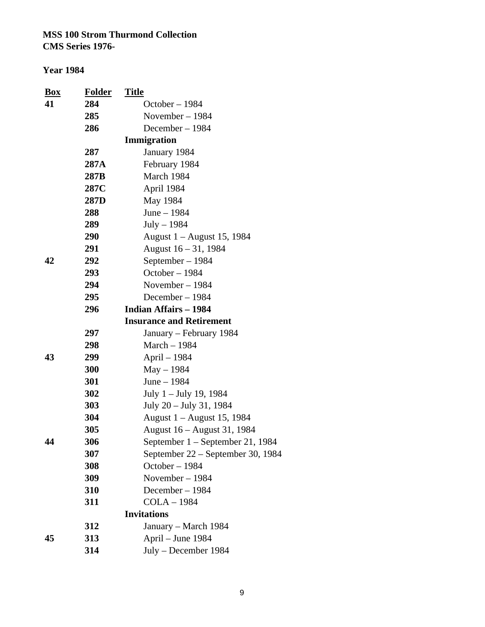| <u>Box</u> | <b>Folder</b> | <u>Title</u>                      |
|------------|---------------|-----------------------------------|
| 41         | 284           | October-1984                      |
|            | 285           | November-1984                     |
|            | 286           | December - 1984                   |
|            |               | Immigration                       |
|            | 287           | January 1984                      |
|            | 287A          | February 1984                     |
|            | 287B          | March 1984                        |
|            | 287C          | April 1984                        |
|            | 287D          | May 1984                          |
|            | 288           | June $-1984$                      |
|            | 289           | $July - 1984$                     |
|            | 290           | August 1 – August 15, 1984        |
|            | 291           | August 16 - 31, 1984              |
| 42         | 292           | September – 1984                  |
|            | 293           | October $-1984$                   |
|            | 294           | November $-1984$                  |
|            | 295           | December-1984                     |
|            | 296           | <b>Indian Affairs - 1984</b>      |
|            |               | <b>Insurance and Retirement</b>   |
|            | 297           | January – February 1984           |
|            | 298           | March - 1984                      |
| 43         | 299           | April – 1984                      |
|            | 300           | $May - 1984$                      |
|            | 301           | June - 1984                       |
|            | 302           | July 1 – July 19, 1984            |
|            | 303           | July 20 – July 31, 1984           |
|            | 304           | August 1 – August 15, 1984        |
|            | 305           | August 16 – August 31, 1984       |
| 44         | 306           | September 1 – September 21, 1984  |
|            | 307           | September 22 – September 30, 1984 |
|            | 308           | October-1984                      |
|            | 309           | November - 1984                   |
|            | 310           | December-1984                     |
|            | 311           | <b>COLA-1984</b>                  |
|            |               | <b>Invitations</b>                |
|            | 312           | January – March 1984              |
| 45         | 313           | April - June 1984                 |
|            | 314           | July – December 1984              |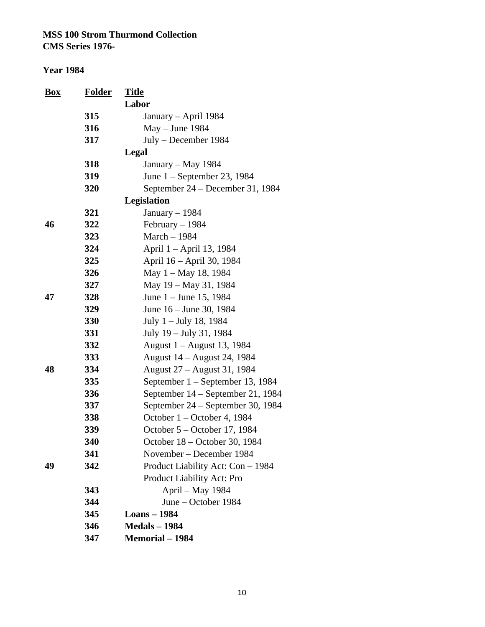| <b>Box</b> | <u>Folder</u> | <b>Title</b>                      |
|------------|---------------|-----------------------------------|
|            |               | Labor                             |
|            | 315           | January – April 1984              |
|            | 316           | $May - June 1984$                 |
|            | 317           | July – December 1984              |
|            |               | Legal                             |
|            | 318           | January – May 1984                |
|            | 319           | June $1$ – September 23, 1984     |
|            | 320           | September 24 - December 31, 1984  |
|            |               | <b>Legislation</b>                |
|            | 321           | January $-1984$                   |
| 46         | 322           | February $-1984$                  |
|            | 323           | March - 1984                      |
|            | 324           | April 1 – April 13, 1984          |
|            | 325           | April 16 – April 30, 1984         |
|            | 326           | May 1 – May 18, 1984              |
|            | 327           | May 19 – May 31, 1984             |
| 47         | 328           | June $1 -$ June 15, 1984          |
|            | 329           | June 16 – June 30, 1984           |
|            | 330           | July 1 – July 18, 1984            |
|            | 331           | July 19 – July 31, 1984           |
|            | 332           | August 1 – August 13, 1984        |
|            | 333           | August 14 – August 24, 1984       |
| 48         | 334           | August 27 – August 31, 1984       |
|            | 335           | September 1 – September 13, 1984  |
|            | 336           | September 14 – September 21, 1984 |
|            | 337           | September 24 – September 30, 1984 |
|            | 338           | October 1 – October 4, 1984       |
|            | 339           | October 5 – October 17, 1984      |
|            | 340           | October 18 - October 30, 1984     |
|            | 341           | November – December 1984          |
| 49         | 342           | Product Liability Act: Con - 1984 |
|            |               | <b>Product Liability Act: Pro</b> |
|            | 343           | April - May 1984                  |
|            | 344           | June – October 1984               |
|            | 345           | <b>Loans</b> – 1984               |
|            | 346           | <b>Medals - 1984</b>              |
|            | 347           | <b>Memorial</b> – 1984            |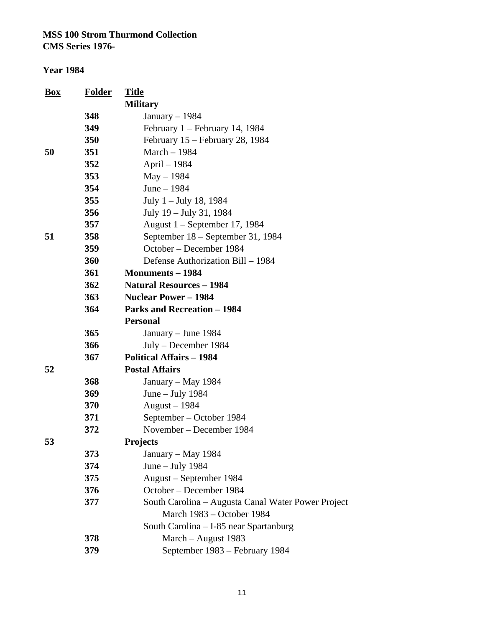| <u>Box</u> | <b>Folder</b> | <u>Title</u>                                       |
|------------|---------------|----------------------------------------------------|
|            |               | <b>Military</b>                                    |
|            | 348           | January $-1984$                                    |
|            | 349           | February $1 -$ February 14, 1984                   |
|            | 350           | February 15 - February 28, 1984                    |
| 50         | 351           | March - 1984                                       |
|            | 352           | April – 1984                                       |
|            | 353           | $May - 1984$                                       |
|            | 354           | June $-1984$                                       |
|            | 355           | July 1 – July 18, 1984                             |
|            | 356           | July 19 – July 31, 1984                            |
|            | 357           | August 1 - September 17, 1984                      |
| 51         | 358           | September 18 – September 31, 1984                  |
|            | 359           | October – December 1984                            |
|            | 360           | Defense Authorization Bill - 1984                  |
|            | 361           | <b>Monuments</b> – 1984                            |
|            | 362           | <b>Natural Resources - 1984</b>                    |
|            | 363           | <b>Nuclear Power - 1984</b>                        |
|            | 364           | <b>Parks and Recreation - 1984</b>                 |
|            |               | <b>Personal</b>                                    |
|            | 365           | January – June 1984                                |
|            | 366           | July - December 1984                               |
|            | 367           | <b>Political Affairs - 1984</b>                    |
| 52         |               | <b>Postal Affairs</b>                              |
|            | 368           | January - May 1984                                 |
|            | 369           | June - July 1984                                   |
|            | 370           | August $-1984$                                     |
|            | 371           | September – October 1984                           |
|            | 372           | November – December 1984                           |
| 53         |               | <b>Projects</b>                                    |
|            | 373           | January – May 1984                                 |
|            | 374           | June - July 1984                                   |
|            | 375           | August - September 1984                            |
|            | 376           | October - December 1984                            |
|            | 377           | South Carolina - Augusta Canal Water Power Project |
|            |               | March 1983 – October 1984                          |
|            |               | South Carolina - I-85 near Spartanburg             |
|            | 378           | March - August 1983                                |
|            | 379           | September 1983 – February 1984                     |
|            |               |                                                    |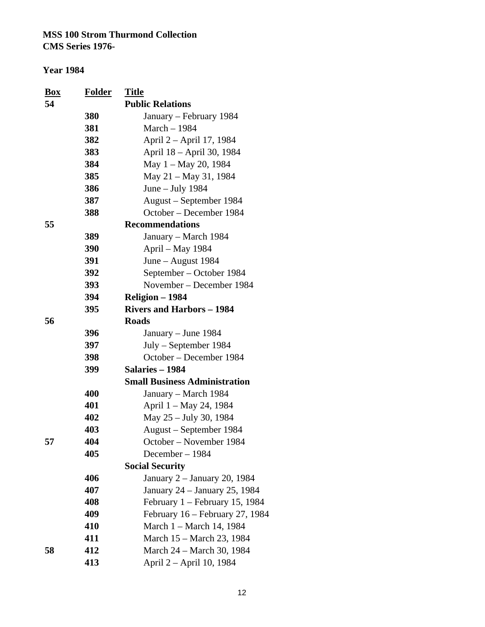| Box | <b>Folder</b>     | <u>Title</u>                            |
|-----|-------------------|-----------------------------------------|
| 54  |                   | <b>Public Relations</b>                 |
|     | <b>380</b><br>381 | January – February 1984<br>March - 1984 |
|     |                   |                                         |
|     | 382               | April 2 – April 17, 1984                |
|     | 383               | April 18 - April 30, 1984               |
|     | 384               | May 1 – May 20, 1984                    |
|     | 385               | May 21 - May 31, 1984                   |
|     | 386               | June $-$ July 1984                      |
|     | 387               | August – September 1984                 |
|     | 388               | October – December 1984                 |
| 55  |                   | <b>Recommendations</b>                  |
|     | 389               | January – March 1984                    |
|     | 390               | April - May 1984                        |
|     | 391               | June – August 1984                      |
|     | 392               | September – October 1984                |
|     | 393               | November – December 1984                |
|     | 394               | Religion - 1984                         |
|     | 395               | <b>Rivers and Harbors - 1984</b>        |
| 56  |                   | <b>Roads</b>                            |
|     | 396               | January – June 1984                     |
|     | 397               | July – September 1984                   |
|     | 398               | October - December 1984                 |
|     | 399               | Salaries - 1984                         |
|     |                   | <b>Small Business Administration</b>    |
|     | 400               | January – March 1984                    |
|     | 401               | April 1 - May 24, 1984                  |
|     | 402               | May 25 - July 30, 1984                  |
|     | 403               | August – September 1984                 |
| 57  | 404               | October - November 1984                 |
|     | 405               | December - 1984                         |
|     |                   | <b>Social Security</b>                  |
|     | 406               | January 2 - January 20, 1984            |
|     | 407               | January 24 – January 25, 1984           |
|     | 408               | February $1 -$ February 15, 1984        |
|     | 409               | February 16 - February 27, 1984         |
|     | 410               | March 1 – March 14, 1984                |
|     | 411               | March 15 – March 23, 1984               |
| 58  | 412               | March 24 – March 30, 1984               |
|     | 413               | April 2 – April 10, 1984                |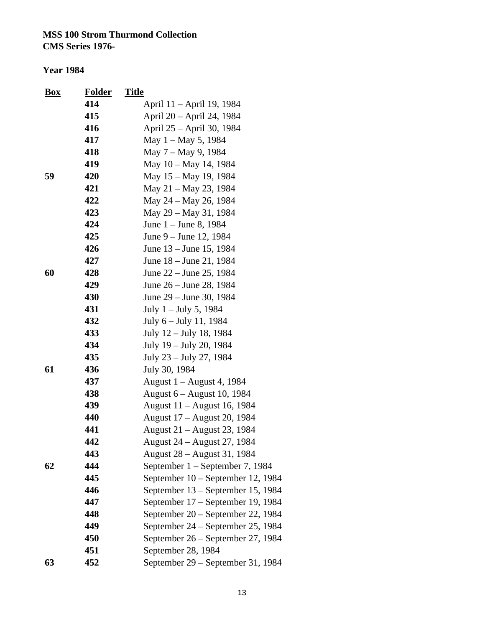| <b>Box</b> | <b>Folder</b> | <b>Title</b>                      |
|------------|---------------|-----------------------------------|
|            | 414           | April 11 – April 19, 1984         |
|            | 415           | April 20 - April 24, 1984         |
|            | 416           | April 25 – April 30, 1984         |
|            | 417           | May $1 -$ May 5, 1984             |
|            | 418           | May 7 – May 9, 1984               |
|            | 419           | May 10 - May 14, 1984             |
| 59         | 420           | May 15 – May 19, 1984             |
|            | 421           | May 21 – May 23, 1984             |
|            | 422           | May 24 – May 26, 1984             |
|            | 423           | May 29 – May 31, 1984             |
|            | 424           | June 1 – June 8, 1984             |
|            | 425           | June 9 – June 12, 1984            |
|            | 426           | June 13 – June 15, 1984           |
|            | 427           | June 18 – June 21, 1984           |
| 60         | 428           | June 22 – June 25, 1984           |
|            | 429           | June 26 – June 28, 1984           |
|            | 430           | June 29 – June 30, 1984           |
|            | 431           | July $1 -$ July 5, 1984           |
|            | 432           | July 6 – July 11, 1984            |
|            | 433           | July 12 – July 18, 1984           |
|            | 434           | July 19 – July 20, 1984           |
|            | 435           | July 23 – July 27, 1984           |
| 61         | 436           | July 30, 1984                     |
|            | 437           | August 1 – August 4, 1984         |
|            | 438           | August 6 – August 10, 1984        |
|            | 439           | August 11 – August 16, 1984       |
|            | 440           | August 17 – August 20, 1984       |
|            | 441           | August 21 - August 23, 1984       |
|            | 442           | August 24 – August 27, 1984       |
|            | 443           | August 28 – August 31, 1984       |
| 62         | 444           | September 1 – September 7, 1984   |
|            | 445           | September 10 – September 12, 1984 |
|            | 446           | September 13 – September 15, 1984 |
|            | 447           | September 17 – September 19, 1984 |
|            | 448           | September 20 – September 22, 1984 |
|            | 449           | September 24 – September 25, 1984 |
|            | 450           | September 26 - September 27, 1984 |
|            | 451           | September 28, 1984                |
| 63         | 452           | September 29 - September 31, 1984 |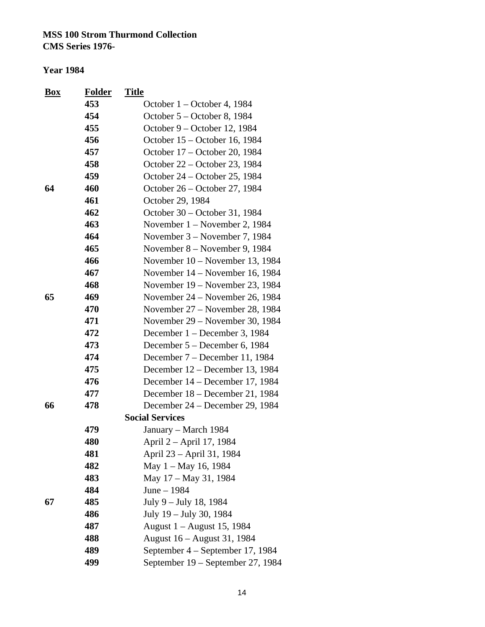| <b>Box</b> | <b>Folder</b> | <b>Title</b>                      |
|------------|---------------|-----------------------------------|
|            | 453           | October $1 -$ October 4, 1984     |
|            | 454           | October 5 – October 8, 1984       |
|            | 455           | October 9 – October 12, 1984      |
|            | 456           | October 15 - October 16, 1984     |
|            | 457           | October 17 – October 20, 1984     |
|            | 458           | October 22 – October 23, 1984     |
|            | 459           | October 24 – October 25, 1984     |
| 64         | 460           | October 26 – October 27, 1984     |
|            | 461           | October 29, 1984                  |
|            | 462           | October 30 – October 31, 1984     |
|            | 463           | November $1 -$ November 2, 1984   |
|            | 464           | November $3$ – November 7, 1984   |
|            | 465           | November 8 – November 9, 1984     |
|            | 466           | November $10 -$ November 13, 1984 |
|            | 467           | November 14 – November 16, 1984   |
|            | 468           | November 19 – November 23, 1984   |
| 65         | 469           | November 24 – November 26, 1984   |
|            | 470           | November 27 – November 28, 1984   |
|            | 471           | November 29 – November 30, 1984   |
|            | 472           | December 1 – December 3, 1984     |
|            | 473           | December 5 – December 6, 1984     |
|            | 474           | December 7 – December 11, 1984    |
|            | 475           | December 12 – December 13, 1984   |
|            | 476           | December 14 – December 17, 1984   |
|            | 477           | December 18 – December 21, 1984   |
| 66         | 478           | December 24 – December 29, 1984   |
|            |               | <b>Social Services</b>            |
|            | 479           | January - March 1984              |
|            | 480           | April 2 - April 17, 1984          |
|            | 481           | April 23 - April 31, 1984         |
|            | 482           | May 1 – May 16, 1984              |
|            | 483           | May 17 – May 31, 1984             |
|            | 484           | June - 1984                       |
| 67         | 485           | July 9 – July 18, 1984            |
|            | 486           | July 19 - July 30, 1984           |
|            | 487           | August 1 – August 15, 1984        |
|            | 488           | August 16 – August 31, 1984       |
|            | 489           | September 4 – September 17, 1984  |
|            | 499           | September 19 – September 27, 1984 |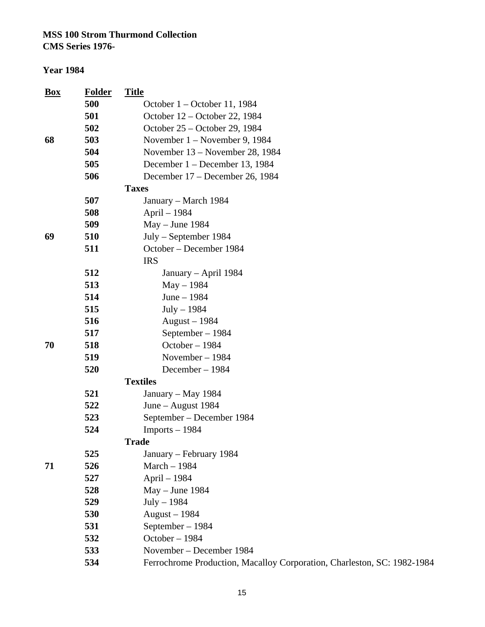**CMS Series 1976-**

| 500<br>October $1 -$ October 11, 1984<br>501<br>October 12 – October 22, 1984<br>502<br>October 25 – October 29, 1984<br>503<br>68<br>November 1 – November 9, 1984<br>504<br>November 13 – November 28, 1984<br>505<br>December 1 – December 13, 1984<br>506<br>December 17 – December 26, 1984<br><b>Taxes</b><br>507<br>January – March 1984<br>508<br>April - 1984<br>509<br>$May - June 1984$<br>69<br>510<br>July – September 1984<br>511<br>October – December 1984<br><b>IRS</b><br>512<br>January – April 1984<br>513<br>$May - 1984$<br>514<br>June $-1984$<br>515<br>$July-1984$<br>516<br>August $-1984$<br>517<br>September - 1984<br>October - 1984<br>70<br>518<br>519<br>November - 1984<br>520<br>December - 1984<br><b>Textiles</b><br>521<br>January – May 1984<br>522<br>June – August $1984$<br>523<br>September – December 1984<br>524<br>$Imports - 1984$<br><b>Trade</b><br>525<br>January – February 1984<br>526<br>March - 1984<br>71<br>527<br>April - 1984<br>528<br>May - June 1984<br>529<br>$July-1984$<br>530<br>August $-1984$<br>531<br>September - 1984<br>October - 1984<br>532<br>533<br>November – December 1984<br>534 | $\frac{Box}{}$ | <b>Folder</b> | <b>Title</b>                                                            |
|---------------------------------------------------------------------------------------------------------------------------------------------------------------------------------------------------------------------------------------------------------------------------------------------------------------------------------------------------------------------------------------------------------------------------------------------------------------------------------------------------------------------------------------------------------------------------------------------------------------------------------------------------------------------------------------------------------------------------------------------------------------------------------------------------------------------------------------------------------------------------------------------------------------------------------------------------------------------------------------------------------------------------------------------------------------------------------------------------------------------------------------------------------------|----------------|---------------|-------------------------------------------------------------------------|
|                                                                                                                                                                                                                                                                                                                                                                                                                                                                                                                                                                                                                                                                                                                                                                                                                                                                                                                                                                                                                                                                                                                                                               |                |               |                                                                         |
|                                                                                                                                                                                                                                                                                                                                                                                                                                                                                                                                                                                                                                                                                                                                                                                                                                                                                                                                                                                                                                                                                                                                                               |                |               |                                                                         |
|                                                                                                                                                                                                                                                                                                                                                                                                                                                                                                                                                                                                                                                                                                                                                                                                                                                                                                                                                                                                                                                                                                                                                               |                |               |                                                                         |
|                                                                                                                                                                                                                                                                                                                                                                                                                                                                                                                                                                                                                                                                                                                                                                                                                                                                                                                                                                                                                                                                                                                                                               |                |               |                                                                         |
|                                                                                                                                                                                                                                                                                                                                                                                                                                                                                                                                                                                                                                                                                                                                                                                                                                                                                                                                                                                                                                                                                                                                                               |                |               |                                                                         |
|                                                                                                                                                                                                                                                                                                                                                                                                                                                                                                                                                                                                                                                                                                                                                                                                                                                                                                                                                                                                                                                                                                                                                               |                |               |                                                                         |
|                                                                                                                                                                                                                                                                                                                                                                                                                                                                                                                                                                                                                                                                                                                                                                                                                                                                                                                                                                                                                                                                                                                                                               |                |               |                                                                         |
|                                                                                                                                                                                                                                                                                                                                                                                                                                                                                                                                                                                                                                                                                                                                                                                                                                                                                                                                                                                                                                                                                                                                                               |                |               |                                                                         |
|                                                                                                                                                                                                                                                                                                                                                                                                                                                                                                                                                                                                                                                                                                                                                                                                                                                                                                                                                                                                                                                                                                                                                               |                |               |                                                                         |
|                                                                                                                                                                                                                                                                                                                                                                                                                                                                                                                                                                                                                                                                                                                                                                                                                                                                                                                                                                                                                                                                                                                                                               |                |               |                                                                         |
|                                                                                                                                                                                                                                                                                                                                                                                                                                                                                                                                                                                                                                                                                                                                                                                                                                                                                                                                                                                                                                                                                                                                                               |                |               |                                                                         |
|                                                                                                                                                                                                                                                                                                                                                                                                                                                                                                                                                                                                                                                                                                                                                                                                                                                                                                                                                                                                                                                                                                                                                               |                |               |                                                                         |
|                                                                                                                                                                                                                                                                                                                                                                                                                                                                                                                                                                                                                                                                                                                                                                                                                                                                                                                                                                                                                                                                                                                                                               |                |               |                                                                         |
|                                                                                                                                                                                                                                                                                                                                                                                                                                                                                                                                                                                                                                                                                                                                                                                                                                                                                                                                                                                                                                                                                                                                                               |                |               |                                                                         |
|                                                                                                                                                                                                                                                                                                                                                                                                                                                                                                                                                                                                                                                                                                                                                                                                                                                                                                                                                                                                                                                                                                                                                               |                |               |                                                                         |
|                                                                                                                                                                                                                                                                                                                                                                                                                                                                                                                                                                                                                                                                                                                                                                                                                                                                                                                                                                                                                                                                                                                                                               |                |               |                                                                         |
|                                                                                                                                                                                                                                                                                                                                                                                                                                                                                                                                                                                                                                                                                                                                                                                                                                                                                                                                                                                                                                                                                                                                                               |                |               |                                                                         |
|                                                                                                                                                                                                                                                                                                                                                                                                                                                                                                                                                                                                                                                                                                                                                                                                                                                                                                                                                                                                                                                                                                                                                               |                |               |                                                                         |
|                                                                                                                                                                                                                                                                                                                                                                                                                                                                                                                                                                                                                                                                                                                                                                                                                                                                                                                                                                                                                                                                                                                                                               |                |               |                                                                         |
|                                                                                                                                                                                                                                                                                                                                                                                                                                                                                                                                                                                                                                                                                                                                                                                                                                                                                                                                                                                                                                                                                                                                                               |                |               |                                                                         |
|                                                                                                                                                                                                                                                                                                                                                                                                                                                                                                                                                                                                                                                                                                                                                                                                                                                                                                                                                                                                                                                                                                                                                               |                |               |                                                                         |
|                                                                                                                                                                                                                                                                                                                                                                                                                                                                                                                                                                                                                                                                                                                                                                                                                                                                                                                                                                                                                                                                                                                                                               |                |               |                                                                         |
|                                                                                                                                                                                                                                                                                                                                                                                                                                                                                                                                                                                                                                                                                                                                                                                                                                                                                                                                                                                                                                                                                                                                                               |                |               |                                                                         |
|                                                                                                                                                                                                                                                                                                                                                                                                                                                                                                                                                                                                                                                                                                                                                                                                                                                                                                                                                                                                                                                                                                                                                               |                |               |                                                                         |
|                                                                                                                                                                                                                                                                                                                                                                                                                                                                                                                                                                                                                                                                                                                                                                                                                                                                                                                                                                                                                                                                                                                                                               |                |               |                                                                         |
|                                                                                                                                                                                                                                                                                                                                                                                                                                                                                                                                                                                                                                                                                                                                                                                                                                                                                                                                                                                                                                                                                                                                                               |                |               |                                                                         |
|                                                                                                                                                                                                                                                                                                                                                                                                                                                                                                                                                                                                                                                                                                                                                                                                                                                                                                                                                                                                                                                                                                                                                               |                |               |                                                                         |
|                                                                                                                                                                                                                                                                                                                                                                                                                                                                                                                                                                                                                                                                                                                                                                                                                                                                                                                                                                                                                                                                                                                                                               |                |               |                                                                         |
|                                                                                                                                                                                                                                                                                                                                                                                                                                                                                                                                                                                                                                                                                                                                                                                                                                                                                                                                                                                                                                                                                                                                                               |                |               |                                                                         |
|                                                                                                                                                                                                                                                                                                                                                                                                                                                                                                                                                                                                                                                                                                                                                                                                                                                                                                                                                                                                                                                                                                                                                               |                |               |                                                                         |
|                                                                                                                                                                                                                                                                                                                                                                                                                                                                                                                                                                                                                                                                                                                                                                                                                                                                                                                                                                                                                                                                                                                                                               |                |               |                                                                         |
|                                                                                                                                                                                                                                                                                                                                                                                                                                                                                                                                                                                                                                                                                                                                                                                                                                                                                                                                                                                                                                                                                                                                                               |                |               |                                                                         |
|                                                                                                                                                                                                                                                                                                                                                                                                                                                                                                                                                                                                                                                                                                                                                                                                                                                                                                                                                                                                                                                                                                                                                               |                |               |                                                                         |
|                                                                                                                                                                                                                                                                                                                                                                                                                                                                                                                                                                                                                                                                                                                                                                                                                                                                                                                                                                                                                                                                                                                                                               |                |               |                                                                         |
|                                                                                                                                                                                                                                                                                                                                                                                                                                                                                                                                                                                                                                                                                                                                                                                                                                                                                                                                                                                                                                                                                                                                                               |                |               |                                                                         |
|                                                                                                                                                                                                                                                                                                                                                                                                                                                                                                                                                                                                                                                                                                                                                                                                                                                                                                                                                                                                                                                                                                                                                               |                |               |                                                                         |
|                                                                                                                                                                                                                                                                                                                                                                                                                                                                                                                                                                                                                                                                                                                                                                                                                                                                                                                                                                                                                                                                                                                                                               |                |               |                                                                         |
|                                                                                                                                                                                                                                                                                                                                                                                                                                                                                                                                                                                                                                                                                                                                                                                                                                                                                                                                                                                                                                                                                                                                                               |                |               |                                                                         |
|                                                                                                                                                                                                                                                                                                                                                                                                                                                                                                                                                                                                                                                                                                                                                                                                                                                                                                                                                                                                                                                                                                                                                               |                |               | Ferrochrome Production, Macalloy Corporation, Charleston, SC: 1982-1984 |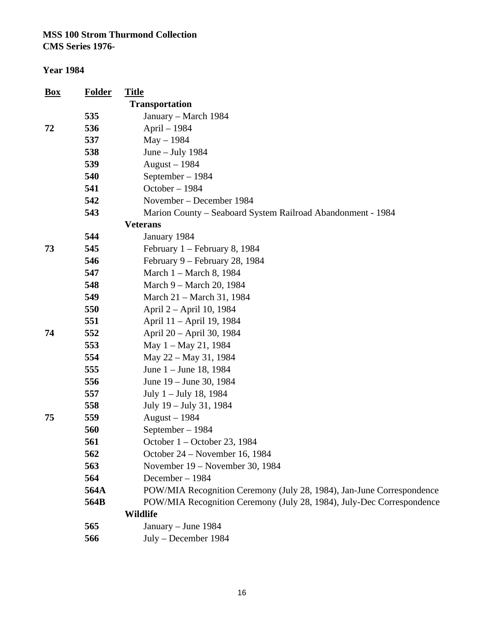| <u>Box</u> | <b>Folder</b> | <b>Title</b>                                                          |
|------------|---------------|-----------------------------------------------------------------------|
|            |               | <b>Transportation</b>                                                 |
|            | 535           | January - March 1984                                                  |
| 72         | 536           | April - 1984                                                          |
|            | 537           | $May - 1984$                                                          |
|            | 538           | June $-$ July 1984                                                    |
|            | 539           | August $-1984$                                                        |
|            | 540           | September - 1984                                                      |
|            | 541           | October-1984                                                          |
|            | 542           | November – December 1984                                              |
|            | 543           | Marion County – Seaboard System Railroad Abandonment - 1984           |
|            |               | <b>Veterans</b>                                                       |
|            | 544           | January 1984                                                          |
| 73         | 545           | February 1 – February 8, 1984                                         |
|            | 546           | February 9 – February 28, 1984                                        |
|            | 547           | March 1 - March 8, 1984                                               |
|            | 548           | March 9 – March 20, 1984                                              |
|            | 549           | March 21 – March 31, 1984                                             |
|            | 550           | April 2 – April 10, 1984                                              |
|            | 551           | April 11 – April 19, 1984                                             |
| 74         | 552           | April 20 - April 30, 1984                                             |
|            | 553           | May 1 – May 21, 1984                                                  |
|            | 554           | May 22 - May 31, 1984                                                 |
|            | 555           | June 1 – June 18, 1984                                                |
|            | 556           | June 19 – June 30, 1984                                               |
|            | 557           | July 1 – July 18, 1984                                                |
|            | 558           | July 19 - July 31, 1984                                               |
| 75         | 559           | August $-1984$                                                        |
|            | 560           | September - 1984                                                      |
|            | 561           | October $1 -$ October 23, 1984                                        |
|            | 562           | October 24 – November 16, 1984                                        |
|            | 563           | November 19 – November 30, 1984                                       |
|            | 564           | December-1984                                                         |
|            | 564A          | POW/MIA Recognition Ceremony (July 28, 1984), Jan-June Correspondence |
|            | 564B          | POW/MIA Recognition Ceremony (July 28, 1984), July-Dec Correspondence |
|            |               | <b>Wildlife</b>                                                       |
|            | 565           | January - June 1984                                                   |
|            | 566           | July - December 1984                                                  |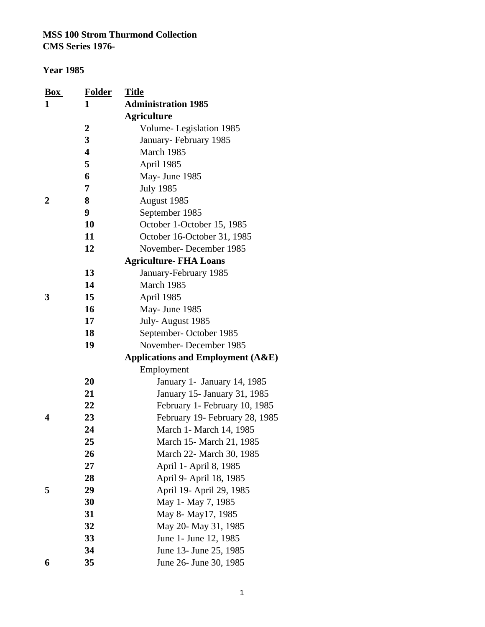| $\mathbf{Box}$<br>1 | <b>Folder</b><br>1      | <b>Title</b><br><b>Administration 1985</b>   |
|---------------------|-------------------------|----------------------------------------------|
|                     |                         | <b>Agriculture</b>                           |
|                     | $\boldsymbol{2}$        | Volume-Legislation 1985                      |
|                     | 3                       | January-February 1985                        |
|                     | $\overline{\mathbf{4}}$ | March 1985                                   |
|                     | 5                       | April 1985                                   |
|                     | 6                       | May- June 1985                               |
|                     | 7                       | <b>July 1985</b>                             |
| 2                   | 8                       | August 1985                                  |
|                     | 9                       | September 1985                               |
|                     | 10                      | October 1-October 15, 1985                   |
|                     | 11                      | October 16-October 31, 1985                  |
|                     | 12                      | November-December 1985                       |
|                     |                         | <b>Agriculture- FHA Loans</b>                |
|                     | 13                      | January-February 1985                        |
|                     | 14                      | March 1985                                   |
| 3                   | 15                      | April 1985                                   |
|                     | 16                      | May- June 1985                               |
|                     | 17                      | July-August 1985                             |
|                     | 18                      | September-October 1985                       |
|                     | 19                      | November-December 1985                       |
|                     |                         | <b>Applications and Employment (A&amp;E)</b> |
|                     |                         | Employment                                   |
|                     | 20                      | January 1 - January 14, 1985                 |
|                     | 21                      | January 15- January 31, 1985                 |
|                     | 22                      | February 1- February 10, 1985                |
| 4                   | 23                      | February 19- February 28, 1985               |
|                     | 24                      | March 1- March 14, 1985                      |
|                     | 25                      | March 15- March 21, 1985                     |
|                     | 26                      | March 22- March 30, 1985                     |
|                     | 27                      | April 1- April 8, 1985                       |
|                     | 28                      | April 9- April 18, 1985                      |
| 5                   | 29                      | April 19- April 29, 1985                     |
|                     | 30                      | May 1- May 7, 1985                           |
|                     | 31                      | May 8- May 17, 1985                          |
|                     | 32                      | May 20- May 31, 1985                         |
|                     | 33                      | June 1- June 12, 1985                        |
|                     | 34                      | June 13- June 25, 1985                       |
| 6                   | 35                      | June 26- June 30, 1985                       |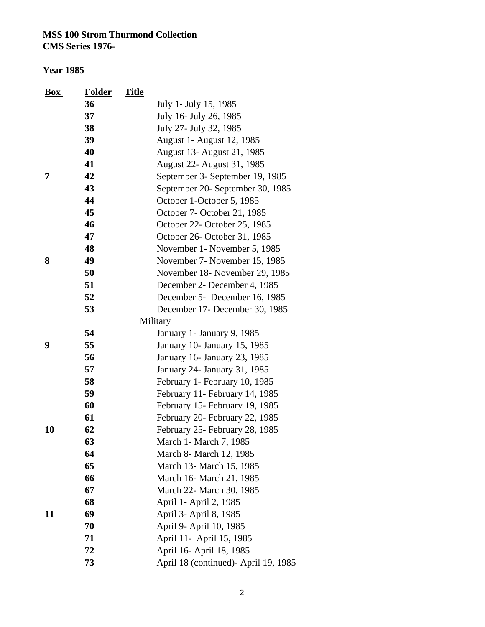| Box | <b>Folder</b> | <b>Title</b>                         |
|-----|---------------|--------------------------------------|
|     | 36            | July 1- July 15, 1985                |
|     | 37            | July 16- July 26, 1985               |
|     | 38            | July 27- July 32, 1985               |
|     | 39            | August 1 - August 12, 1985           |
|     | 40            | August 13- August 21, 1985           |
|     | 41            | August 22- August 31, 1985           |
| 7   | 42            | September 3- September 19, 1985      |
|     | 43            | September 20- September 30, 1985     |
|     | 44            | October 1-October 5, 1985            |
|     | 45            | October 7- October 21, 1985          |
|     | 46            | October 22- October 25, 1985         |
|     | 47            | October 26- October 31, 1985         |
|     | 48            | November 1- November 5, 1985         |
| 8   | 49            | November 7- November 15, 1985        |
|     | 50            | November 18- November 29, 1985       |
|     | 51            | December 2- December 4, 1985         |
|     | 52            | December 5- December 16, 1985        |
|     | 53            | December 17- December 30, 1985       |
|     |               | Military                             |
|     | 54            | January 1 - January 9, 1985          |
| 9   | 55            | January 10- January 15, 1985         |
|     | 56            | January 16- January 23, 1985         |
|     | 57            | January 24- January 31, 1985         |
|     | 58            | February 1- February 10, 1985        |
|     | 59            | February 11- February 14, 1985       |
|     | 60            | February 15- February 19, 1985       |
|     | 61            | February 20- February 22, 1985       |
| 10  | 62            | February 25- February 28, 1985       |
|     | 63            | March 1- March 7, 1985               |
|     | 64            | March 8- March 12, 1985              |
|     | 65            | March 13- March 15, 1985             |
|     | 66            | March 16- March 21, 1985             |
|     | 67            | March 22- March 30, 1985             |
|     | 68            | April 1- April 2, 1985               |
| 11  | 69            | April 3- April 8, 1985               |
|     | 70            | April 9- April 10, 1985              |
|     | 71            | April 11- April 15, 1985             |
|     | 72            | April 16- April 18, 1985             |
|     | 73            | April 18 (continued)- April 19, 1985 |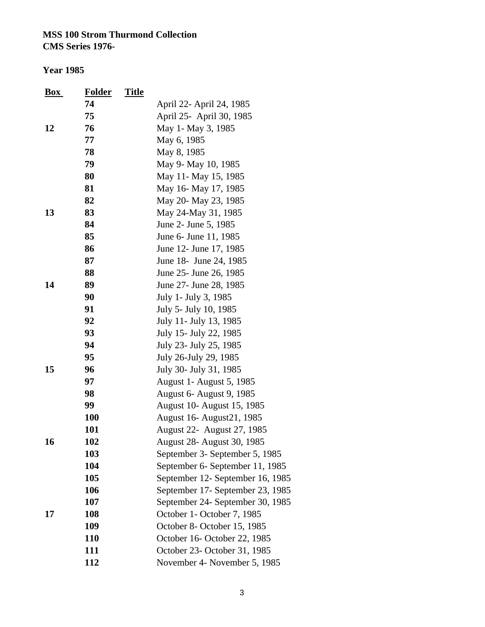| $\mathbf{Box}$ | <b>Folder</b> | <b>Title</b> |                                   |
|----------------|---------------|--------------|-----------------------------------|
|                | 74            |              | April 22- April 24, 1985          |
|                | 75            |              | April 25- April 30, 1985          |
| 12             | 76            |              | May 1- May 3, 1985                |
|                | 77            |              | May 6, 1985                       |
|                | 78            |              | May 8, 1985                       |
|                | 79            |              | May 9- May 10, 1985               |
|                | 80            |              | May 11- May 15, 1985              |
|                | 81            |              | May 16- May 17, 1985              |
|                | 82            |              | May 20- May 23, 1985              |
| 13             | 83            |              | May 24-May 31, 1985               |
|                | 84            |              | June 2- June 5, 1985              |
|                | 85            |              | June 6- June 11, 1985             |
|                | 86            |              | June 12- June 17, 1985            |
|                | 87            |              | June 18- June 24, 1985            |
|                | 88            |              | June 25- June 26, 1985            |
| 14             | 89            |              | June 27- June 28, 1985            |
|                | 90            |              | July 1- July 3, 1985              |
|                | 91            |              | July 5- July 10, 1985             |
|                | 92            |              | July 11- July 13, 1985            |
|                | 93            |              | July 15- July 22, 1985            |
|                | 94            |              | July 23- July 25, 1985            |
|                | 95            |              | July 26-July 29, 1985             |
| 15             | 96            |              | July 30- July 31, 1985            |
|                | 97            |              | <b>August 1- August 5, 1985</b>   |
|                | 98            |              | <b>August 6- August 9, 1985</b>   |
|                | 99            |              | August 10- August 15, 1985        |
|                | 100           |              | August 16- August 21, 1985        |
|                | 101           |              | August 22- August 27, 1985        |
| 16             | 102           |              | <b>August 28- August 30, 1985</b> |
|                | 103           |              | September 3- September 5, 1985    |
|                | 104           |              | September 6- September 11, 1985   |
|                | 105           |              | September 12- September 16, 1985  |
|                | 106           |              | September 17- September 23, 1985  |
|                | 107           |              | September 24- September 30, 1985  |
| 17             | 108           |              | October 1- October 7, 1985        |
|                | 109           |              | October 8- October 15, 1985       |
|                | 110           |              | October 16- October 22, 1985      |
|                | 111           |              | October 23- October 31, 1985      |
|                | 112           |              | November 4- November 5, 1985      |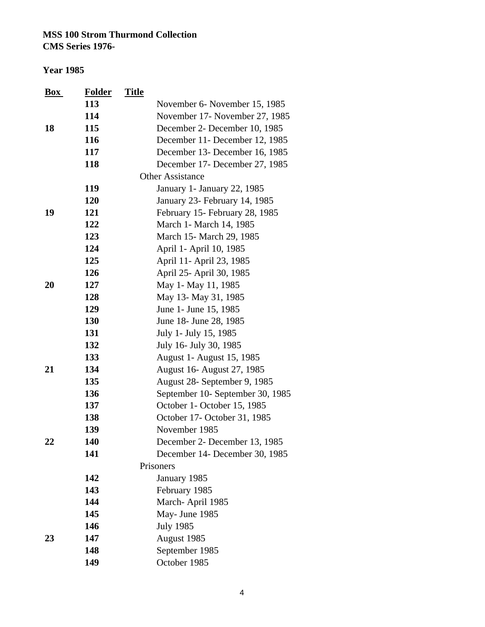**CMS Series 1976-**

| $\mathbf{Box}$ | <b>Folder</b> | <b>Title</b> |                                  |
|----------------|---------------|--------------|----------------------------------|
|                | 113           |              | November 6- November 15, 1985    |
|                | 114           |              | November 17- November 27, 1985   |
| 18             | 115           |              | December 2- December 10, 1985    |
|                | 116           |              | December 11- December 12, 1985   |
|                | 117           |              | December 13- December 16, 1985   |
|                | 118           |              | December 17- December 27, 1985   |
|                |               |              | <b>Other Assistance</b>          |
|                | 119           |              | January 1- January 22, 1985      |
|                | 120           |              | January 23- February 14, 1985    |
| 19             | 121           |              | February 15- February 28, 1985   |
|                | 122           |              | March 1- March 14, 1985          |
|                | 123           |              | March 15- March 29, 1985         |
|                | 124           |              | April 1- April 10, 1985          |
|                | 125           |              | April 11- April 23, 1985         |
|                | 126           |              | April 25- April 30, 1985         |
| 20             | 127           |              | May 1- May 11, 1985              |
|                | 128           |              | May 13- May 31, 1985             |
|                | 129           |              | June 1- June 15, 1985            |
|                | 130           |              | June 18- June 28, 1985           |
|                | 131           |              | July 1- July 15, 1985            |
|                | 132           |              | July 16- July 30, 1985           |
|                | 133           |              | August 1 - August 15, 1985       |
| 21             | 134           |              | August 16- August 27, 1985       |
|                | 135           |              | August 28- September 9, 1985     |
|                | 136           |              | September 10- September 30, 1985 |
|                | 137           |              | October 1- October 15, 1985      |
|                | 138           |              | October 17- October 31, 1985     |
|                | 139           |              | November 1985                    |
| 22             | 140           |              | December 2- December 13, 1985    |
|                | 141           |              | December 14- December 30, 1985   |
|                |               |              | Prisoners                        |
|                | 142           |              | January 1985                     |
|                | 143           |              | February 1985                    |
|                | 144           |              | March-April 1985                 |
|                | 145           |              | May- June 1985                   |
|                | 146           |              | <b>July 1985</b>                 |
| 23             | 147           |              | August 1985                      |
|                | 148           |              | September 1985                   |
|                | 149           |              | October 1985                     |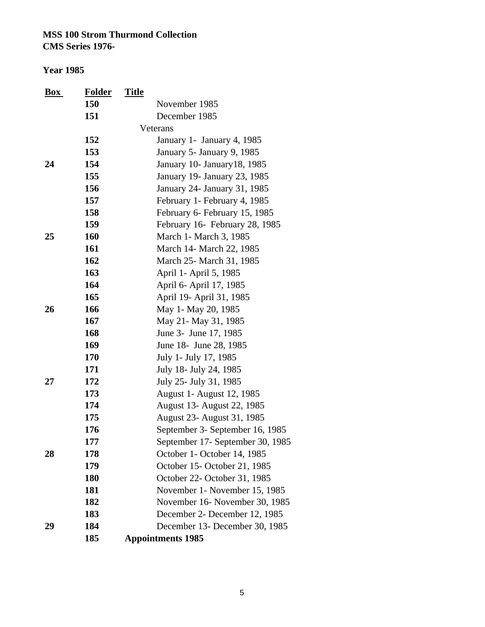| Box | <b>Folder</b> | <b>Title</b>                     |
|-----|---------------|----------------------------------|
|     | 150           | November 1985                    |
|     | 151           | December 1985                    |
|     |               | Veterans                         |
|     | 152           | January 1 - January 4, 1985      |
|     | 153           | January 5- January 9, 1985       |
| 24  | 154           | January 10- January 18, 1985     |
|     | 155           | January 19- January 23, 1985     |
|     | 156           | January 24- January 31, 1985     |
|     | 157           | February 1- February 4, 1985     |
|     | 158           | February 6- February 15, 1985    |
|     | 159           | February 16- February 28, 1985   |
| 25  | 160           | March 1 - March 3, 1985          |
|     | 161           | March 14- March 22, 1985         |
|     | 162           | March 25- March 31, 1985         |
|     | 163           | April 1- April 5, 1985           |
|     | 164           | April 6- April 17, 1985          |
|     | 165           | April 19- April 31, 1985         |
| 26  | 166           | May 1- May 20, 1985              |
|     | 167           | May 21- May 31, 1985             |
|     | 168           | June 3- June 17, 1985            |
|     | 169           | June 18- June 28, 1985           |
|     | 170           | July 1- July 17, 1985            |
|     | 171           | July 18- July 24, 1985           |
| 27  | 172           | July 25- July 31, 1985           |
|     | 173           | August 1- August 12, 1985        |
|     | 174           | August 13- August 22, 1985       |
|     | 175           | August 23- August 31, 1985       |
|     | 176           | September 3- September 16, 1985  |
|     | 177           | September 17- September 30, 1985 |
| 28  | 178           | October 1- October 14, 1985      |
|     | 179           | October 15-October 21, 1985      |
|     | 180           | October 22- October 31, 1985     |
|     | 181           | November 1- November 15, 1985    |
|     | 182           | November 16- November 30, 1985   |
|     | 183           | December 2- December 12, 1985    |
| 29  | 184           | December 13- December 30, 1985   |
|     | 185           | <b>Appointments 1985</b>         |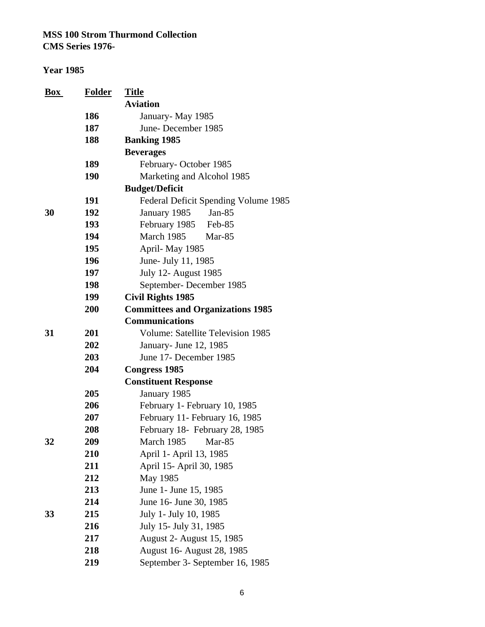| Box | <b>Folder</b> | <b>Title</b>                             |
|-----|---------------|------------------------------------------|
|     |               | <b>Aviation</b>                          |
|     | 186           | January - May 1985                       |
|     | 187           | June-December 1985                       |
|     | 188           | <b>Banking 1985</b>                      |
|     |               | <b>Beverages</b>                         |
|     | 189           | February-October 1985                    |
|     | <b>190</b>    | Marketing and Alcohol 1985               |
|     |               | <b>Budget/Deficit</b>                    |
|     | 191           | Federal Deficit Spending Volume 1985     |
| 30  | 192           | January 1985<br>Jan- $85$                |
|     | 193           | February 1985 Feb-85                     |
|     | 194           | March 1985<br>Mar-85                     |
|     | 195           | April-May 1985                           |
|     | 196           | June- July 11, 1985                      |
|     | 197           | <b>July 12- August 1985</b>              |
|     | 198           | September-December 1985                  |
|     | 199           | <b>Civil Rights 1985</b>                 |
|     | 200           | <b>Committees and Organizations 1985</b> |
|     |               | <b>Communications</b>                    |
| 31  | 201           | <b>Volume: Satellite Television 1985</b> |
|     | 202           | January- June 12, 1985                   |
|     | 203           | June 17- December 1985                   |
|     | 204           | <b>Congress 1985</b>                     |
|     |               | <b>Constituent Response</b>              |
|     | 205           | January 1985                             |
|     | 206           | February 1- February 10, 1985            |
|     | 207           | February 11- February 16, 1985           |
|     | 208           | February 18- February 28, 1985           |
| 32  | 209           | March 1985<br>Mar-85                     |
|     | 210           | April 1- April 13, 1985                  |
|     | 211           | April 15- April 30, 1985                 |
|     | 212           | May 1985                                 |
|     | 213           | June 1- June 15, 1985                    |
|     | 214           | June 16- June 30, 1985                   |
| 33  | 215           | July 1- July 10, 1985                    |
|     | 216           | July 15- July 31, 1985                   |
|     | 217           | August 2- August 15, 1985                |
|     | 218           | August 16- August 28, 1985               |
|     | 219           | September 3- September 16, 1985          |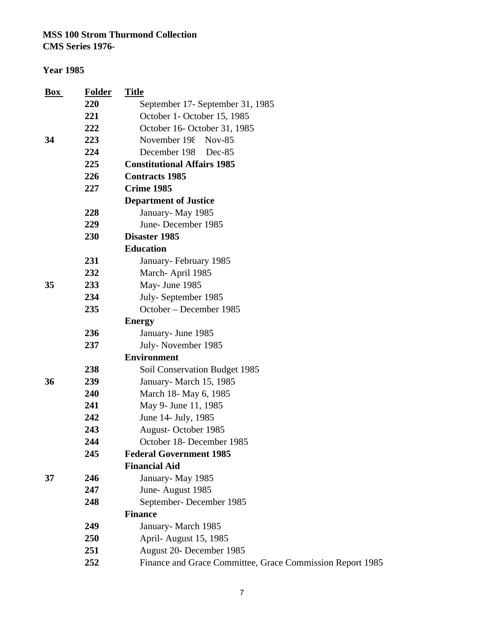**CMS Series 1976-**

#### **Year 1985**

| $\underline{Box}$ | <b>Folder</b> | <b>Title</b>                                              |
|-------------------|---------------|-----------------------------------------------------------|
|                   | 220           | September 17- September 31, 1985                          |
|                   | 221           | October 1- October 15, 1985                               |
|                   | 222           | October 16- October 31, 1985                              |
| 34                | 223           | November 198<br>$Nov-85$                                  |
|                   | 224           | December 198<br>Dec-85                                    |
|                   | 225           | <b>Constitutional Affairs 1985</b>                        |
|                   | 226           | <b>Contracts 1985</b>                                     |
|                   | 227           | <b>Crime 1985</b>                                         |
|                   |               | <b>Department of Justice</b>                              |
|                   | 228           | January-May 1985                                          |
|                   | 229           | June-December 1985                                        |
|                   | 230           | Disaster 1985                                             |
|                   |               | <b>Education</b>                                          |
|                   | 231           | January-February 1985                                     |
|                   | 232           | March-April 1985                                          |
| 35                | 233           | May- June 1985                                            |
|                   | 234           | July-September 1985                                       |
|                   | 235           | October - December 1985                                   |
|                   |               | <b>Energy</b>                                             |
|                   | 236           | January- June 1985                                        |
|                   | 237           | July-November 1985                                        |
|                   |               | <b>Environment</b>                                        |
|                   | 238           | Soil Conservation Budget 1985                             |
| 36                | 239           | January-March 15, 1985                                    |
|                   | 240           | March 18- May 6, 1985                                     |
|                   | 241           | May 9- June 11, 1985                                      |
|                   | 242           | June 14- July, 1985                                       |
|                   | 243           | August-October 1985                                       |
|                   | 244           | October 18- December 1985                                 |
|                   | 245           | <b>Federal Government 1985</b>                            |
|                   |               | <b>Financial Aid</b>                                      |
| 37                | 246           | January-May 1985                                          |
|                   | 247           | June-August 1985                                          |
|                   | 248           | September-December 1985                                   |
|                   |               | <b>Finance</b>                                            |
|                   | 249           | January-March 1985                                        |
|                   | <b>250</b>    | April-August 15, 1985                                     |
|                   | 251           | August 20- December 1985                                  |
|                   | 252           | Finance and Grace Committee, Grace Commission Report 1985 |
|                   |               |                                                           |

7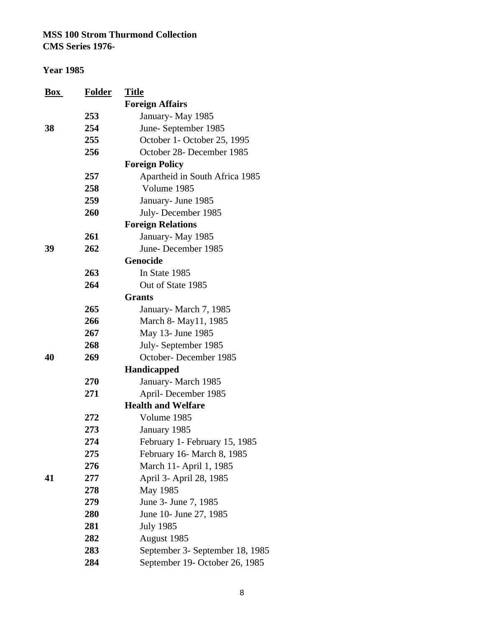| $\frac{Box}{}$ | <b>Folder</b> | <b>Title</b>                    |
|----------------|---------------|---------------------------------|
|                |               | <b>Foreign Affairs</b>          |
|                | 253           | January-May 1985                |
| 38             | 254           | June-September 1985             |
|                | 255           | October 1- October 25, 1995     |
|                | 256           | October 28- December 1985       |
|                |               | <b>Foreign Policy</b>           |
|                | 257           | Apartheid in South Africa 1985  |
|                | 258           | Volume 1985                     |
|                | 259           | January- June 1985              |
|                | 260           | July-December 1985              |
|                |               | <b>Foreign Relations</b>        |
|                | 261           | January-May 1985                |
| 39             | 262           | June-December 1985              |
|                |               | Genocide                        |
|                | 263           | In State 1985                   |
|                | 264           | Out of State 1985               |
|                |               | <b>Grants</b>                   |
|                | 265           | January-March 7, 1985           |
|                | 266           | March 8- May11, 1985            |
|                | 267           | May 13- June 1985               |
|                | 268           | July-September 1985             |
| 40             | 269           | October-December 1985           |
|                |               | Handicapped                     |
|                | 270           | January-March 1985              |
|                | 271           | April-December 1985             |
|                |               | <b>Health and Welfare</b>       |
|                | 272           | Volume 1985                     |
|                | 273           | January 1985                    |
|                | 274           | February 1- February 15, 1985   |
|                | 275           | February 16- March 8, 1985      |
|                | 276           | March 11- April 1, 1985         |
| 41             | 277           | April 3- April 28, 1985         |
|                | 278           | May 1985                        |
|                | 279           | June 3- June 7, 1985            |
|                | 280           | June 10- June 27, 1985          |
|                | 281           | <b>July 1985</b>                |
|                | 282           | August 1985                     |
|                | 283           | September 3- September 18, 1985 |
|                | 284           | September 19- October 26, 1985  |
|                |               |                                 |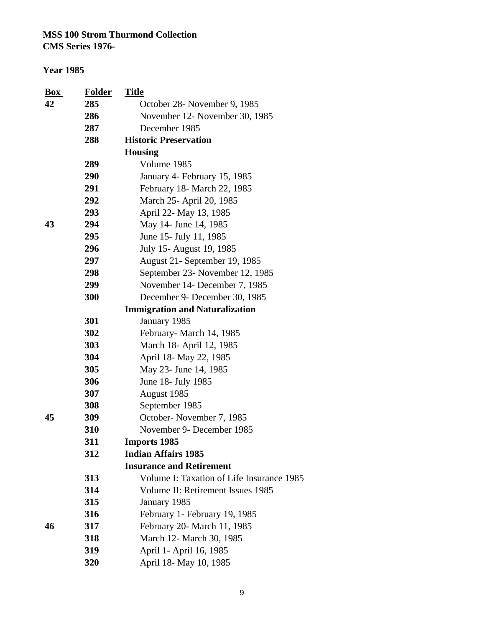**CMS Series 1976-**

| $\mathbf{Box}$ | <b>Folder</b> | <b>Title</b>                              |
|----------------|---------------|-------------------------------------------|
| 42             | 285           | October 28- November 9, 1985              |
|                | 286           | November 12- November 30, 1985            |
|                | 287           | December 1985                             |
|                | 288           | <b>Historic Preservation</b>              |
|                |               | <b>Housing</b>                            |
|                | 289           | Volume 1985                               |
|                | 290           | January 4- February 15, 1985              |
|                | 291           | February 18- March 22, 1985               |
|                | 292           | March 25- April 20, 1985                  |
|                | 293           | April 22- May 13, 1985                    |
| 43             | 294           | May 14- June 14, 1985                     |
|                | 295           | June 15- July 11, 1985                    |
|                | 296           | July 15- August 19, 1985                  |
|                | 297           | August 21- September 19, 1985             |
|                | 298           | September 23- November 12, 1985           |
|                | 299           | November 14- December 7, 1985             |
|                | 300           | December 9- December 30, 1985             |
|                |               | <b>Immigration and Naturalization</b>     |
|                | 301           | January 1985                              |
|                | 302           | February-March 14, 1985                   |
|                | 303           | March 18- April 12, 1985                  |
|                | 304           | April 18- May 22, 1985                    |
|                | 305           | May 23- June 14, 1985                     |
|                | 306           | June 18- July 1985                        |
|                | 307           | August 1985                               |
|                | 308           | September 1985                            |
| 45             | 309           | October-November 7, 1985                  |
|                | 310           | November 9- December 1985                 |
|                | 311           | <b>Imports 1985</b>                       |
|                | 312           | <b>Indian Affairs 1985</b>                |
|                |               | <b>Insurance and Retirement</b>           |
|                | 313           | Volume I: Taxation of Life Insurance 1985 |
|                | 314           | Volume II: Retirement Issues 1985         |
|                | 315           | January 1985                              |
|                | 316           | February 1- February 19, 1985             |
| 46             | 317           | February 20- March 11, 1985               |
|                | 318           | March 12- March 30, 1985                  |
|                | 319           | April 1- April 16, 1985                   |
|                | 320           | April 18- May 10, 1985                    |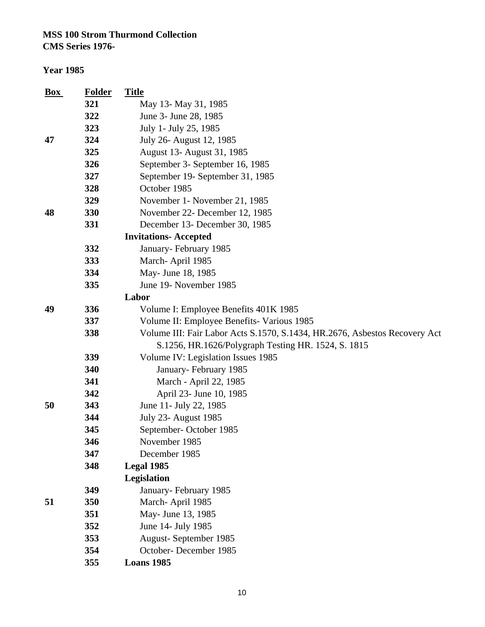## **CMS Series 1976-**

| <b>Box</b> | <b>Folder</b> | <b>Title</b>                                                               |
|------------|---------------|----------------------------------------------------------------------------|
|            | 321           | May 13- May 31, 1985                                                       |
|            | 322           | June 3- June 28, 1985                                                      |
|            | 323           | July 1- July 25, 1985                                                      |
| 47         | 324           | July 26- August 12, 1985                                                   |
|            | 325           | August 13- August 31, 1985                                                 |
|            | 326           | September 3- September 16, 1985                                            |
|            | 327           | September 19- September 31, 1985                                           |
|            | 328           | October 1985                                                               |
|            | 329           | November 1- November 21, 1985                                              |
| 48         | 330           | November 22- December 12, 1985                                             |
|            | 331           | December 13- December 30, 1985                                             |
|            |               | <b>Invitations-Accepted</b>                                                |
|            | 332           | January-February 1985                                                      |
|            | 333           | March-April 1985                                                           |
|            | 334           | May- June 18, 1985                                                         |
|            | 335           | June 19- November 1985                                                     |
|            |               | Labor                                                                      |
| 49         | 336           | Volume I: Employee Benefits 401K 1985                                      |
|            | 337           | Volume II: Employee Benefits- Various 1985                                 |
|            | 338           | Volume III: Fair Labor Acts S.1570, S.1434, HR.2676, Asbestos Recovery Act |
|            |               | S.1256, HR.1626/Polygraph Testing HR. 1524, S. 1815                        |
|            | 339           | Volume IV: Legislation Issues 1985                                         |
|            | 340           | January-February 1985                                                      |
|            | 341           | March - April 22, 1985                                                     |
|            | 342           | April 23- June 10, 1985                                                    |
| 50         | 343           | June 11- July 22, 1985                                                     |
|            | 344           | <b>July 23- August 1985</b>                                                |
|            | 345           | September-October 1985                                                     |
|            | 346           | November 1985                                                              |
|            | 347           | December 1985                                                              |
|            | 348           | Legal 1985                                                                 |
|            |               | Legislation                                                                |
|            | 349           | January-February 1985                                                      |
| 51         | 350           | March-April 1985                                                           |
|            | 351           | May- June 13, 1985                                                         |
|            | 352           | June 14- July 1985                                                         |
|            | 353           | August-September 1985                                                      |
|            | 354           | October-December 1985                                                      |
|            | 355           | <b>Loans 1985</b>                                                          |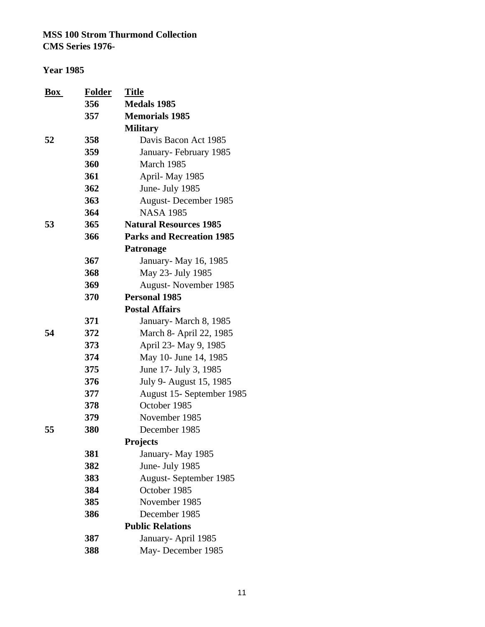| <b>Box</b> | <b>Folder</b> | <b>Title</b>                     |
|------------|---------------|----------------------------------|
|            | 356           | <b>Medals 1985</b>               |
|            | 357           | <b>Memorials 1985</b>            |
|            |               | <b>Military</b>                  |
| 52         | 358           | Davis Bacon Act 1985             |
|            | 359           | January-February 1985            |
|            | 360           | March 1985                       |
|            | 361           | April-May 1985                   |
|            | 362           | June- July 1985                  |
|            | 363           | August-December 1985             |
|            | 364           | <b>NASA 1985</b>                 |
| 53         | 365           | <b>Natural Resources 1985</b>    |
|            | 366           | <b>Parks and Recreation 1985</b> |
|            |               | <b>Patronage</b>                 |
|            | 367           | January- May 16, 1985            |
|            | 368           | May 23- July 1985                |
|            | 369           | August-November 1985             |
|            | 370           | <b>Personal 1985</b>             |
|            |               | <b>Postal Affairs</b>            |
|            | 371           | January-March 8, 1985            |
| 54         | 372           | March 8- April 22, 1985          |
|            | 373           | April 23- May 9, 1985            |
|            | 374           | May 10- June 14, 1985            |
|            | 375           | June 17- July 3, 1985            |
|            | 376           | July 9- August 15, 1985          |
|            | 377           | August 15- September 1985        |
|            | 378           | October 1985                     |
|            | 379           | November 1985                    |
| 55         | 380           | December 1985                    |
|            |               | Projects                         |
|            | 381           | January - May 1985               |
|            | 382           | June- July 1985                  |
|            | 383           | August-September 1985            |
|            | 384           | October 1985                     |
|            | 385           | November 1985                    |
|            | 386           | December 1985                    |
|            |               | <b>Public Relations</b>          |
|            | 387           | January- April 1985              |
|            | 388           | May-December 1985                |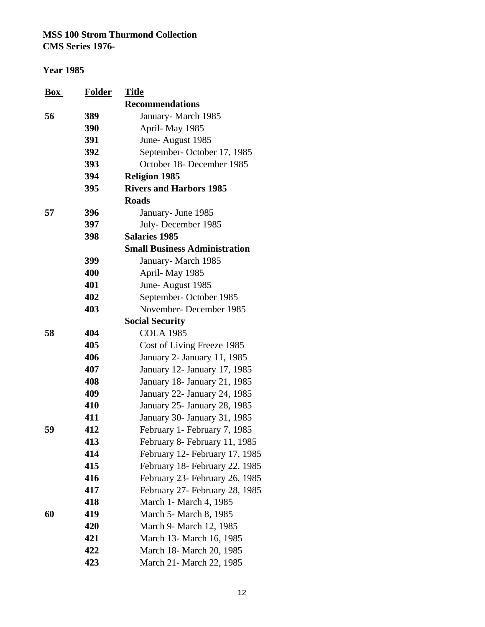| <b>Box</b> | <u>Folder</u> | <b>Title</b>                         |
|------------|---------------|--------------------------------------|
|            |               | <b>Recommendations</b>               |
| 56         | 389           | January-March 1985                   |
|            | 390           | April-May 1985                       |
|            | 391           | June-August 1985                     |
|            | 392           | September-October 17, 1985           |
|            | 393           | October 18- December 1985            |
|            | 394           | <b>Religion 1985</b>                 |
|            | 395           | <b>Rivers and Harbors 1985</b>       |
|            |               | <b>Roads</b>                         |
| 57         | 396           | January- June 1985                   |
|            | 397           | July-December 1985                   |
|            | 398           | <b>Salaries 1985</b>                 |
|            |               | <b>Small Business Administration</b> |
|            | 399           | January-March 1985                   |
|            | 400           | April-May 1985                       |
|            | 401           | June-August 1985                     |
|            | 402           | September-October 1985               |
|            | 403           | November-December 1985               |
|            |               | <b>Social Security</b>               |
| 58         | 404           | <b>COLA 1985</b>                     |
|            | 405           | Cost of Living Freeze 1985           |
|            | 406           | January 2- January 11, 1985          |
|            | 407           | January 12- January 17, 1985         |
|            | 408           | January 18- January 21, 1985         |
|            | 409           | January 22- January 24, 1985         |
|            | 410           | January 25- January 28, 1985         |
|            | 411           | January 30- January 31, 1985         |
| 59         | 412           | February 1- February 7, 1985         |
|            | 413           | February 8- February 11, 1985        |
|            | 414           | February 12- February 17, 1985       |
|            | 415           | February 18- February 22, 1985       |
|            | 416           | February 23- February 26, 1985       |
|            | 417           | February 27- February 28, 1985       |
|            | 418           | March 1 - March 4, 1985              |
| 60         | 419           | March 5- March 8, 1985               |
|            | 420           | March 9- March 12, 1985              |
|            | 421           | March 13- March 16, 1985             |
|            | 422           | March 18- March 20, 1985             |
|            | 423           | March 21- March 22, 1985             |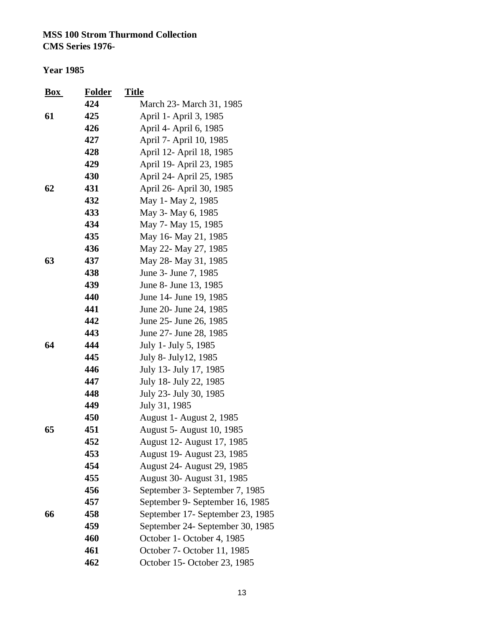#### **Year 1985**

| $\frac{Box}{}$ | <b>Folder</b> | <b>Title</b>                     |
|----------------|---------------|----------------------------------|
|                | 424           | March 23- March 31, 1985         |
| 61             | 425           | April 1- April 3, 1985           |
|                | 426           | April 4- April 6, 1985           |
|                | 427           | April 7- April 10, 1985          |
|                | 428           | April 12- April 18, 1985         |
|                | 429           | April 19- April 23, 1985         |
|                | 430           | April 24- April 25, 1985         |
| 62             | 431           | April 26- April 30, 1985         |
|                | 432           | May 1- May 2, 1985               |
|                | 433           | May 3- May 6, 1985               |
|                | 434           | May 7- May 15, 1985              |
|                | 435           | May 16- May 21, 1985             |
|                | 436           | May 22- May 27, 1985             |
| 63             | 437           | May 28- May 31, 1985             |
|                | 438           | June 3- June 7, 1985             |
|                | 439           | June 8- June 13, 1985            |
|                | 440           | June 14- June 19, 1985           |
|                | 441           | June 20- June 24, 1985           |
|                | 442           | June 25 - June 26, 1985          |
|                | 443           | June 27- June 28, 1985           |
| 64             | 444           | July 1- July 5, 1985             |
|                | 445           | July 8- July 12, 1985            |
|                | 446           | July 13- July 17, 1985           |
|                | 447           | July 18- July 22, 1985           |
|                | 448           | July 23- July 30, 1985           |
|                | 449           | July 31, 1985                    |
|                | 450           | <b>August 1- August 2, 1985</b>  |
| 65             | 451           | August 5- August 10, 1985        |
|                | 452           | August 12- August 17, 1985       |
|                | 453           | August 19- August 23, 1985       |
|                | 454           | August 24- August 29, 1985       |
|                | 455           | August 30- August 31, 1985       |
|                | 456           | September 3- September 7, 1985   |
|                | 457           | September 9- September 16, 1985  |
| 66             | 458           | September 17- September 23, 1985 |
|                | 459           | September 24- September 30, 1985 |
|                | 460           | October 1- October 4, 1985       |
|                | 461           | October 7- October 11, 1985      |
|                | 462           | October 15-October 23, 1985      |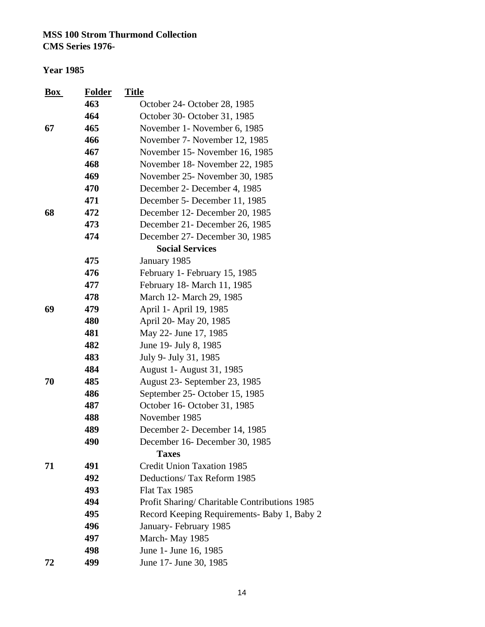| $\mathbf{Box}$ | <b>Folder</b> | <b>Title</b>                                  |
|----------------|---------------|-----------------------------------------------|
|                | 463           | October 24- October 28, 1985                  |
|                | 464           | October 30- October 31, 1985                  |
| 67             | 465           | November 1 - November 6, 1985                 |
|                | 466           | November 7- November 12, 1985                 |
|                | 467           | November 15- November 16, 1985                |
|                | 468           | November 18- November 22, 1985                |
|                | 469           | November 25- November 30, 1985                |
|                | 470           | December 2- December 4, 1985                  |
|                | 471           | December 5- December 11, 1985                 |
| 68             | 472           | December 12- December 20, 1985                |
|                | 473           | December 21 - December 26, 1985               |
|                | 474           | December 27- December 30, 1985                |
|                |               | <b>Social Services</b>                        |
|                | 475           | January 1985                                  |
|                | 476           | February 1- February 15, 1985                 |
|                | 477           | February 18- March 11, 1985                   |
|                | 478           | March 12- March 29, 1985                      |
| 69             | 479           | April 1- April 19, 1985                       |
|                | 480           | April 20- May 20, 1985                        |
|                | 481           | May 22- June 17, 1985                         |
|                | 482           | June 19- July 8, 1985                         |
|                | 483           | July 9- July 31, 1985                         |
|                | 484           | August 1- August 31, 1985                     |
| 70             | 485           | August 23- September 23, 1985                 |
|                | 486           | September 25- October 15, 1985                |
|                | 487           | October 16- October 31, 1985                  |
|                | 488           | November 1985                                 |
|                | 489           | December 2- December 14, 1985                 |
|                | 490           | December 16- December 30, 1985                |
|                |               | <b>Taxes</b>                                  |
| 71             | 491           | <b>Credit Union Taxation 1985</b>             |
|                | 492           | Deductions/ Tax Reform 1985                   |
|                | 493           | Flat Tax 1985                                 |
|                | 494           | Profit Sharing/ Charitable Contributions 1985 |
|                | 495           | Record Keeping Requirements- Baby 1, Baby 2   |
|                | 496           | January-February 1985                         |
|                | 497           | March-May 1985                                |
|                | 498           | June 1- June 16, 1985                         |
| 72             | 499           | June 17- June 30, 1985                        |
|                |               |                                               |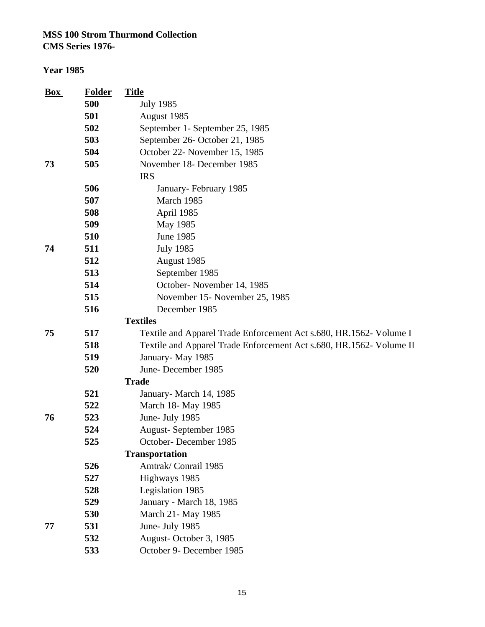| <b>Box</b> | <b>Folder</b> | <b>Title</b>                                                        |
|------------|---------------|---------------------------------------------------------------------|
|            | 500           | <b>July 1985</b>                                                    |
|            | 501           | August 1985                                                         |
|            | 502           | September 1- September 25, 1985                                     |
|            | 503           | September 26- October 21, 1985                                      |
|            | 504           | October 22- November 15, 1985                                       |
| 73         | 505           | November 18- December 1985                                          |
|            |               | <b>IRS</b>                                                          |
|            | 506           | January-February 1985                                               |
|            | 507           | March 1985                                                          |
|            | 508           | April 1985                                                          |
|            | 509           | May 1985                                                            |
|            | 510           | <b>June 1985</b>                                                    |
| 74         | 511           | <b>July 1985</b>                                                    |
|            | 512           | August 1985                                                         |
|            | 513           | September 1985                                                      |
|            | 514           | October-November 14, 1985                                           |
|            | 515           | November 15- November 25, 1985                                      |
|            | 516           | December 1985                                                       |
|            |               | <b>Textiles</b>                                                     |
| 75         | 517           | Textile and Apparel Trade Enforcement Act s.680, HR.1562- Volume I  |
|            | 518           | Textile and Apparel Trade Enforcement Act s.680, HR.1562- Volume II |
|            | 519           | January-May 1985                                                    |
|            | 520           | June-December 1985                                                  |
|            |               | <b>Trade</b>                                                        |
|            | 521           | January- March 14, 1985                                             |
|            | 522           | March 18- May 1985                                                  |
| 76         | 523           | June- July 1985                                                     |
|            | 524           | August-September 1985                                               |
|            | 525           | October-December 1985                                               |
|            |               | <b>Transportation</b>                                               |
|            | 526           | Amtrak/Conrail 1985                                                 |
|            | 527           | Highways 1985                                                       |
|            | 528           | Legislation 1985                                                    |
|            | 529           | January - March 18, 1985                                            |
|            | 530           | March 21- May 1985                                                  |
| 77         | 531           | June- July 1985                                                     |
|            | 532           | August-October 3, 1985                                              |
|            | 533           | October 9- December 1985                                            |
|            |               |                                                                     |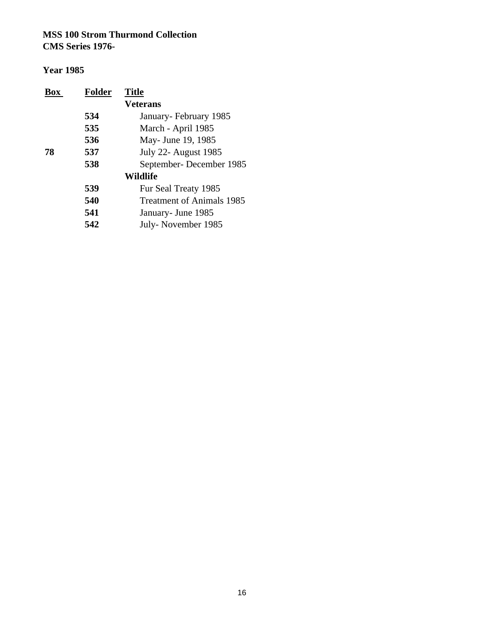| <b>Folder</b><br>Box | <b>Title</b>                     |
|----------------------|----------------------------------|
|                      | <b>Veterans</b>                  |
| 534                  | January-February 1985            |
| 535                  | March - April 1985               |
| 536                  | May- June 19, 1985               |
| 537<br>78            | <b>July 22- August 1985</b>      |
| 538                  | September-December 1985          |
|                      | Wildlife                         |
| 539                  | Fur Seal Treaty 1985             |
| 540                  | <b>Treatment of Animals 1985</b> |
| 541                  | January - June 1985              |
| 542                  | July-November 1985               |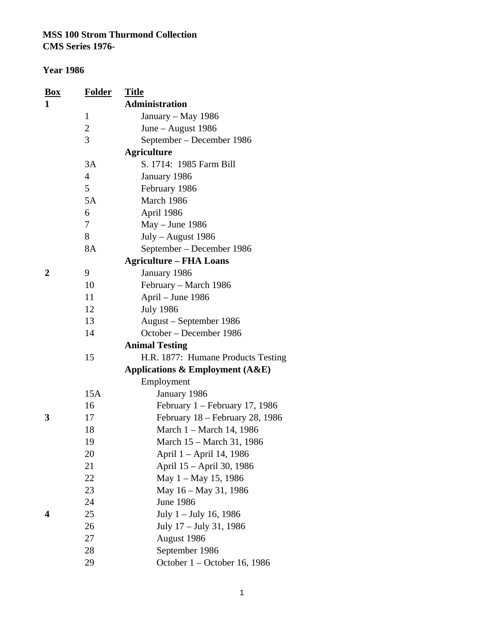| Box | <b>Folder</b>  | <b>Title</b>                        |
|-----|----------------|-------------------------------------|
| 1   |                | <b>Administration</b>               |
|     | 1              | January - May 1986                  |
|     | $\overline{c}$ | June – August $1986$                |
|     | 3              | September - December 1986           |
|     |                | <b>Agriculture</b>                  |
|     | 3A             | S. 1714: 1985 Farm Bill             |
|     | $\overline{4}$ | January 1986                        |
|     | 5              | February 1986                       |
|     | 5A             | March 1986                          |
|     | 6              | April 1986                          |
|     | 7              | May - June 1986                     |
|     | 8              | July - August 1986                  |
|     | <b>8A</b>      | September – December 1986           |
|     |                | <b>Agriculture – FHA Loans</b>      |
| 2   | 9              | January 1986                        |
|     | 10             | February – March 1986               |
|     | 11             | April - June 1986                   |
|     | 12             | <b>July 1986</b>                    |
|     | 13             | August – September 1986             |
|     | 14             | October - December 1986             |
|     |                | <b>Animal Testing</b>               |
|     | 15             | H.R. 1877: Humane Products Testing  |
|     |                | Applications & Employment $(A & E)$ |
|     |                | Employment                          |
|     | 15A            | January 1986                        |
|     | 16             | February $1 -$ February 17, 1986    |
| 3   | 17             | February 18 - February 28, 1986     |
|     | 18             | March 1 - March 14, 1986            |
|     | 19             | March 15 - March 31, 1986           |
|     | 20             | April 1 – April 14, 1986            |
|     | 21             | April 15 - April 30, 1986           |
|     | 22             | May 1 – May 15, 1986                |
|     | 23             | May 16 - May 31, 1986               |
|     | 24             | <b>June 1986</b>                    |
| 4   | 25             | July 1 – July 16, 1986              |
|     | 26             | July 17 – July 31, 1986             |
|     | 27             | August 1986                         |
|     | 28             | September 1986                      |
|     | 29             | October 1 – October 16, 1986        |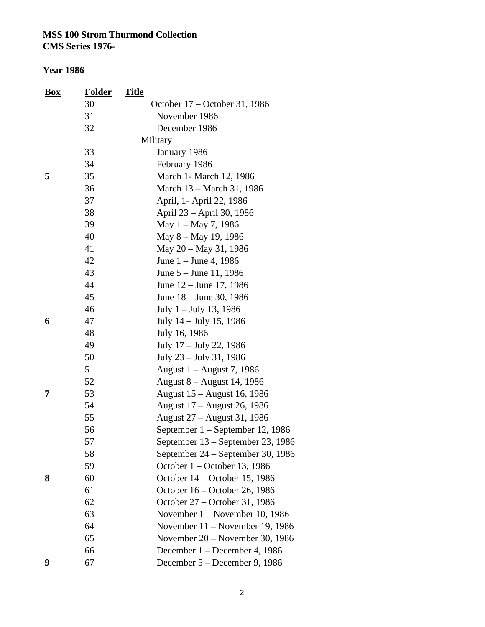| <b>Box</b> | <b>Folder</b> | <u>Title</u> |                                   |
|------------|---------------|--------------|-----------------------------------|
|            | 30            |              | October 17 – October 31, 1986     |
|            | 31            |              | November 1986                     |
|            | 32            |              | December 1986                     |
|            |               |              | Military                          |
|            | 33            |              | January 1986                      |
|            | 34            |              | February 1986                     |
| 5          | 35            |              | March 1- March 12, 1986           |
|            | 36            |              | March 13 – March 31, 1986         |
|            | 37            |              | April, 1- April 22, 1986          |
|            | 38            |              | April 23 – April 30, 1986         |
|            | 39            |              | May 1 – May 7, 1986               |
|            | 40            |              | May 8 – May 19, 1986              |
|            | 41            |              | May 20 - May 31, 1986             |
|            | 42            |              | June $1 -$ June 4, 1986           |
|            | 43            |              | June 5 – June 11, 1986            |
|            | 44            |              | June 12 – June 17, 1986           |
|            | 45            |              | June 18 – June 30, 1986           |
|            | 46            |              | July $1 -$ July 13, 1986          |
| 6          | 47            |              | July 14 – July 15, 1986           |
|            | 48            |              | July 16, 1986                     |
|            | 49            |              | July 17 – July 22, 1986           |
|            | 50            |              | July 23 – July 31, 1986           |
|            | 51            |              | August 1 – August 7, 1986         |
|            | 52            |              | August 8 – August 14, 1986        |
| 7          | 53            |              | August 15 – August 16, 1986       |
|            | 54            |              | August 17 – August 26, 1986       |
|            | 55            |              | August 27 – August 31, 1986       |
|            | 56            |              | September 1 – September 12, 1986  |
|            | 57            |              | September 13 – September 23, 1986 |
|            | 58            |              | September 24 – September 30, 1986 |
|            | 59            |              | October 1 – October 13, 1986      |
| 8          | 60            |              | October 14 – October 15, 1986     |
|            | 61            |              | October 16 – October 26, 1986     |
|            | 62            |              | October 27 - October 31, 1986     |
|            | 63            |              | November $1 -$ November 10, 1986  |
|            | 64            |              | November 11 – November 19, 1986   |
|            | 65            |              | November 20 – November 30, 1986   |
|            | 66            |              | December 1 – December 4, 1986     |
| 9          | 67            |              | December 5 – December 9, 1986     |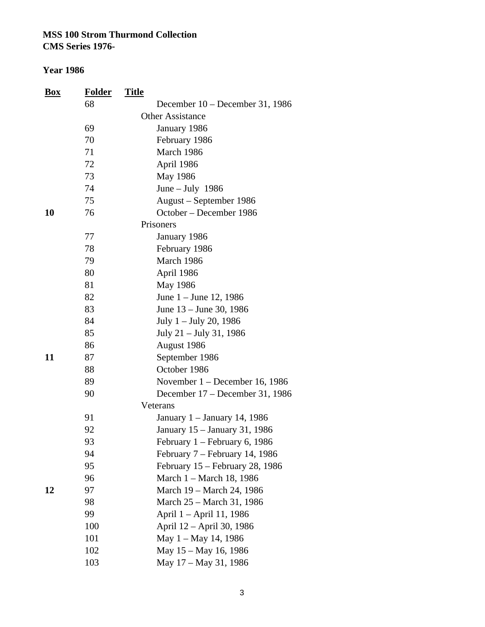**CMS Series 1976-**

| <b>Box</b> | <b>Folder</b> | <u>Title</u>                      |
|------------|---------------|-----------------------------------|
|            | 68            | December $10 -$ December 31, 1986 |
|            |               | <b>Other Assistance</b>           |
|            | 69            | January 1986                      |
|            | 70            | February 1986                     |
|            | 71            | March 1986                        |
|            | 72            | April 1986                        |
|            | 73            | May 1986                          |
|            | 74            | June $-$ July 1986                |
|            | 75            | August - September 1986           |
| 10         | 76            | October – December 1986           |
|            |               | Prisoners                         |
|            | 77            | January 1986                      |
|            | 78            | February 1986                     |
|            | 79            | March 1986                        |
|            | 80            | April 1986                        |
|            | 81            | May 1986                          |
|            | 82            | June 1 – June 12, 1986            |
|            | 83            | June 13 – June 30, 1986           |
|            | 84            | July 1 – July 20, 1986            |
|            | 85            | July 21 – July 31, 1986           |
|            | 86            | August 1986                       |
| 11         | 87            | September 1986                    |
|            | 88            | October 1986                      |
|            | 89            | November 1 - December 16, 1986    |
|            | 90            | December 17 – December 31, 1986   |
|            |               | Veterans                          |
|            | 91            | January 1 – January 14, 1986      |
|            | 92            | January 15 - January 31, 1986     |
|            | 93            | February 1 – February 6, 1986     |
|            | 94            | February 7 – February 14, 1986    |
|            | 95            | February 15 – February 28, 1986   |
|            | 96            | March 1 - March 18, 1986          |
| 12         | 97            | March 19 - March 24, 1986         |
|            | 98            | March 25 – March 31, 1986         |
|            | 99            | April 1 - April 11, 1986          |
|            | 100           | April 12 – April 30, 1986         |
|            | 101           | May 1 – May 14, 1986              |
|            | 102           | May 15 – May 16, 1986             |
|            | 103           | May 17 – May 31, 1986             |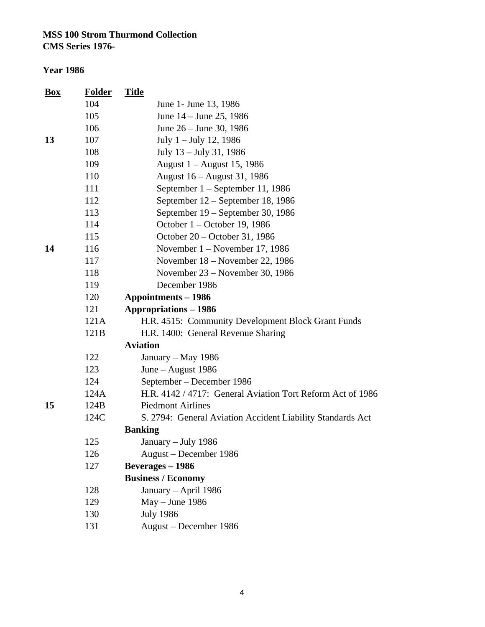| <b>Box</b> | <b>Folder</b> | <b>Title</b>                                               |
|------------|---------------|------------------------------------------------------------|
|            | 104           | June 1- June 13, 1986                                      |
|            | 105           | June 14 – June 25, 1986                                    |
|            | 106           | June 26 – June 30, 1986                                    |
| 13         | 107           | July $1 -$ July 12, 1986                                   |
|            | 108           | July 13 – July 31, 1986                                    |
|            | 109           | August 1 – August 15, 1986                                 |
|            | 110           | August 16 – August 31, 1986                                |
|            | 111           | September 1 – September 11, 1986                           |
|            | 112           | September 12 – September 18, 1986                          |
|            | 113           | September 19 – September 30, 1986                          |
|            | 114           | October 1 – October 19, 1986                               |
|            | 115           | October 20 – October 31, 1986                              |
| 14         | 116           | November $1 -$ November 17, 1986                           |
|            | 117           | November $18$ – November 22, 1986                          |
|            | 118           | November 23 – November 30, 1986                            |
|            | 119           | December 1986                                              |
|            | 120           | <b>Appointments - 1986</b>                                 |
|            | 121           | <b>Appropriations – 1986</b>                               |
|            | 121A          | H.R. 4515: Community Development Block Grant Funds         |
|            | 121B          | H.R. 1400: General Revenue Sharing                         |
|            |               | <b>Aviation</b>                                            |
|            | 122           | January – May 1986                                         |
|            | 123           | June – August $1986$                                       |
|            | 124           | September – December 1986                                  |
|            | 124A          | H.R. 4142 / 4717: General Aviation Tort Reform Act of 1986 |
| 15         | 124B          | <b>Piedmont Airlines</b>                                   |
|            | 124C          | S. 2794: General Aviation Accident Liability Standards Act |
|            |               | <b>Banking</b>                                             |
|            | 125           | January – July 1986                                        |
|            | 126           | August – December 1986                                     |
|            | 127           | <b>Beverages</b> – 1986                                    |
|            |               | <b>Business / Economy</b>                                  |
|            | 128           | January - April 1986                                       |
|            | 129           | $May - June 1986$                                          |
|            | 130           | <b>July 1986</b>                                           |
|            | 131           | August - December 1986                                     |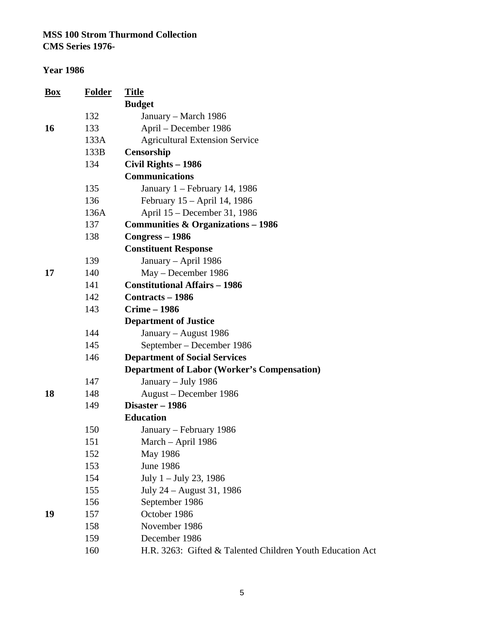| <u>Box</u> | <b>Folder</b> | <b>Title</b>                                              |
|------------|---------------|-----------------------------------------------------------|
|            |               | <b>Budget</b>                                             |
|            | 132           | January – March 1986                                      |
| 16         | 133           | April – December 1986                                     |
|            | 133A          | <b>Agricultural Extension Service</b>                     |
|            | 133B          | Censorship                                                |
|            | 134           | Civil Rights - 1986                                       |
|            |               | <b>Communications</b>                                     |
|            | 135           | January 1 - February 14, 1986                             |
|            | 136           | February 15 – April 14, 1986                              |
|            | 136A          | April 15 – December 31, 1986                              |
|            | 137           | <b>Communities &amp; Organizations – 1986</b>             |
|            | 138           | $Congress - 1986$                                         |
|            |               | <b>Constituent Response</b>                               |
|            | 139           | January - April 1986                                      |
| 17         | 140           | May - December 1986                                       |
|            | 141           | <b>Constitutional Affairs - 1986</b>                      |
|            | 142           | <b>Contracts - 1986</b>                                   |
|            | 143           | <b>Crime - 1986</b>                                       |
|            |               | <b>Department of Justice</b>                              |
|            | 144           | January – August 1986                                     |
|            | 145           | September – December 1986                                 |
|            | 146           | <b>Department of Social Services</b>                      |
|            |               | <b>Department of Labor (Worker's Compensation)</b>        |
|            | 147           | January - July 1986                                       |
| 18         | 148           | August - December 1986                                    |
|            | 149           | Disaster - 1986                                           |
|            |               | <b>Education</b>                                          |
|            | 150           | January – February 1986                                   |
|            | 151           | March – April 1986                                        |
|            | 152           | May 1986                                                  |
|            | 153           | <b>June 1986</b>                                          |
|            | 154           | July $1 -$ July 23, 1986                                  |
|            | 155           | July 24 – August 31, 1986                                 |
|            | 156           | September 1986                                            |
| 19         | 157           | October 1986                                              |
|            | 158           | November 1986                                             |
|            | 159           | December 1986                                             |
|            | 160           | H.R. 3263: Gifted & Talented Children Youth Education Act |
|            |               |                                                           |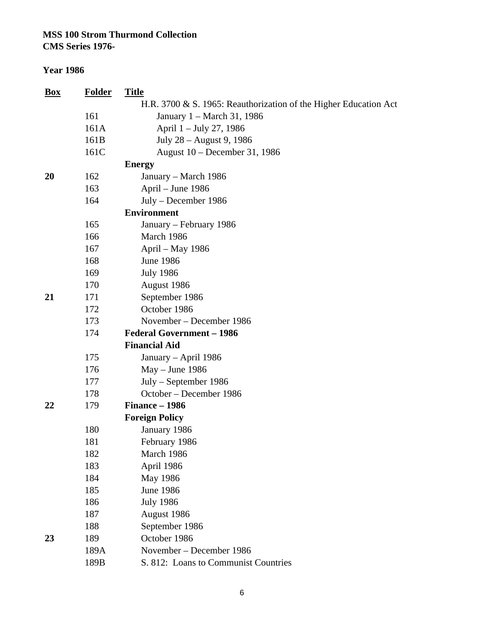**CMS Series 1976-**

| <u>Box</u> | <b>Folder</b> | <b>Title</b>                                                     |
|------------|---------------|------------------------------------------------------------------|
|            |               | H.R. 3700 & S. 1965: Reauthorization of the Higher Education Act |
|            | 161           | January 1 – March 31, 1986                                       |
|            | 161A          | April 1 - July 27, 1986                                          |
|            | 161B          | July 28 - August 9, 1986                                         |
|            | 161C          | August 10 – December 31, 1986                                    |
|            |               | <b>Energy</b>                                                    |
| 20         | 162           | January – March 1986                                             |
|            | 163           | April – June 1986                                                |
|            | 164           | July – December 1986                                             |
|            |               | <b>Environment</b>                                               |
|            | 165           | January - February 1986                                          |
|            | 166           | March 1986                                                       |
|            | 167           | April – May 1986                                                 |
|            | 168           | <b>June 1986</b>                                                 |
|            | 169           | <b>July 1986</b>                                                 |
|            | 170           | August 1986                                                      |
| 21         | 171           | September 1986                                                   |
|            | 172           | October 1986                                                     |
|            | 173           | November – December 1986                                         |
|            | 174           | <b>Federal Government - 1986</b>                                 |
|            |               | <b>Financial Aid</b>                                             |
|            | 175           | January - April 1986                                             |
|            | 176           | $May - June 1986$                                                |
|            | 177           | July - September 1986                                            |
|            | 178           | October - December 1986                                          |
| 22         | 179           | Finance - 1986                                                   |
|            |               | <b>Foreign Policy</b>                                            |
|            | 180           | January 1986                                                     |
|            | 181           | February 1986                                                    |
|            | 182           | March 1986                                                       |
|            | 183           | April 1986                                                       |
|            | 184           | May 1986                                                         |
|            | 185           | <b>June 1986</b>                                                 |
|            | 186           | <b>July 1986</b>                                                 |
|            | 187           | August 1986                                                      |
|            | 188           | September 1986                                                   |
| 23         | 189           | October 1986                                                     |
|            | 189A          | November – December 1986                                         |
|            | 189B          | S. 812: Loans to Communist Countries                             |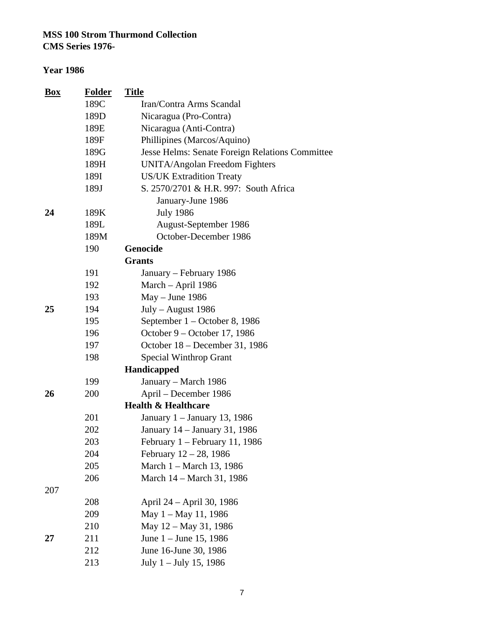**CMS Series 1976-**

| <b>Box</b> | <b>Folder</b> | <b>Title</b>                                    |
|------------|---------------|-------------------------------------------------|
|            | 189C          | Iran/Contra Arms Scandal                        |
|            | 189D          | Nicaragua (Pro-Contra)                          |
|            | 189E          | Nicaragua (Anti-Contra)                         |
|            | 189F          | Phillipines (Marcos/Aquino)                     |
|            | 189G          | Jesse Helms: Senate Foreign Relations Committee |
|            | 189H          | <b>UNITA/Angolan Freedom Fighters</b>           |
|            | 189I          | <b>US/UK Extradition Treaty</b>                 |
|            | 189J          | S. 2570/2701 & H.R. 997: South Africa           |
|            |               | January-June 1986                               |
| 24         | 189K          | <b>July 1986</b>                                |
|            | 189L          | August-September 1986                           |
|            | 189M          | October-December 1986                           |
|            | 190           | Genocide                                        |
|            |               | <b>Grants</b>                                   |
|            | 191           | January – February 1986                         |
|            | 192           | March - April 1986                              |
|            | 193           | $May - June 1986$                               |
| 25         | 194           | $July - August 1986$                            |
|            | 195           | September 1 – October 8, 1986                   |
|            | 196           | October 9 – October 17, 1986                    |
|            | 197           | October 18 – December 31, 1986                  |
|            | 198           | <b>Special Winthrop Grant</b>                   |
|            |               | Handicapped                                     |
|            | 199           | January – March 1986                            |
| 26         | 200           | April - December 1986                           |
|            |               | <b>Health &amp; Healthcare</b>                  |
|            | 201           | January 1 - January 13, 1986                    |
|            | 202           | January 14 – January 31, 1986                   |
|            | 203           | February 1 – February 11, 1986                  |
|            | 204           | February $12 - 28$ , 1986                       |
|            | 205           | March 1 – March 13, 1986                        |
|            | 206           | March 14 – March 31, 1986                       |
| 207        |               |                                                 |
|            | 208           | April 24 - April 30, 1986                       |
|            | 209           | May $1 -$ May 11, 1986                          |
|            | 210           | May 12 - May 31, 1986                           |
| 27         | 211           | June 1 – June 15, 1986                          |
|            | 212           | June 16-June 30, 1986                           |
|            | 213           | July 1 - July 15, 1986                          |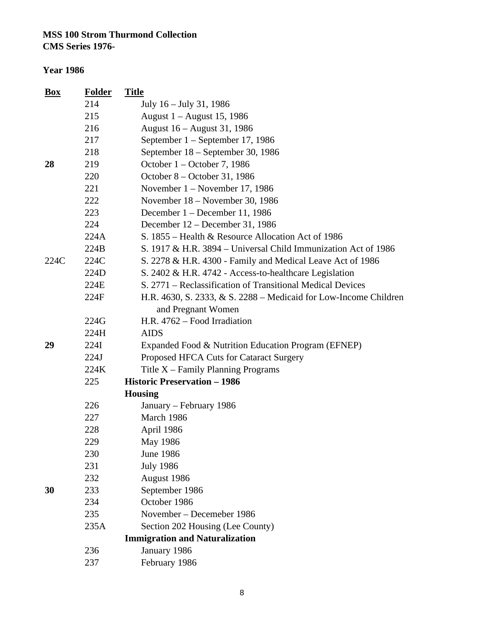| <b>Box</b> | <b>Folder</b> | <b>Title</b>                                                     |
|------------|---------------|------------------------------------------------------------------|
|            | 214           | July 16 – July 31, 1986                                          |
|            | 215           | August 1 – August 15, 1986                                       |
|            | 216           | August 16 – August 31, 1986                                      |
|            | 217           | September $1 -$ September 17, 1986                               |
|            | 218           | September 18 – September 30, 1986                                |
| 28         | 219           | October 1 – October 7, 1986                                      |
|            | 220           | October 8 – October 31, 1986                                     |
|            | 221           | November $1 -$ November 17, 1986                                 |
|            | 222           | November 18 – November 30, 1986                                  |
|            | 223           | December 1 – December 11, 1986                                   |
|            | 224           | December 12 – December 31, 1986                                  |
|            | 224A          | S. 1855 – Health & Resource Allocation Act of 1986               |
|            | 224B          | S. 1917 & H.R. 3894 – Universal Child Immunization Act of 1986   |
| 224C       | 224C          | S. 2278 & H.R. 4300 - Family and Medical Leave Act of 1986       |
|            | 224D          | S. 2402 & H.R. 4742 - Access-to-healthcare Legislation           |
|            | 224E          | S. 2771 – Reclassification of Transitional Medical Devices       |
|            | 224F          | H.R. 4630, S. 2333, & S. 2288 – Medicaid for Low-Income Children |
|            |               | and Pregnant Women                                               |
|            | 224G          | H.R. 4762 – Food Irradiation                                     |
|            | 224H          | <b>AIDS</b>                                                      |
| 29         | 224I          | Expanded Food & Nutrition Education Program (EFNEP)              |
|            | 224J          | Proposed HFCA Cuts for Cataract Surgery                          |
|            | 224K          | Title $X$ – Family Planning Programs                             |
|            | 225           | <b>Historic Preservation - 1986</b>                              |
|            |               | <b>Housing</b>                                                   |
|            | 226           | January - February 1986                                          |
|            | 227           | March 1986                                                       |
|            | 228           | April 1986                                                       |
|            | 229           | May 1986                                                         |
|            | 230           | <b>June 1986</b>                                                 |
|            | 231           | <b>July 1986</b>                                                 |
|            | 232           | August 1986                                                      |
| 30         | 233           | September 1986                                                   |
|            | 234           | October 1986                                                     |
|            | 235           | November – Decemeber 1986                                        |
|            | 235A          | Section 202 Housing (Lee County)                                 |
|            |               | <b>Immigration and Naturalization</b>                            |
|            | 236           | January 1986                                                     |
|            | 237           | February 1986                                                    |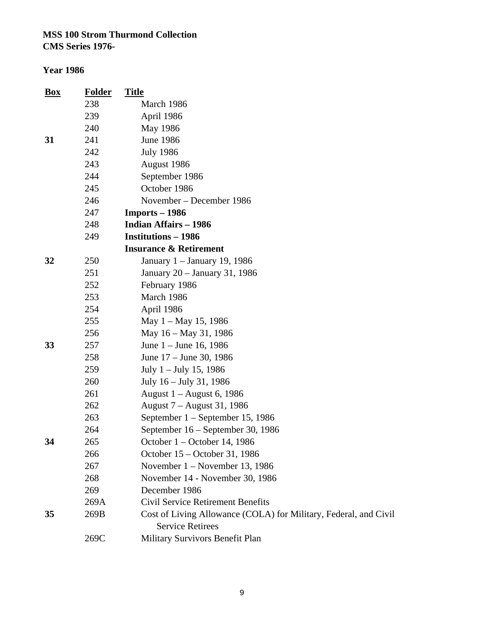| <b>Box</b> | <b>Folder</b> | <b>Title</b>                                                                                |
|------------|---------------|---------------------------------------------------------------------------------------------|
|            | 238           | March 1986                                                                                  |
|            | 239           | April 1986                                                                                  |
|            | 240           | May 1986                                                                                    |
| 31         | 241           | <b>June 1986</b>                                                                            |
|            | 242           | <b>July 1986</b>                                                                            |
|            | 243           | August 1986                                                                                 |
|            | 244           | September 1986                                                                              |
|            | 245           | October 1986                                                                                |
|            | 246           | November – December 1986                                                                    |
|            | 247           | $Imports-1986$                                                                              |
|            | 248           | <b>Indian Affairs - 1986</b>                                                                |
|            | 249           | <b>Institutions - 1986</b>                                                                  |
|            |               | <b>Insurance &amp; Retirement</b>                                                           |
| 32         | 250           | January 1 – January 19, 1986                                                                |
|            | 251           | January 20 - January 31, 1986                                                               |
|            | 252           | February 1986                                                                               |
|            | 253           | March 1986                                                                                  |
|            | 254           | April 1986                                                                                  |
|            | 255           | May $1 -$ May 15, 1986                                                                      |
|            | 256           | May 16 – May 31, 1986                                                                       |
| 33         | 257           | June 1 – June 16, 1986                                                                      |
|            | 258           | June 17 – June 30, 1986                                                                     |
|            | 259           | July $1 -$ July 15, 1986                                                                    |
|            | 260           | July 16 – July 31, 1986                                                                     |
|            | 261           | August 1 – August 6, 1986                                                                   |
|            | 262           | August 7 – August 31, 1986                                                                  |
|            | 263           | September 1 – September 15, 1986                                                            |
|            | 264           | September 16 – September 30, 1986                                                           |
| 34         | 265           | October 1 – October 14, 1986                                                                |
|            | 266           | October 15 - October 31, 1986                                                               |
|            | 267           | November $1 -$ November 13, 1986                                                            |
|            | 268           | November 14 - November 30, 1986                                                             |
|            | 269           | December 1986                                                                               |
|            | 269A          | <b>Civil Service Retirement Benefits</b>                                                    |
| 35         | 269B          | Cost of Living Allowance (COLA) for Military, Federal, and Civil<br><b>Service Retirees</b> |
|            | 269C          | Military Survivors Benefit Plan                                                             |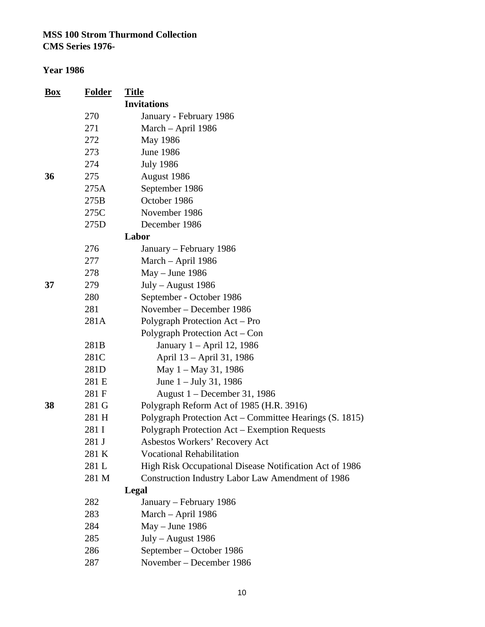| <b>Box</b> | <b>Folder</b> | <b>Title</b>                                            |
|------------|---------------|---------------------------------------------------------|
|            |               | <b>Invitations</b>                                      |
|            | 270           | January - February 1986                                 |
|            | 271           | March - April 1986                                      |
|            | 272           | May 1986                                                |
|            | 273           | <b>June 1986</b>                                        |
|            | 274           | <b>July 1986</b>                                        |
| 36         | 275           | August 1986                                             |
|            | 275A          | September 1986                                          |
|            | 275B          | October 1986                                            |
|            | 275C          | November 1986                                           |
|            | 275D          | December 1986                                           |
|            |               | Labor                                                   |
|            | 276           | January – February 1986                                 |
|            | 277           | March - April 1986                                      |
|            | 278           | $May - June 1986$                                       |
| 37         | 279           | July - August 1986                                      |
|            | 280           | September - October 1986                                |
|            | 281           | November – December 1986                                |
|            | 281A          | Polygraph Protection Act – Pro                          |
|            |               | Polygraph Protection Act – Con                          |
|            | 281B          | January 1 – April 12, 1986                              |
|            | 281C          | April 13 – April 31, 1986                               |
|            | 281D          | May $1 -$ May 31, 1986                                  |
|            | 281 E         | June $1 -$ July 31, 1986                                |
|            | 281 F         | August 1 – December 31, 1986                            |
| 38         | 281 G         | Polygraph Reform Act of 1985 (H.R. 3916)                |
|            | 281 H         | Polygraph Protection Act – Committee Hearings (S. 1815) |
|            | 281 I         | Polygraph Protection Act – Exemption Requests           |
|            | 281 J         | Asbestos Workers' Recovery Act                          |
|            | 281 K         | <b>Vocational Rehabilitation</b>                        |
|            | 281 L         | High Risk Occupational Disease Notification Act of 1986 |
|            | 281 M         | Construction Industry Labor Law Amendment of 1986       |
|            |               | Legal                                                   |
|            | 282           | January – February 1986                                 |
|            | 283           | March - April 1986                                      |
|            | 284           | $May - June 1986$                                       |
|            | 285           | July - August 1986                                      |
|            | 286           | September – October 1986                                |
|            | 287           | November – December 1986                                |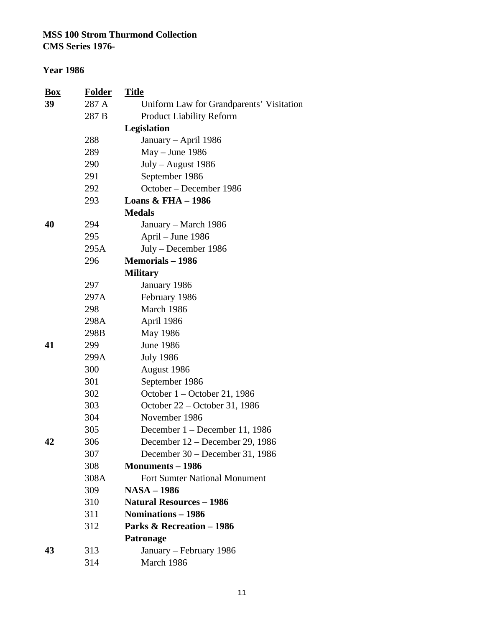**CMS Series 1976-**

| <b>Box</b> | <b>Folder</b> | <u>Title</u>                             |
|------------|---------------|------------------------------------------|
| 39         | 287 A         | Uniform Law for Grandparents' Visitation |
|            | 287 B         | <b>Product Liability Reform</b>          |
|            |               | Legislation                              |
|            | 288           | January - April 1986                     |
|            | 289           | $May - June 1986$                        |
|            | 290           | July - August 1986                       |
|            | 291           | September 1986                           |
|            | 292           | October - December 1986                  |
|            | 293           | <b>Loans &amp; FHA - 1986</b>            |
|            |               | <b>Medals</b>                            |
| 40         | 294           | January – March 1986                     |
|            | 295           | April – June 1986                        |
|            | 295A          | July - December 1986                     |
|            | 296           | <b>Memorials – 1986</b>                  |
|            |               | <b>Military</b>                          |
|            | 297           | January 1986                             |
|            | 297A          | February 1986                            |
|            | 298           | March 1986                               |
|            | 298A          | April 1986                               |
|            | 298B          | May 1986                                 |
| 41         | 299           | <b>June 1986</b>                         |
|            | 299A          | <b>July 1986</b>                         |
|            | 300           | August 1986                              |
|            | 301           | September 1986                           |
|            | 302           | October 1 – October 21, 1986             |
|            | 303           | October 22 – October 31, 1986            |
|            | 304           | November 1986                            |
|            | 305           | December 1 – December 11, 1986           |
| 42         | 306           | December 12 – December 29, 1986          |
|            | 307           | December 30 – December 31, 1986          |
|            | 308           | <b>Monuments - 1986</b>                  |
|            | 308A          | <b>Fort Sumter National Monument</b>     |
|            | 309           | <b>NASA - 1986</b>                       |
|            | 310           | <b>Natural Resources - 1986</b>          |
|            | 311           | Nominations - 1986                       |
|            | 312           | <b>Parks &amp; Recreation - 1986</b>     |
|            |               | Patronage                                |
| 43         | 313           | January – February 1986                  |
|            | 314           | March 1986                               |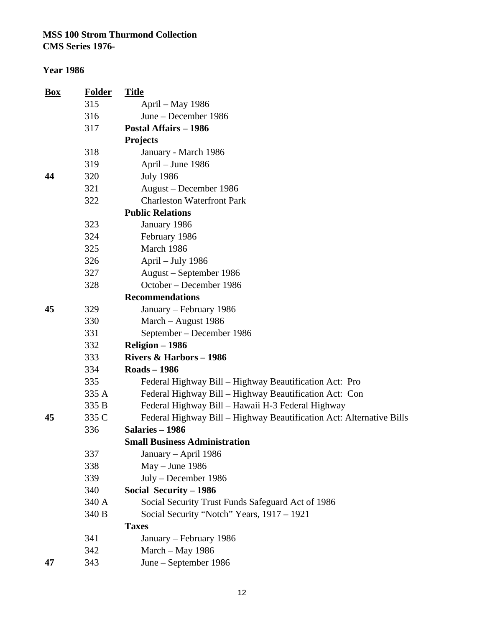#### **Year 1986**

| Box | <b>Folder</b> | <b>Title</b>                                                         |
|-----|---------------|----------------------------------------------------------------------|
|     | 315           | April – May 1986                                                     |
|     | 316           | June - December 1986                                                 |
|     | 317           | <b>Postal Affairs - 1986</b>                                         |
|     |               | <b>Projects</b>                                                      |
|     | 318           | January - March 1986                                                 |
|     | 319           | April – June 1986                                                    |
| 44  | 320           | <b>July 1986</b>                                                     |
|     | 321           | August – December 1986                                               |
|     | 322           | <b>Charleston Waterfront Park</b>                                    |
|     |               | <b>Public Relations</b>                                              |
|     | 323           | January 1986                                                         |
|     | 324           | February 1986                                                        |
|     | 325           | March 1986                                                           |
|     | 326           | April - July 1986                                                    |
|     | 327           | August – September 1986                                              |
|     | 328           | October – December 1986                                              |
|     |               | <b>Recommendations</b>                                               |
| 45  | 329           | January - February 1986                                              |
|     | 330           | March - August 1986                                                  |
|     | 331           | September – December 1986                                            |
|     | 332           | Religion - 1986                                                      |
|     | 333           | <b>Rivers &amp; Harbors - 1986</b>                                   |
|     | 334           | <b>Roads-1986</b>                                                    |
|     | 335           | Federal Highway Bill – Highway Beautification Act: Pro               |
|     | 335 A         | Federal Highway Bill - Highway Beautification Act: Con               |
|     | 335 B         | Federal Highway Bill - Hawaii H-3 Federal Highway                    |
| 45  | 335 C         | Federal Highway Bill - Highway Beautification Act: Alternative Bills |
|     | 336           | Salaries - 1986                                                      |
|     |               | <b>Small Business Administration</b>                                 |
|     | 337           | January – April 1986                                                 |
|     | 338           | $May - June 1986$                                                    |
|     | 339           | July - December 1986                                                 |
|     | 340           | Social Security - 1986                                               |
|     | 340 A         | Social Security Trust Funds Safeguard Act of 1986                    |
|     | 340 B         | Social Security "Notch" Years, 1917 - 1921                           |
|     |               | <b>Taxes</b>                                                         |
|     | 341           | January – February 1986                                              |
|     | 342           | March - May 1986                                                     |
| 47  | 343           | June – September 1986                                                |

12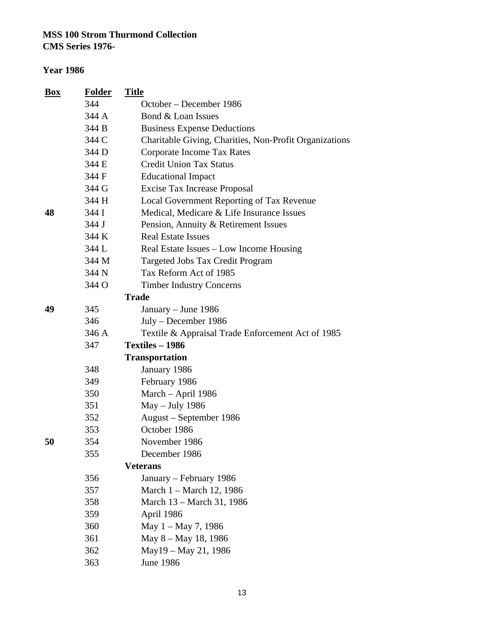**CMS Series 1976-**

| <b>Box</b> | <b>Folder</b> | <b>Title</b>                                           |
|------------|---------------|--------------------------------------------------------|
|            | 344           | October – December 1986                                |
|            | 344 A         | Bond & Loan Issues                                     |
|            | 344 B         | <b>Business Expense Deductions</b>                     |
|            | 344 C         | Charitable Giving, Charities, Non-Profit Organizations |
|            | 344 D         | Corporate Income Tax Rates                             |
|            | 344 E         | <b>Credit Union Tax Status</b>                         |
|            | 344 F         | <b>Educational Impact</b>                              |
|            | 344 G         | <b>Excise Tax Increase Proposal</b>                    |
|            | 344 H         | Local Government Reporting of Tax Revenue              |
| 48         | 344 I         | Medical, Medicare & Life Insurance Issues              |
|            | 344 J         | Pension, Annuity & Retirement Issues                   |
|            | 344 K         | <b>Real Estate Issues</b>                              |
|            | 344 L         | Real Estate Issues – Low Income Housing                |
|            | 344 M         | Targeted Jobs Tax Credit Program                       |
|            | 344 N         | Tax Reform Act of 1985                                 |
|            | 344 O         | <b>Timber Industry Concerns</b>                        |
|            |               | <b>Trade</b>                                           |
| 49         | 345           | January - June 1986                                    |
|            | 346           | July – December 1986                                   |
|            | 346 A         | Textile & Appraisal Trade Enforcement Act of 1985      |
|            | 347           | Textiles - 1986                                        |
|            |               | <b>Transportation</b>                                  |
|            | 348           | January 1986                                           |
|            | 349           | February 1986                                          |
|            | 350           | March - April 1986                                     |
|            | 351           | May - July 1986                                        |
|            | 352           | August – September 1986                                |
|            | 353           | October 1986                                           |
| 50         | 354           | November 1986                                          |
|            | 355           | December 1986                                          |
|            |               | <b>Veterans</b>                                        |
|            | 356           | January – February 1986                                |
|            | 357           | March 1 – March 12, 1986                               |
|            | 358           | March 13 - March 31, 1986                              |
|            | 359           | April 1986                                             |
|            | 360           | May 1 – May 7, 1986                                    |
|            | 361           | May 8 - May 18, 1986                                   |
|            | 362           | May 19 - May 21, 1986                                  |
|            | 363           | June 1986                                              |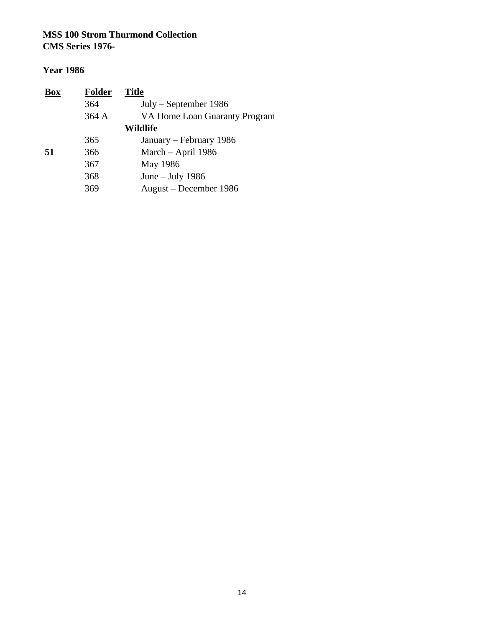| <b>Box</b> | <b>Folder</b> | <b>Title</b>                  |
|------------|---------------|-------------------------------|
|            | 364           | July – September 1986         |
|            | 364 A         | VA Home Loan Guaranty Program |
|            |               | <b>Wildlife</b>               |
|            | 365           | January – February 1986       |
| 51         | 366           | March – April 1986            |
|            | 367           | May 1986                      |
|            | 368           | June $-$ July 1986            |
|            | 369           | August – December 1986        |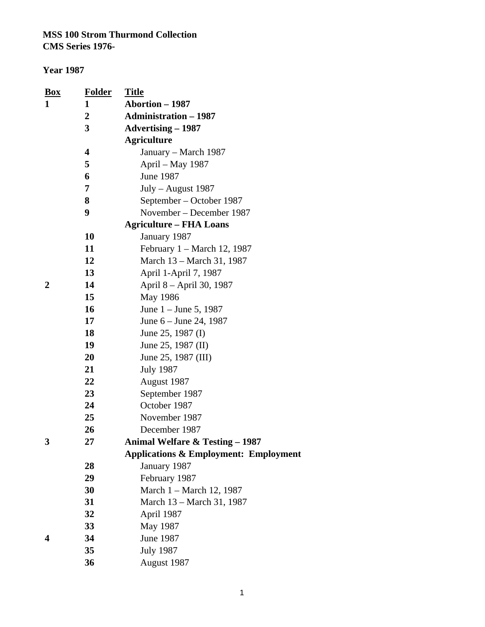| <u>Box</u> | <b>Folder</b>  | <u>Title</u>                                     |
|------------|----------------|--------------------------------------------------|
| 1          | 1              | <b>Abortion - 1987</b>                           |
|            | $\overline{2}$ | <b>Administration - 1987</b>                     |
|            | 3              | <b>Advertising – 1987</b>                        |
|            |                | <b>Agriculture</b>                               |
|            | 4              | January – March 1987                             |
|            | 5              | April – May 1987                                 |
|            | 6              | June 1987                                        |
|            | 7              | $July - August 1987$                             |
|            | 8              | September – October 1987                         |
|            | 9              | November – December 1987                         |
|            |                | <b>Agriculture – FHA Loans</b>                   |
|            | <b>10</b>      | January 1987                                     |
|            | 11             | February $1 - \text{March } 12$ , 1987           |
|            | 12             | March 13 – March 31, 1987                        |
|            | 13             | April 1-April 7, 1987                            |
| 2          | 14             | April 8 - April 30, 1987                         |
|            | 15             | May 1986                                         |
|            | 16             | June $1 -$ June 5, 1987                          |
|            | 17             | June $6 -$ June 24, 1987                         |
|            | 18             | June 25, 1987 (I)                                |
|            | 19             | June 25, 1987 (II)                               |
|            | 20             | June 25, 1987 (III)                              |
|            | 21             | <b>July 1987</b>                                 |
|            | 22             | August 1987                                      |
|            | 23             | September 1987                                   |
|            | 24             | October 1987                                     |
|            | 25             | November 1987                                    |
|            | 26             | December 1987                                    |
| 3          | 27             | <b>Animal Welfare &amp; Testing – 1987</b>       |
|            |                | <b>Applications &amp; Employment: Employment</b> |
|            | 28             | January 1987                                     |
|            | 29             | February 1987                                    |
|            | 30             | March 1 – March 12, 1987                         |
|            | 31             | March 13 - March 31, 1987                        |
|            | 32             | April 1987                                       |
|            | 33             | May 1987                                         |
|            | 34             | June 1987                                        |
|            | 35             | <b>July 1987</b>                                 |
|            | 36             | August 1987                                      |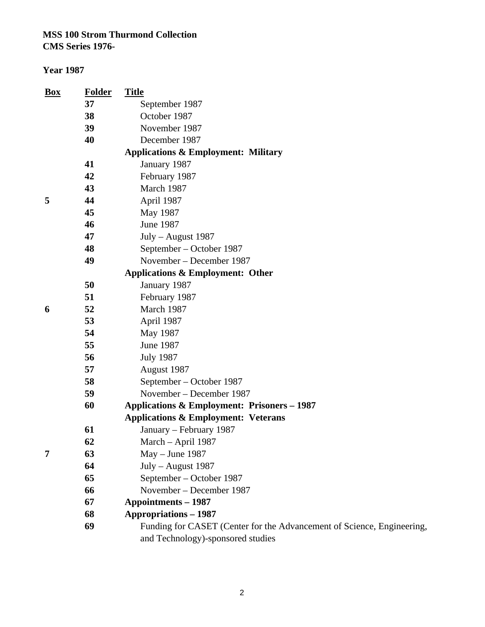| <b>Box</b> | <b>Folder</b> | <b>Title</b>                                                           |
|------------|---------------|------------------------------------------------------------------------|
|            | 37            | September 1987                                                         |
|            | 38            | October 1987                                                           |
|            | 39            | November 1987                                                          |
|            | 40            | December 1987                                                          |
|            |               | <b>Applications &amp; Employment: Military</b>                         |
|            | 41            | January 1987                                                           |
|            | 42            | February 1987                                                          |
|            | 43            | March 1987                                                             |
| 5          | 44            | April 1987                                                             |
|            | 45            | May 1987                                                               |
|            | 46            | June 1987                                                              |
|            | 47            | July - August 1987                                                     |
|            | 48            | September – October 1987                                               |
|            | 49            | November – December 1987                                               |
|            |               | <b>Applications &amp; Employment: Other</b>                            |
|            | 50            | January 1987                                                           |
|            | 51            | February 1987                                                          |
| 6          | 52            | March 1987                                                             |
|            | 53            | April 1987                                                             |
|            | 54            | May 1987                                                               |
|            | 55            | <b>June 1987</b>                                                       |
|            | 56            | <b>July 1987</b>                                                       |
|            | 57            | August 1987                                                            |
|            | 58            | September – October 1987                                               |
|            | 59            | November – December 1987                                               |
|            | 60            | <b>Applications &amp; Employment: Prisoners - 1987</b>                 |
|            |               | <b>Applications &amp; Employment: Veterans</b>                         |
|            | 61            | January – February 1987                                                |
|            | 62            | March - April 1987                                                     |
| 7          | 63            | May - June 1987                                                        |
|            | 64            | July - August 1987                                                     |
|            | 65            | September – October 1987                                               |
|            | 66            | November – December 1987                                               |
|            | 67            | <b>Appointments – 1987</b>                                             |
|            | 68            | <b>Appropriations - 1987</b>                                           |
|            | 69            | Funding for CASET (Center for the Advancement of Science, Engineering, |
|            |               | and Technology)-sponsored studies                                      |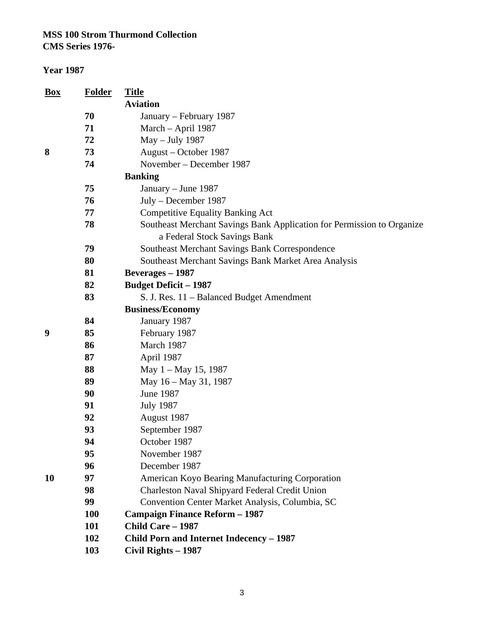| Box | <b>Folder</b> | <b>Title</b>                                                                                           |
|-----|---------------|--------------------------------------------------------------------------------------------------------|
|     |               | <b>Aviation</b>                                                                                        |
|     | 70            | January – February 1987                                                                                |
|     | 71            | March - April 1987                                                                                     |
|     | 72            | May - July 1987                                                                                        |
| 8   | 73            | August – October 1987                                                                                  |
|     | 74            | November – December 1987                                                                               |
|     |               | <b>Banking</b>                                                                                         |
|     | 75            | January – June 1987                                                                                    |
|     | 76            | July – December 1987                                                                                   |
|     | 77            | <b>Competitive Equality Banking Act</b>                                                                |
|     | 78            | Southeast Merchant Savings Bank Application for Permission to Organize<br>a Federal Stock Savings Bank |
|     | 79            | Southeast Merchant Savings Bank Correspondence                                                         |
|     | 80            | Southeast Merchant Savings Bank Market Area Analysis                                                   |
|     | 81            | <b>Beverages</b> - 1987                                                                                |
|     | 82            | <b>Budget Deficit - 1987</b>                                                                           |
|     | 83            | S. J. Res. 11 – Balanced Budget Amendment                                                              |
|     |               | <b>Business/Economy</b>                                                                                |
|     | 84            | January 1987                                                                                           |
| 9   | 85            | February 1987                                                                                          |
|     | 86            | March 1987                                                                                             |
|     | 87            | April 1987                                                                                             |
|     | 88            | May 1 - May 15, 1987                                                                                   |
|     | 89            | May 16 - May 31, 1987                                                                                  |
|     | 90            | <b>June 1987</b>                                                                                       |
|     | 91            | <b>July 1987</b>                                                                                       |
|     | 92            | August 1987                                                                                            |
|     | 93            | September 1987                                                                                         |
|     | 94            | October 1987                                                                                           |
|     | 95            | November 1987                                                                                          |
|     | 96            | December 1987                                                                                          |
| 10  | 97            | American Koyo Bearing Manufacturing Corporation                                                        |
|     | 98            | Charleston Naval Shipyard Federal Credit Union                                                         |
|     | 99            | Convention Center Market Analysis, Columbia, SC                                                        |
|     | <b>100</b>    | <b>Campaign Finance Reform - 1987</b>                                                                  |
|     | 101           | <b>Child Care - 1987</b>                                                                               |
|     | 102           | Child Porn and Internet Indecency - 1987                                                               |
|     | 103           | Civil Rights - 1987                                                                                    |
|     |               |                                                                                                        |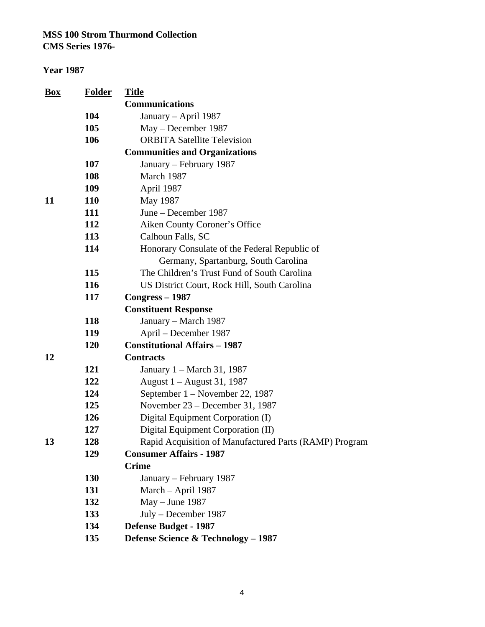| Box | <b>Folder</b> | <b>Title</b>                                           |
|-----|---------------|--------------------------------------------------------|
|     |               | <b>Communications</b>                                  |
|     | 104           | January - April 1987                                   |
|     | 105           | May – December 1987                                    |
|     | 106           | <b>ORBITA Satellite Television</b>                     |
|     |               | <b>Communities and Organizations</b>                   |
|     | 107           | January – February 1987                                |
|     | 108           | March 1987                                             |
|     | 109           | April 1987                                             |
| 11  | <b>110</b>    | May 1987                                               |
|     | 111           | June – December 1987                                   |
|     | 112           | Aiken County Coroner's Office                          |
|     | 113           | Calhoun Falls, SC                                      |
|     | 114           | Honorary Consulate of the Federal Republic of          |
|     |               | Germany, Spartanburg, South Carolina                   |
|     | 115           | The Children's Trust Fund of South Carolina            |
|     | 116           | US District Court, Rock Hill, South Carolina           |
|     | 117           | $Congress - 1987$                                      |
|     |               | <b>Constituent Response</b>                            |
|     | 118           | January - March 1987                                   |
|     | 119           | April – December 1987                                  |
|     | 120           | <b>Constitutional Affairs - 1987</b>                   |
| 12  |               | <b>Contracts</b>                                       |
|     | 121           | January 1 – March 31, 1987                             |
|     | 122           | August 1 – August 31, 1987                             |
|     | 124           | September 1 – November 22, 1987                        |
|     | 125           | November 23 – December 31, 1987                        |
|     | 126           | Digital Equipment Corporation (I)                      |
|     | 127           | Digital Equipment Corporation (II)                     |
| 13  | 128           | Rapid Acquisition of Manufactured Parts (RAMP) Program |
|     | 129           | <b>Consumer Affairs - 1987</b>                         |
|     |               | <b>Crime</b>                                           |
|     | <b>130</b>    | January – February 1987                                |
|     | 131           | March - April 1987                                     |
|     | 132           | May - June 1987                                        |
|     | 133           | July - December 1987                                   |
|     | 134           | <b>Defense Budget - 1987</b>                           |
|     | 135           | Defense Science & Technology - 1987                    |
|     |               |                                                        |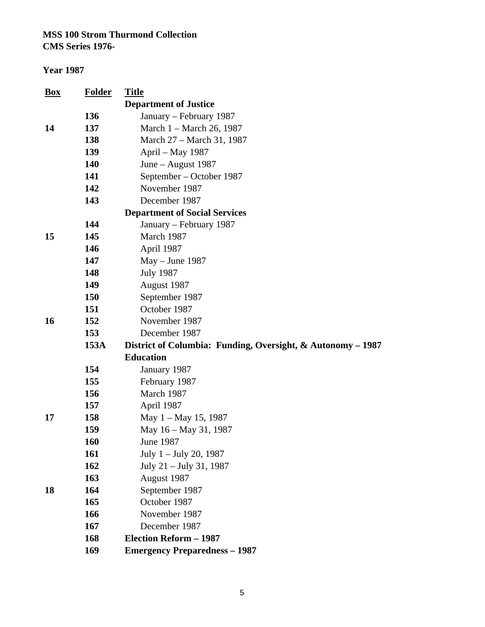| <b>Box</b> | <b>Folder</b> | <b>Title</b>                                                |
|------------|---------------|-------------------------------------------------------------|
|            |               | <b>Department of Justice</b>                                |
|            | 136           | January – February 1987                                     |
| 14         | 137           | March 1 – March 26, 1987                                    |
|            | 138           | March 27 – March 31, 1987                                   |
|            | 139           | April – May 1987                                            |
|            | <b>140</b>    | June – August 1987                                          |
|            | 141           | September – October 1987                                    |
|            | 142           | November 1987                                               |
|            | 143           | December 1987                                               |
|            |               | <b>Department of Social Services</b>                        |
|            | 144           | January – February 1987                                     |
| 15         | 145           | March 1987                                                  |
|            | 146           | April 1987                                                  |
|            | 147           | May - June 1987                                             |
|            | 148           | <b>July 1987</b>                                            |
|            | 149           | August 1987                                                 |
|            | <b>150</b>    | September 1987                                              |
|            | 151           | October 1987                                                |
| <b>16</b>  | 152           | November 1987                                               |
|            | 153           | December 1987                                               |
|            | 153A          | District of Columbia: Funding, Oversight, & Autonomy – 1987 |
|            |               | <b>Education</b>                                            |
|            | 154           | January 1987                                                |
|            | 155           | February 1987                                               |
|            | 156           | March 1987                                                  |
|            | 157           | April 1987                                                  |
| 17         | 158           | May $1 -$ May 15, 1987                                      |
|            | 159           | May 16 – May 31, 1987                                       |
|            | <b>160</b>    | June 1987                                                   |
|            | 161           | July 1 – July 20, 1987                                      |
|            | 162           | July 21 – July 31, 1987                                     |
|            | 163           | August 1987                                                 |
| 18         | 164           | September 1987                                              |
|            | 165           | October 1987                                                |
|            | 166           | November 1987                                               |
|            | 167           | December 1987                                               |
|            | 168           | <b>Election Reform - 1987</b>                               |
|            | 169           | <b>Emergency Preparedness - 1987</b>                        |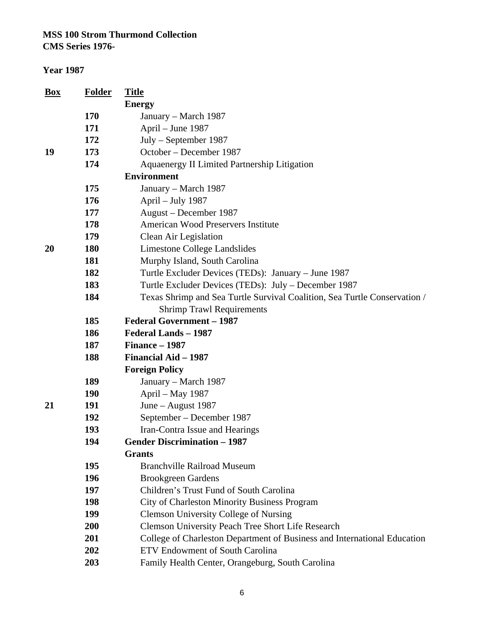| <b>Energy</b><br>170<br>January – March 1987<br>171<br>April – June 1987<br>$July - September 1987$<br>172<br>19<br>October – December 1987<br>173<br>174<br>Aquaenergy II Limited Partnership Litigation<br><b>Environment</b><br>175<br>January - March 1987<br>176<br>April – July 1987<br>177<br>August – December 1987<br><b>American Wood Preservers Institute</b><br>178<br>179<br>Clean Air Legislation<br>20<br><b>180</b><br>Limestone College Landslides<br>181<br>Murphy Island, South Carolina<br>182<br>Turtle Excluder Devices (TEDs): January - June 1987<br>183<br>Turtle Excluder Devices (TEDs): July – December 1987<br>184<br>Texas Shrimp and Sea Turtle Survival Coalition, Sea Turtle Conservation /<br><b>Shrimp Trawl Requirements</b><br><b>Federal Government - 1987</b><br>185<br>186<br>Federal Lands - 1987<br>187<br>Finance - 1987<br>188<br>Financial Aid - 1987<br><b>Foreign Policy</b><br>189<br>January – March 1987<br><b>190</b><br>April - May 1987<br>21<br>191<br>June - August 1987<br>192<br>September - December 1987<br>193<br>Iran-Contra Issue and Hearings<br>194<br><b>Gender Discrimination - 1987</b><br><b>Grants</b><br>195<br><b>Branchville Railroad Museum</b> |  |
|--------------------------------------------------------------------------------------------------------------------------------------------------------------------------------------------------------------------------------------------------------------------------------------------------------------------------------------------------------------------------------------------------------------------------------------------------------------------------------------------------------------------------------------------------------------------------------------------------------------------------------------------------------------------------------------------------------------------------------------------------------------------------------------------------------------------------------------------------------------------------------------------------------------------------------------------------------------------------------------------------------------------------------------------------------------------------------------------------------------------------------------------------------------------------------------------------------------------------|--|
|                                                                                                                                                                                                                                                                                                                                                                                                                                                                                                                                                                                                                                                                                                                                                                                                                                                                                                                                                                                                                                                                                                                                                                                                                          |  |
|                                                                                                                                                                                                                                                                                                                                                                                                                                                                                                                                                                                                                                                                                                                                                                                                                                                                                                                                                                                                                                                                                                                                                                                                                          |  |
|                                                                                                                                                                                                                                                                                                                                                                                                                                                                                                                                                                                                                                                                                                                                                                                                                                                                                                                                                                                                                                                                                                                                                                                                                          |  |
|                                                                                                                                                                                                                                                                                                                                                                                                                                                                                                                                                                                                                                                                                                                                                                                                                                                                                                                                                                                                                                                                                                                                                                                                                          |  |
|                                                                                                                                                                                                                                                                                                                                                                                                                                                                                                                                                                                                                                                                                                                                                                                                                                                                                                                                                                                                                                                                                                                                                                                                                          |  |
|                                                                                                                                                                                                                                                                                                                                                                                                                                                                                                                                                                                                                                                                                                                                                                                                                                                                                                                                                                                                                                                                                                                                                                                                                          |  |
|                                                                                                                                                                                                                                                                                                                                                                                                                                                                                                                                                                                                                                                                                                                                                                                                                                                                                                                                                                                                                                                                                                                                                                                                                          |  |
|                                                                                                                                                                                                                                                                                                                                                                                                                                                                                                                                                                                                                                                                                                                                                                                                                                                                                                                                                                                                                                                                                                                                                                                                                          |  |
|                                                                                                                                                                                                                                                                                                                                                                                                                                                                                                                                                                                                                                                                                                                                                                                                                                                                                                                                                                                                                                                                                                                                                                                                                          |  |
|                                                                                                                                                                                                                                                                                                                                                                                                                                                                                                                                                                                                                                                                                                                                                                                                                                                                                                                                                                                                                                                                                                                                                                                                                          |  |
|                                                                                                                                                                                                                                                                                                                                                                                                                                                                                                                                                                                                                                                                                                                                                                                                                                                                                                                                                                                                                                                                                                                                                                                                                          |  |
|                                                                                                                                                                                                                                                                                                                                                                                                                                                                                                                                                                                                                                                                                                                                                                                                                                                                                                                                                                                                                                                                                                                                                                                                                          |  |
|                                                                                                                                                                                                                                                                                                                                                                                                                                                                                                                                                                                                                                                                                                                                                                                                                                                                                                                                                                                                                                                                                                                                                                                                                          |  |
|                                                                                                                                                                                                                                                                                                                                                                                                                                                                                                                                                                                                                                                                                                                                                                                                                                                                                                                                                                                                                                                                                                                                                                                                                          |  |
|                                                                                                                                                                                                                                                                                                                                                                                                                                                                                                                                                                                                                                                                                                                                                                                                                                                                                                                                                                                                                                                                                                                                                                                                                          |  |
|                                                                                                                                                                                                                                                                                                                                                                                                                                                                                                                                                                                                                                                                                                                                                                                                                                                                                                                                                                                                                                                                                                                                                                                                                          |  |
|                                                                                                                                                                                                                                                                                                                                                                                                                                                                                                                                                                                                                                                                                                                                                                                                                                                                                                                                                                                                                                                                                                                                                                                                                          |  |
|                                                                                                                                                                                                                                                                                                                                                                                                                                                                                                                                                                                                                                                                                                                                                                                                                                                                                                                                                                                                                                                                                                                                                                                                                          |  |
|                                                                                                                                                                                                                                                                                                                                                                                                                                                                                                                                                                                                                                                                                                                                                                                                                                                                                                                                                                                                                                                                                                                                                                                                                          |  |
|                                                                                                                                                                                                                                                                                                                                                                                                                                                                                                                                                                                                                                                                                                                                                                                                                                                                                                                                                                                                                                                                                                                                                                                                                          |  |
|                                                                                                                                                                                                                                                                                                                                                                                                                                                                                                                                                                                                                                                                                                                                                                                                                                                                                                                                                                                                                                                                                                                                                                                                                          |  |
|                                                                                                                                                                                                                                                                                                                                                                                                                                                                                                                                                                                                                                                                                                                                                                                                                                                                                                                                                                                                                                                                                                                                                                                                                          |  |
|                                                                                                                                                                                                                                                                                                                                                                                                                                                                                                                                                                                                                                                                                                                                                                                                                                                                                                                                                                                                                                                                                                                                                                                                                          |  |
|                                                                                                                                                                                                                                                                                                                                                                                                                                                                                                                                                                                                                                                                                                                                                                                                                                                                                                                                                                                                                                                                                                                                                                                                                          |  |
|                                                                                                                                                                                                                                                                                                                                                                                                                                                                                                                                                                                                                                                                                                                                                                                                                                                                                                                                                                                                                                                                                                                                                                                                                          |  |
|                                                                                                                                                                                                                                                                                                                                                                                                                                                                                                                                                                                                                                                                                                                                                                                                                                                                                                                                                                                                                                                                                                                                                                                                                          |  |
|                                                                                                                                                                                                                                                                                                                                                                                                                                                                                                                                                                                                                                                                                                                                                                                                                                                                                                                                                                                                                                                                                                                                                                                                                          |  |
|                                                                                                                                                                                                                                                                                                                                                                                                                                                                                                                                                                                                                                                                                                                                                                                                                                                                                                                                                                                                                                                                                                                                                                                                                          |  |
|                                                                                                                                                                                                                                                                                                                                                                                                                                                                                                                                                                                                                                                                                                                                                                                                                                                                                                                                                                                                                                                                                                                                                                                                                          |  |
|                                                                                                                                                                                                                                                                                                                                                                                                                                                                                                                                                                                                                                                                                                                                                                                                                                                                                                                                                                                                                                                                                                                                                                                                                          |  |
|                                                                                                                                                                                                                                                                                                                                                                                                                                                                                                                                                                                                                                                                                                                                                                                                                                                                                                                                                                                                                                                                                                                                                                                                                          |  |
| 196<br><b>Brookgreen Gardens</b>                                                                                                                                                                                                                                                                                                                                                                                                                                                                                                                                                                                                                                                                                                                                                                                                                                                                                                                                                                                                                                                                                                                                                                                         |  |
| 197<br>Children's Trust Fund of South Carolina                                                                                                                                                                                                                                                                                                                                                                                                                                                                                                                                                                                                                                                                                                                                                                                                                                                                                                                                                                                                                                                                                                                                                                           |  |
| 198<br>City of Charleston Minority Business Program                                                                                                                                                                                                                                                                                                                                                                                                                                                                                                                                                                                                                                                                                                                                                                                                                                                                                                                                                                                                                                                                                                                                                                      |  |
| 199<br><b>Clemson University College of Nursing</b>                                                                                                                                                                                                                                                                                                                                                                                                                                                                                                                                                                                                                                                                                                                                                                                                                                                                                                                                                                                                                                                                                                                                                                      |  |
| 200<br>Clemson University Peach Tree Short Life Research                                                                                                                                                                                                                                                                                                                                                                                                                                                                                                                                                                                                                                                                                                                                                                                                                                                                                                                                                                                                                                                                                                                                                                 |  |
| 201<br>College of Charleston Department of Business and International Education                                                                                                                                                                                                                                                                                                                                                                                                                                                                                                                                                                                                                                                                                                                                                                                                                                                                                                                                                                                                                                                                                                                                          |  |
| <b>ETV Endowment of South Carolina</b><br>202                                                                                                                                                                                                                                                                                                                                                                                                                                                                                                                                                                                                                                                                                                                                                                                                                                                                                                                                                                                                                                                                                                                                                                            |  |
| 203<br>Family Health Center, Orangeburg, South Carolina                                                                                                                                                                                                                                                                                                                                                                                                                                                                                                                                                                                                                                                                                                                                                                                                                                                                                                                                                                                                                                                                                                                                                                  |  |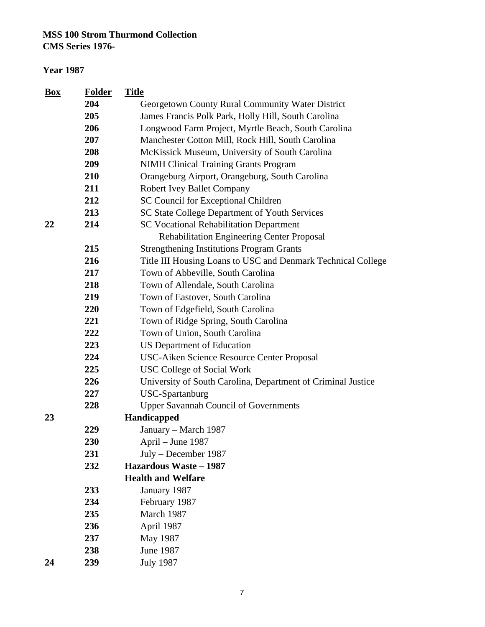| <b>Box</b> | <b>Folder</b> | <b>Title</b>                                                 |
|------------|---------------|--------------------------------------------------------------|
|            | 204           | Georgetown County Rural Community Water District             |
|            | 205           | James Francis Polk Park, Holly Hill, South Carolina          |
|            | 206           | Longwood Farm Project, Myrtle Beach, South Carolina          |
|            | 207           | Manchester Cotton Mill, Rock Hill, South Carolina            |
|            | 208           | McKissick Museum, University of South Carolina               |
|            | 209           | <b>NIMH Clinical Training Grants Program</b>                 |
|            | 210           | Orangeburg Airport, Orangeburg, South Carolina               |
|            | 211           | <b>Robert Ivey Ballet Company</b>                            |
|            | 212           | SC Council for Exceptional Children                          |
|            | 213           | SC State College Department of Youth Services                |
| 22         | 214           | <b>SC Vocational Rehabilitation Department</b>               |
|            |               | Rehabilitation Engineering Center Proposal                   |
|            | 215           | <b>Strengthening Institutions Program Grants</b>             |
|            | 216           | Title III Housing Loans to USC and Denmark Technical College |
|            | 217           | Town of Abbeville, South Carolina                            |
|            | 218           | Town of Allendale, South Carolina                            |
|            | 219           | Town of Eastover, South Carolina                             |
|            | 220           | Town of Edgefield, South Carolina                            |
|            | 221           | Town of Ridge Spring, South Carolina                         |
|            | 222           | Town of Union, South Carolina                                |
|            | 223           | <b>US Department of Education</b>                            |
|            | 224           | USC-Aiken Science Resource Center Proposal                   |
|            | 225           | <b>USC College of Social Work</b>                            |
|            | 226           | University of South Carolina, Department of Criminal Justice |
|            | 227           | USC-Spartanburg                                              |
|            | 228           | <b>Upper Savannah Council of Governments</b>                 |
| 23         |               | Handicapped                                                  |
|            | 229           | January - March 1987                                         |
|            | <b>230</b>    | April – June 1987                                            |
|            | 231           | July - December 1987                                         |
|            | 232           | <b>Hazardous Waste - 1987</b>                                |
|            |               | <b>Health and Welfare</b>                                    |
|            | 233           | January 1987                                                 |
|            | 234           | February 1987                                                |
|            | 235           | March 1987                                                   |
|            | 236           | April 1987                                                   |
|            | 237           | May 1987                                                     |
|            | 238           | <b>June 1987</b>                                             |
| 24         | 239           | <b>July 1987</b>                                             |
|            |               |                                                              |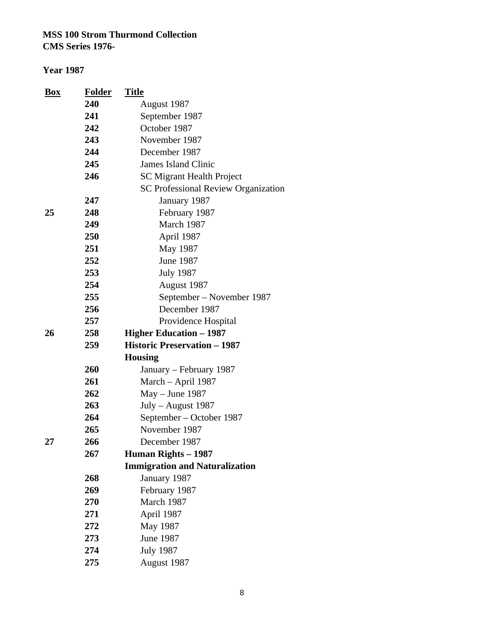| <b>Box</b> | <b>Folder</b> | <b>Title</b>                               |
|------------|---------------|--------------------------------------------|
|            | 240           | August 1987                                |
|            | 241           | September 1987                             |
|            | 242           | October 1987                               |
|            | 243           | November 1987                              |
|            | 244           | December 1987                              |
|            | 245           | <b>James Island Clinic</b>                 |
|            | 246           | <b>SC Migrant Health Project</b>           |
|            |               | <b>SC Professional Review Organization</b> |
|            | 247           | January 1987                               |
| 25         | 248           | February 1987                              |
|            | 249           | March 1987                                 |
|            | 250           | April 1987                                 |
|            | 251           | May 1987                                   |
|            | 252           | <b>June 1987</b>                           |
|            | 253           | <b>July 1987</b>                           |
|            | 254           | August 1987                                |
|            | 255           | September – November 1987                  |
|            | 256           | December 1987                              |
|            | 257           | Providence Hospital                        |
| 26         | 258           | <b>Higher Education – 1987</b>             |
|            | 259           | <b>Historic Preservation - 1987</b>        |
|            |               | <b>Housing</b>                             |
|            | 260           | January – February 1987                    |
|            | 261           | March - April 1987                         |
|            | 262           | $May - June 1987$                          |
|            | 263           | July - August 1987                         |
|            | 264           | September – October 1987                   |
|            | 265           | November 1987                              |
| 27         | 266           | December 1987                              |
|            | 267           | <b>Human Rights – 1987</b>                 |
|            |               | <b>Immigration and Naturalization</b>      |
|            | 268           | January 1987                               |
|            | 269           | February 1987                              |
|            | 270           | March 1987                                 |
|            | 271           | April 1987                                 |
|            | 272           | May 1987                                   |
|            | 273           | <b>June 1987</b>                           |
|            | 274           | <b>July 1987</b>                           |
|            | 275           | August 1987                                |
|            |               |                                            |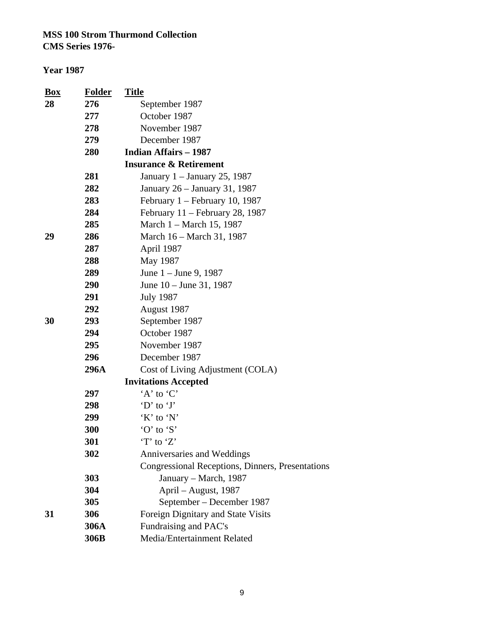| $\mathbf{Box}$ | <b>Folder</b> | <b>Title</b>                                     |
|----------------|---------------|--------------------------------------------------|
| 28             | 276           | September 1987                                   |
|                | 277           | October 1987                                     |
|                | 278           | November 1987                                    |
|                | 279           | December 1987                                    |
|                | 280           | <b>Indian Affairs - 1987</b>                     |
|                |               | <b>Insurance &amp; Retirement</b>                |
|                | 281           | January 1 - January 25, 1987                     |
|                | 282           | January 26 - January 31, 1987                    |
|                | 283           | February $1 -$ February 10, 1987                 |
|                | 284           | February 11 – February 28, 1987                  |
|                | 285           | March 1 – March 15, 1987                         |
| 29             | 286           | March 16 – March 31, 1987                        |
|                | 287           | April 1987                                       |
|                | 288           | May 1987                                         |
|                | 289           | June $1 -$ June 9, 1987                          |
|                | 290           | June $10 -$ June 31, 1987                        |
|                | 291           | <b>July 1987</b>                                 |
|                | 292           | August 1987                                      |
| 30             | 293           | September 1987                                   |
|                | 294           | October 1987                                     |
|                | 295           | November 1987                                    |
|                | 296           | December 1987                                    |
|                | 296A          | Cost of Living Adjustment (COLA)                 |
|                |               | <b>Invitations Accepted</b>                      |
|                | 297           | $A$ to $C$                                       |
|                | 298           | $\Delta$ to $\Delta$ .                           |
|                | 299           | $'K'$ to $'N'$                                   |
|                | 300           | 'O' to 'S'                                       |
|                | 301           | $T$ to $Z$                                       |
|                | 302           | Anniversaries and Weddings                       |
|                |               | Congressional Receptions, Dinners, Presentations |
|                | 303           | January – March, 1987                            |
|                | 304           | April - August, 1987                             |
|                | 305           | September – December 1987                        |
| 31             | 306           | Foreign Dignitary and State Visits               |
|                | 306A          | Fundraising and PAC's                            |
|                | 306B          | Media/Entertainment Related                      |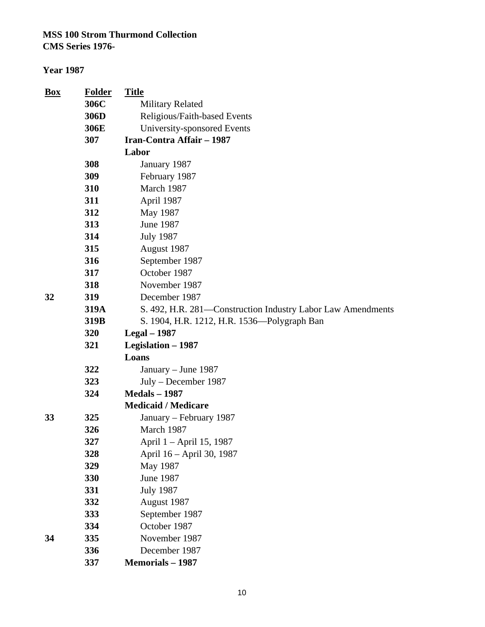| <b>Box</b> | <b>Folder</b> | <b>Title</b>                                                |
|------------|---------------|-------------------------------------------------------------|
|            | 306C          | <b>Military Related</b>                                     |
|            | 306D          | Religious/Faith-based Events                                |
|            | 306E          | University-sponsored Events                                 |
|            | 307           | <b>Iran-Contra Affair - 1987</b>                            |
|            |               | Labor                                                       |
|            | 308           | January 1987                                                |
|            | 309           | February 1987                                               |
|            | 310           | March 1987                                                  |
|            | 311           | April 1987                                                  |
|            | 312           | May 1987                                                    |
|            | 313           | June 1987                                                   |
|            | 314           | <b>July 1987</b>                                            |
|            | 315           | August 1987                                                 |
|            | 316           | September 1987                                              |
|            | 317           | October 1987                                                |
|            | 318           | November 1987                                               |
| 32         | 319           | December 1987                                               |
|            | 319A          | S. 492, H.R. 281—Construction Industry Labor Law Amendments |
|            | 319B          | S. 1904, H.R. 1212, H.R. 1536—Polygraph Ban                 |
|            | 320           | Legal $-1987$                                               |
|            | 321           | Legislation - 1987                                          |
|            |               | Loans                                                       |
|            | 322           | January – June 1987                                         |
|            | 323           | July – December 1987                                        |
|            | 324           | <b>Medals - 1987</b>                                        |
|            |               | <b>Medicaid / Medicare</b>                                  |
| 33         | 325           | January – February 1987                                     |
|            | 326           | March 1987                                                  |
|            | 327           | April 1 – April 15, 1987                                    |
|            | 328           | April 16 - April 30, 1987                                   |
|            | 329           | May 1987                                                    |
|            | 330           | <b>June 1987</b>                                            |
|            | 331           | <b>July 1987</b>                                            |
|            | 332           | August 1987                                                 |
|            | 333           | September 1987                                              |
|            | 334           | October 1987                                                |
| 34         | 335           | November 1987                                               |
|            | 336           | December 1987                                               |
|            | 337           | <b>Memorials - 1987</b>                                     |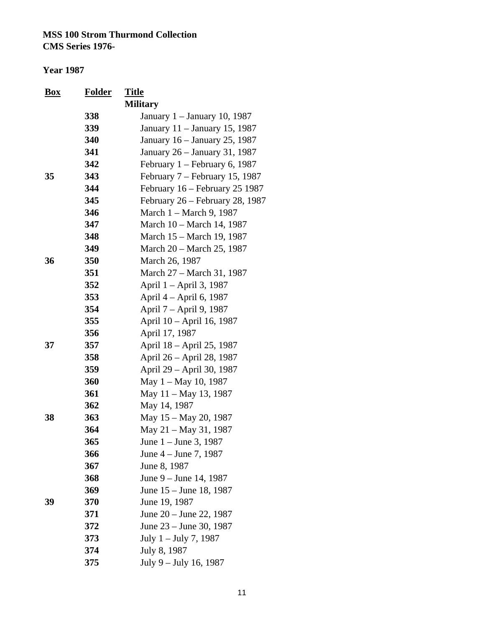| <u>Box</u> | <b>Folder</b> | <u>Title</u>                     |
|------------|---------------|----------------------------------|
|            |               | <b>Military</b>                  |
|            | 338           | January 1 – January 10, 1987     |
|            | 339           | January 11 – January 15, 1987    |
|            | 340           | January 16 – January 25, 1987    |
|            | 341           | January 26 - January 31, 1987    |
|            | 342           | February 1 - February 6, 1987    |
| 35         | 343           | February $7$ – February 15, 1987 |
|            | 344           | February 16 – February 25 1987   |
|            | 345           | February 26 – February 28, 1987  |
|            | 346           | March 1 – March 9, 1987          |
|            | 347           | March 10 – March 14, 1987        |
|            | 348           | March 15 – March 19, 1987        |
|            | 349           | March 20 – March 25, 1987        |
| 36         | 350           | March 26, 1987                   |
|            | 351           | March 27 – March 31, 1987        |
|            | 352           | April 1 – April 3, 1987          |
|            | 353           | April 4 – April 6, 1987          |
|            | 354           | April 7 – April 9, 1987          |
|            | 355           | April 10 - April 16, 1987        |
|            | 356           | April 17, 1987                   |
| 37         | 357           | April 18 – April 25, 1987        |
|            | 358           | April 26 – April 28, 1987        |
|            | 359           | April 29 – April 30, 1987        |
|            | 360           | May $1 -$ May 10, 1987           |
|            | 361           | May 11 – May 13, 1987            |
|            | 362           | May 14, 1987                     |
| 38         | 363           | May 15 – May 20, 1987            |
|            | 364           | May 21 – May 31, 1987            |
|            | 365           | June 1 – June 3, 1987            |
|            | 366           | June 4 – June 7, 1987            |
|            | 367           | June 8, 1987                     |
|            | 368           | June 9 – June 14, 1987           |
|            | 369           | June 15 – June 18, 1987          |
| 39         | 370           | June 19, 1987                    |
|            | 371           | June 20 – June 22, 1987          |
|            | 372           | June 23 – June 30, 1987          |
|            | 373           | July $1 -$ July 7, 1987          |
|            | 374           | July 8, 1987                     |
|            | 375           | July 9 - July 16, 1987           |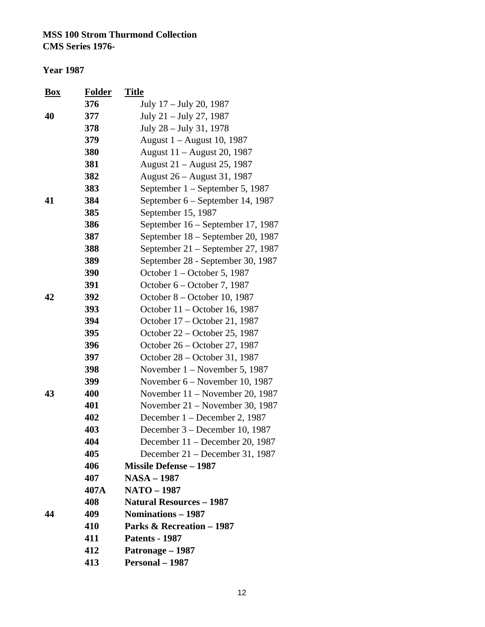#### **Year 1987**

| <b>Box</b> | Folder | <u>Title</u>                         |
|------------|--------|--------------------------------------|
|            | 376    | July 17 – July 20, 1987              |
| 40         | 377    | July 21 – July 27, 1987              |
|            | 378    | July 28 - July 31, 1978              |
|            | 379    | August 1 – August 10, 1987           |
|            | 380    | August 11 – August 20, 1987          |
|            | 381    | August 21 – August 25, 1987          |
|            | 382    | August 26 – August 31, 1987          |
|            | 383    | September 1 – September 5, 1987      |
| 41         | 384    | September 6 – September 14, 1987     |
|            | 385    | September 15, 1987                   |
|            | 386    | September 16 – September 17, 1987    |
|            | 387    | September 18 – September 20, 1987    |
|            | 388    | September 21 – September 27, 1987    |
|            | 389    | September 28 - September 30, 1987    |
|            | 390    | October $1 -$ October 5, 1987        |
|            | 391    | October 6 – October 7, 1987          |
| 42         | 392    | October 8 – October 10, 1987         |
|            | 393    | October 11 – October 16, 1987        |
|            | 394    | October 17 – October 21, 1987        |
|            | 395    | October 22 – October 25, 1987        |
|            | 396    | October 26 – October 27, 1987        |
|            | 397    | October 28 – October 31, 1987        |
|            | 398    | November $1 -$ November 5, 1987      |
|            | 399    | November 6 – November 10, 1987       |
| 43         | 400    | November $11$ – November 20, 1987    |
|            | 401    | November $21$ – November 30, 1987    |
|            | 402    | December 1 – December 2, 1987        |
|            | 403    | December 3 – December 10, 1987       |
|            | 404    | December 11 - December 20, 1987      |
|            | 405    | December $21$ – December 31, 1987    |
|            | 406    | <b>Missile Defense - 1987</b>        |
|            | 407    | <b>NASA - 1987</b>                   |
|            | 407A   | <b>NATO - 1987</b>                   |
|            | 408    | <b>Natural Resources - 1987</b>      |
| 44         | 409    | Nominations - 1987                   |
|            | 410    | <b>Parks &amp; Recreation - 1987</b> |
|            | 411    | <b>Patents - 1987</b>                |
|            | 412    | Patronage - 1987                     |
|            | 413    | Personal - 1987                      |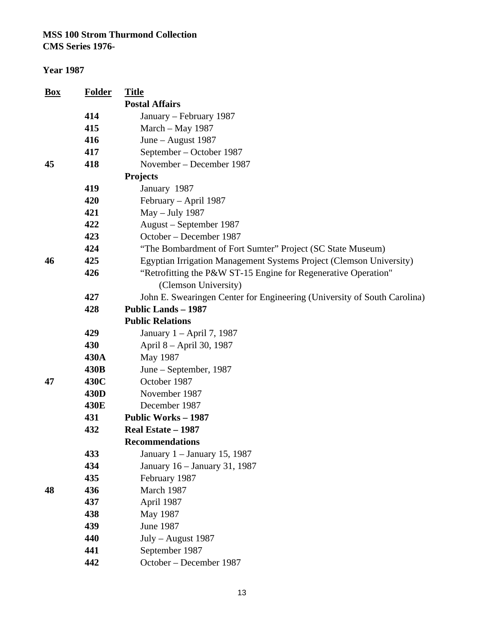| <u>Box</u> | <b>Folder</b> | <b>Title</b>                                                             |
|------------|---------------|--------------------------------------------------------------------------|
|            |               | <b>Postal Affairs</b>                                                    |
|            | 414           | January - February 1987                                                  |
|            | 415           | March - May 1987                                                         |
|            | 416           | June - August 1987                                                       |
|            | 417           | September – October 1987                                                 |
| 45         | 418           | November – December 1987                                                 |
|            |               | <b>Projects</b>                                                          |
|            | 419           | January 1987                                                             |
|            | 420           | February - April 1987                                                    |
|            | 421           | May - July 1987                                                          |
|            | 422           | August – September 1987                                                  |
|            | 423           | October – December 1987                                                  |
|            | 424           | "The Bombardment of Fort Sumter" Project (SC State Museum)               |
| 46         | 425           | Egyptian Irrigation Management Systems Project (Clemson University)      |
|            | 426           | "Retrofitting the P&W ST-15 Engine for Regenerative Operation"           |
|            |               | (Clemson University)                                                     |
|            | 427           | John E. Swearingen Center for Engineering (University of South Carolina) |
|            | 428           | <b>Public Lands - 1987</b>                                               |
|            |               | <b>Public Relations</b>                                                  |
|            | 429           | January 1 – April 7, 1987                                                |
|            | 430           | April 8 – April 30, 1987                                                 |
|            | 430A          | May 1987                                                                 |
|            | 430B          | June – September, 1987                                                   |
| 47         | 430C          | October 1987                                                             |
|            | 430D          | November 1987                                                            |
|            | 430E          | December 1987                                                            |
|            | 431           | <b>Public Works - 1987</b>                                               |
|            | 432           | Real Estate - 1987                                                       |
|            |               | <b>Recommendations</b>                                                   |
|            | 433           | January 1 – January 15, 1987                                             |
|            | 434           | January 16 - January 31, 1987                                            |
|            | 435           | February 1987                                                            |
| 48         | 436           | March 1987                                                               |
|            | 437           | April 1987                                                               |
|            | 438           | May 1987                                                                 |
|            | 439           | <b>June 1987</b>                                                         |
|            | 440           | July - August 1987                                                       |
|            | 441           | September 1987                                                           |
|            | 442           | October - December 1987                                                  |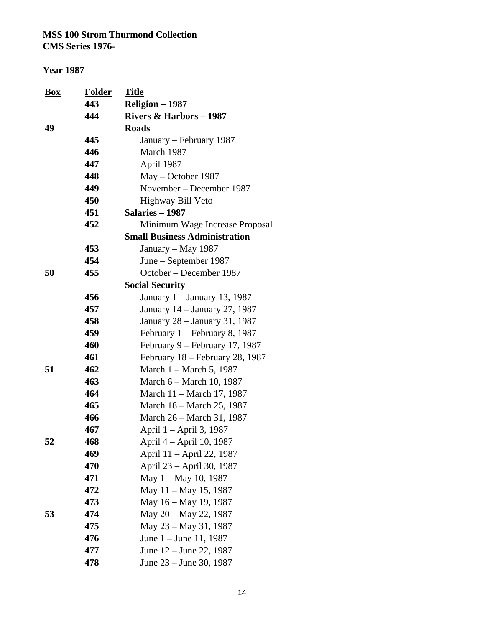| <b>Box</b> | <b>Folder</b><br>443 | <b>Title</b><br>Religion - 1987      |
|------------|----------------------|--------------------------------------|
|            | 444                  | Rivers $& \text{Harbors} - 1987$     |
| 49         |                      | <b>Roads</b>                         |
|            | 445                  | January – February 1987              |
|            | 446                  | March 1987                           |
|            | 447                  | April 1987                           |
|            | 448                  | May – October 1987                   |
|            | 449                  | November – December 1987             |
|            | 450                  | Highway Bill Veto                    |
|            | 451                  | Salaries - 1987                      |
|            | 452                  | Minimum Wage Increase Proposal       |
|            |                      | <b>Small Business Administration</b> |
|            | 453                  | January - May 1987                   |
|            | 454                  | June – September 1987                |
| 50         | 455                  | October – December 1987              |
|            |                      | <b>Social Security</b>               |
|            | 456                  | January 1 – January 13, 1987         |
|            | 457                  | January 14 - January 27, 1987        |
|            | 458                  | January 28 – January 31, 1987        |
|            | 459                  | February 1 – February 8, 1987        |
|            | 460                  | February 9 – February 17, 1987       |
|            | 461                  | February 18 – February 28, 1987      |
| 51         | 462                  | March 1 – March 5, 1987              |
|            | 463                  | March 6 – March 10, 1987             |
|            | 464                  | March 11 - March 17, 1987            |
|            | 465                  | March 18 – March 25, 1987            |
|            | 466                  | March 26 - March 31, 1987            |
|            | 467                  | April 1 - April 3, 1987              |
| 52         | 468                  | April 4 – April 10, 1987             |
|            | 469                  | April 11 - April 22, 1987            |
|            | 470                  | April 23 - April 30, 1987            |
|            | 471                  | May $1 -$ May 10, 1987               |
|            | 472                  | May 11 - May 15, 1987                |
|            | 473                  | May 16 - May 19, 1987                |
| 53         | 474                  | May 20 - May 22, 1987                |
|            | 475                  | May 23 – May 31, 1987                |
|            | 476                  | June $1 -$ June 11, 1987             |
|            | 477                  | June 12 – June 22, 1987              |
|            | 478                  | June 23 – June 30, 1987              |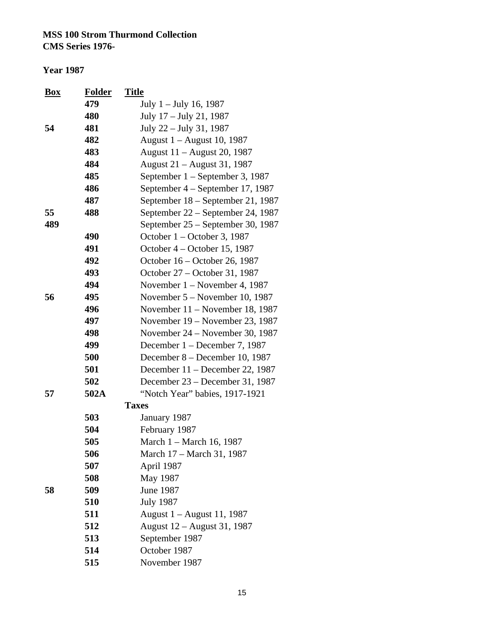| <u>Box</u> | <b>Folder</b> | <u>Title</u>                      |
|------------|---------------|-----------------------------------|
|            | 479           | July $1 -$ July 16, 1987          |
|            | 480           | July 17 - July 21, 1987           |
| 54         | 481           | July 22 – July 31, 1987           |
|            | 482           | August 1 – August 10, 1987        |
|            | 483           | August 11 – August 20, 1987       |
|            | 484           | August 21 – August 31, 1987       |
|            | 485           | September 1 – September 3, 1987   |
|            | 486           | September 4 – September 17, 1987  |
|            | 487           | September 18 – September 21, 1987 |
| 55         | 488           | September 22 – September 24, 1987 |
| 489        |               | September 25 - September 30, 1987 |
|            | 490           | October 1 – October 3, 1987       |
|            | 491           | October 4 – October 15, 1987      |
|            | 492           | October 16 – October 26, 1987     |
|            | 493           | October 27 - October 31, 1987     |
|            | 494           | November $1 -$ November 4, 1987   |
| 56         | 495           | November 5 – November 10, 1987    |
|            | 496           | November $11$ – November 18, 1987 |
|            | 497           | November 19 – November 23, 1987   |
|            | 498           | November 24 – November 30, 1987   |
|            | 499           | December 1 – December 7, 1987     |
|            | 500           | December 8 – December 10, 1987    |
|            | 501           | December $11$ – December 22, 1987 |
|            | 502           | December 23 – December 31, 1987   |
| 57         | 502A          | "Notch Year" babies, 1917-1921    |
|            |               | <b>Taxes</b>                      |
|            | 503           | January 1987                      |
|            | 504           | February 1987                     |
|            | 505           | March 1 – March 16, 1987          |
|            | 506           | March 17 - March 31, 1987         |
|            | 507           | April 1987                        |
|            | 508           | May 1987                          |
| 58         | 509           | June 1987                         |
|            | 510           | <b>July 1987</b>                  |
|            | 511           | August 1 – August 11, 1987        |
|            | 512           | August 12 - August 31, 1987       |
|            | 513           | September 1987                    |
|            | 514           | October 1987                      |
|            | 515           | November 1987                     |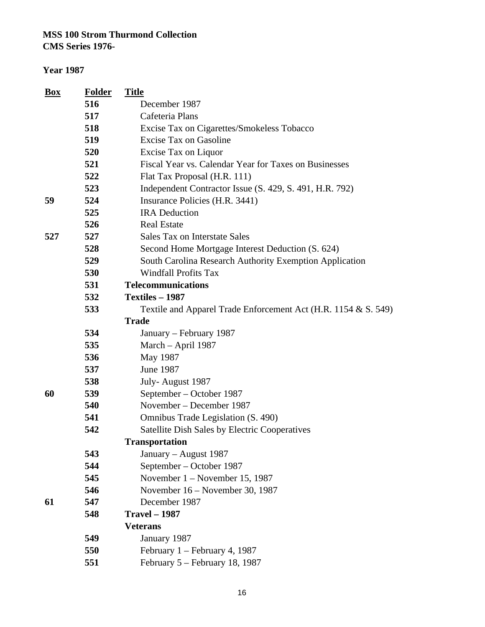**CMS Series 1976-**

| <b>Box</b> | <b>Folder</b> | <b>Title</b>                                                   |
|------------|---------------|----------------------------------------------------------------|
|            | 516           | December 1987                                                  |
|            | 517           | Cafeteria Plans                                                |
|            | 518           | Excise Tax on Cigarettes/Smokeless Tobacco                     |
|            | 519           | <b>Excise Tax on Gasoline</b>                                  |
|            | 520           | Excise Tax on Liquor                                           |
|            | 521           | Fiscal Year vs. Calendar Year for Taxes on Businesses          |
|            | 522           | Flat Tax Proposal (H.R. 111)                                   |
|            | 523           | Independent Contractor Issue (S. 429, S. 491, H.R. 792)        |
| 59         | 524           | Insurance Policies (H.R. 3441)                                 |
|            | 525           | <b>IRA</b> Deduction                                           |
|            | 526           | <b>Real Estate</b>                                             |
| 527        | 527           | Sales Tax on Interstate Sales                                  |
|            | 528           | Second Home Mortgage Interest Deduction (S. 624)               |
|            | 529           | South Carolina Research Authority Exemption Application        |
|            | 530           | <b>Windfall Profits Tax</b>                                    |
|            | 531           | <b>Telecommunications</b>                                      |
|            | 532           | Textiles - 1987                                                |
|            | 533           | Textile and Apparel Trade Enforcement Act (H.R. 1154 & S. 549) |
|            |               | <b>Trade</b>                                                   |
|            | 534           | January – February 1987                                        |
|            | 535           | March - April 1987                                             |
|            | 536           | May 1987                                                       |
|            | 537           | <b>June 1987</b>                                               |
|            | 538           | July-August 1987                                               |
| 60         | 539           | September – October 1987                                       |
|            | 540           | November – December 1987                                       |
|            | 541           | Omnibus Trade Legislation (S. 490)                             |
|            | 542           | <b>Satellite Dish Sales by Electric Cooperatives</b>           |
|            |               | <b>Transportation</b>                                          |
|            | 543           | January – August 1987                                          |
|            | 544           | September – October 1987                                       |
|            | 545           | November $1 -$ November 15, 1987                               |
|            | 546           | November 16 – November 30, 1987                                |
| 61         | 547           | December 1987                                                  |
|            | 548           | <b>Travel - 1987</b>                                           |
|            |               | <b>Veterans</b>                                                |
|            | 549           | January 1987                                                   |
|            | 550           | February $1 -$ February 4, 1987                                |
|            | 551           | February 5 – February 18, 1987                                 |
|            |               |                                                                |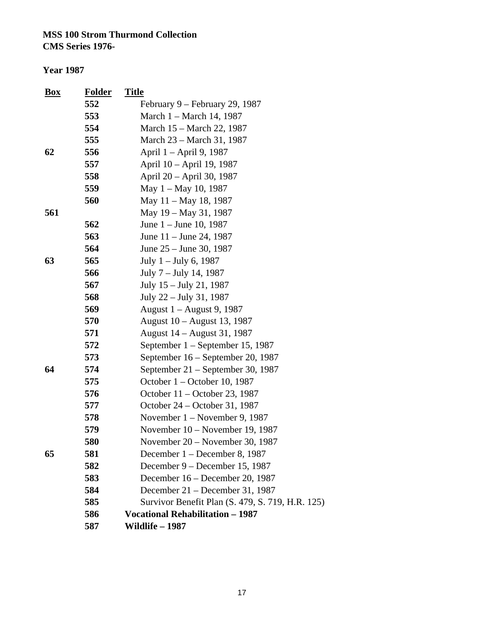**CMS Series 1976-**

| <b>Box</b> | <b>Folder</b> | <b>Title</b>                                     |
|------------|---------------|--------------------------------------------------|
|            | 552           | February 9 – February 29, 1987                   |
|            | 553           | March 1 – March 14, 1987                         |
|            | 554           | March 15 – March 22, 1987                        |
|            | 555           | March 23 – March 31, 1987                        |
| 62         | 556           | April 1 – April 9, 1987                          |
|            | 557           | April 10 - April 19, 1987                        |
|            | 558           | April 20 - April 30, 1987                        |
|            | 559           | May $1 -$ May 10, 1987                           |
|            | 560           | May 11 - May 18, 1987                            |
| 561        |               | May 19 - May 31, 1987                            |
|            | 562           | June $1 -$ June 10, 1987                         |
|            | 563           | June $11 -$ June 24, 1987                        |
|            | 564           | June 25 – June 30, 1987                          |
| 63         | 565           | July $1 -$ July 6, 1987                          |
|            | 566           | July 7 – July 14, 1987                           |
|            | 567           | July 15 – July 21, 1987                          |
|            | 568           | July 22 – July 31, 1987                          |
|            | 569           | August 1 – August 9, 1987                        |
|            | 570           | August 10 – August 13, 1987                      |
|            | 571           | August 14 – August 31, 1987                      |
|            | 572           | September $1 -$ September 15, 1987               |
|            | 573           | September 16 - September 20, 1987                |
| 64         | 574           | September 21 – September 30, 1987                |
|            | 575           | October $1 -$ October 10, 1987                   |
|            | 576           | October 11 – October 23, 1987                    |
|            | 577           | October 24 – October 31, 1987                    |
|            | 578           | November 1 – November 9, 1987                    |
|            | 579           | November 10 – November 19, 1987                  |
|            | 580           | November $20$ – November 30, 1987                |
| 65         | 581           | December 1 - December 8, 1987                    |
|            | 582           | December 9 – December 15, 1987                   |
|            | 583           | December 16 – December 20, 1987                  |
|            | 584           | December 21 - December 31, 1987                  |
|            | 585           | Survivor Benefit Plan (S. 479, S. 719, H.R. 125) |
|            | 586           | <b>Vocational Rehabilitation - 1987</b>          |
|            | 587           | Wildlife – 1987                                  |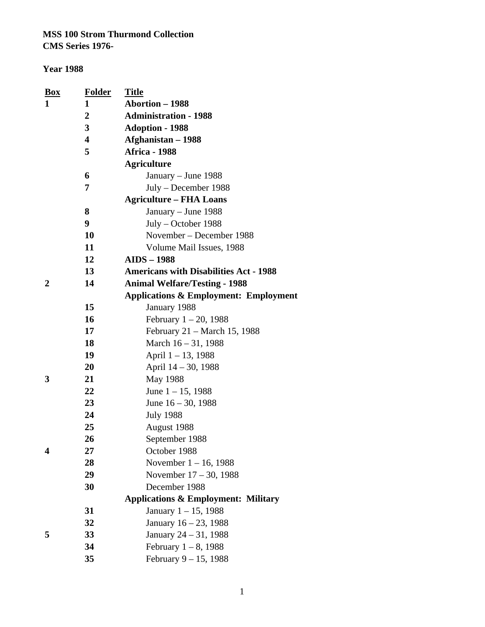#### **Year 1988**

| <b>Box</b>     | <b>Folder</b>    | <b>Title</b>                                     |
|----------------|------------------|--------------------------------------------------|
| 1              | 1                | Abortion - 1988                                  |
|                | $\boldsymbol{2}$ | <b>Administration - 1988</b>                     |
|                | 3                | <b>Adoption - 1988</b>                           |
|                | 4                | Afghanistan - 1988                               |
|                | 5                | <b>Africa - 1988</b>                             |
|                |                  | <b>Agriculture</b>                               |
|                | 6                | January – June 1988                              |
|                | 7                | July – December 1988                             |
|                |                  | <b>Agriculture – FHA Loans</b>                   |
|                | 8                | January - June 1988                              |
|                | 9                | $July - October 1988$                            |
|                | 10               | November – December 1988                         |
|                | 11               | Volume Mail Issues, 1988                         |
|                | 12               | <b>AIDS - 1988</b>                               |
|                | 13               | <b>Americans with Disabilities Act - 1988</b>    |
| $\overline{2}$ | 14               | <b>Animal Welfare/Testing - 1988</b>             |
|                |                  | <b>Applications &amp; Employment: Employment</b> |
|                | 15               | January 1988                                     |
|                | 16               | February $1 - 20$ , 1988                         |
|                | 17               | February 21 – March 15, 1988                     |
|                | 18               | March 16 - 31, 1988                              |
|                | 19               | April 1 – 13, 1988                               |
|                | 20               | April 14 – 30, 1988                              |
| 3              | 21               | May 1988                                         |
|                | 22               | June $1 - 15$ , 1988                             |
|                | 23               | June $16 - 30$ , 1988                            |
|                | 24               | <b>July 1988</b>                                 |
|                | 25               | August 1988                                      |
|                | 26               | September 1988                                   |
| 4              | 27               | October 1988                                     |
|                | 28               | November $1 - 16$ , 1988                         |
|                | 29               | November 17 – 30, 1988                           |
|                | 30               | December 1988                                    |
|                |                  | <b>Applications &amp; Employment: Military</b>   |
|                | 31               | January $1 - 15$ , 1988                          |
|                | 32               | January 16 - 23, 1988                            |
| 5              | 33               | January 24 – 31, 1988                            |
|                | 34               | February $1 - 8$ , 1988                          |
|                | 35               | February 9 – 15, 1988                            |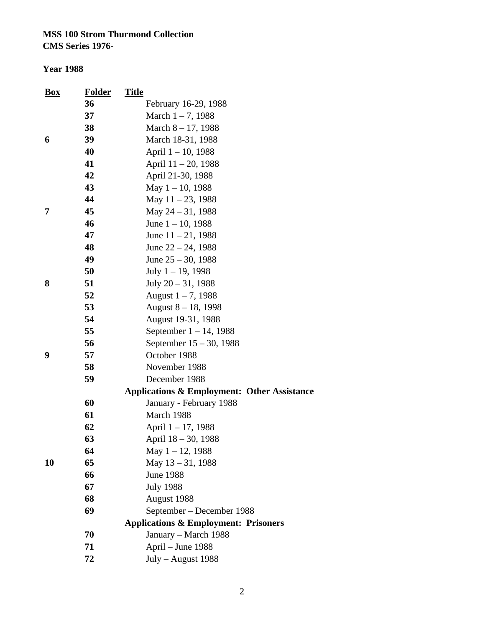| <b>Box</b> | <b>Folder</b> | <b>Title</b>                                    |
|------------|---------------|-------------------------------------------------|
|            | 36            | February 16-29, 1988                            |
|            | 37            | March $1 - 7$ , 1988                            |
|            | 38            | March $8 - 17$ , 1988                           |
| 6          | 39            | March 18-31, 1988                               |
|            | 40            | April 1 – 10, 1988                              |
|            | 41            | April 11 – 20, 1988                             |
|            | 42            | April 21-30, 1988                               |
|            | 43            | May $1 - 10$ , 1988                             |
|            | 44            | May $11 - 23$ , 1988                            |
| 7          | 45            | May $24 - 31$ , 1988                            |
|            | 46            | June $1 - 10$ , 1988                            |
|            | 47            | June $11 - 21$ , 1988                           |
|            | 48            | June $22 - 24$ , 1988                           |
|            | 49            | June $25 - 30$ , 1988                           |
|            | 50            | July $1 - 19$ , 1998                            |
| 8          | 51            | July $20 - 31$ , 1988                           |
|            | 52            | August $1 - 7$ , 1988                           |
|            | 53            | August $8 - 18$ , 1998                          |
|            | 54            | August 19-31, 1988                              |
|            | 55            | September $1 - 14$ , 1988                       |
|            | 56            | September 15 – 30, 1988                         |
| 9          | 57            | October 1988                                    |
|            | 58            | November 1988                                   |
|            | 59            | December 1988                                   |
|            |               | Applications & Employment: Other Assistance     |
|            | 60            | January - February 1988                         |
|            | 61            | March 1988                                      |
|            | 62            | April 1 – 17, 1988                              |
|            | 63            | April 18 - 30, 1988                             |
|            | 64            | May $1 - 12$ , 1988                             |
| 10         | 65            | May 13 - 31, 1988                               |
|            | 66            | <b>June 1988</b>                                |
|            | 67            | <b>July 1988</b>                                |
|            | 68            | August 1988                                     |
|            | 69            | September – December 1988                       |
|            |               | <b>Applications &amp; Employment: Prisoners</b> |
|            | 70            | January - March 1988                            |
|            | 71            | April - June 1988                               |
|            | 72            | July - August 1988                              |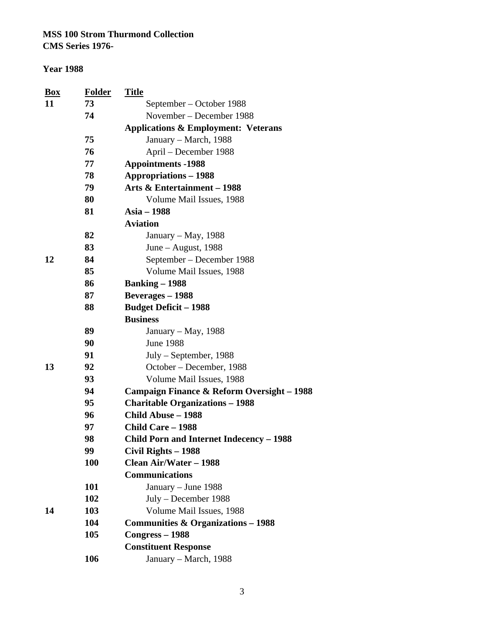**CMS Series 1976-**

| $\mathbf{Box}$ | <b>Folder</b> | <b>Title</b>                                          |
|----------------|---------------|-------------------------------------------------------|
| 11             | 73            | September – October 1988                              |
|                | 74            | November – December 1988                              |
|                |               | <b>Applications &amp; Employment: Veterans</b>        |
|                | 75            | January – March, 1988                                 |
|                | 76            | April – December 1988                                 |
|                | 77            | <b>Appointments -1988</b>                             |
|                | 78            | <b>Appropriations - 1988</b>                          |
|                | 79            | Arts & Entertainment - 1988                           |
|                | 80            | Volume Mail Issues, 1988                              |
|                | 81            | Asia - 1988                                           |
|                |               | <b>Aviation</b>                                       |
|                | 82            | January – May, 1988                                   |
|                | 83            | June – August, $1988$                                 |
| 12             | 84            | September – December 1988                             |
|                | 85            | Volume Mail Issues, 1988                              |
|                | 86            | <b>Banking – 1988</b>                                 |
|                | 87            | <b>Beverages</b> – 1988                               |
|                | 88            | <b>Budget Deficit - 1988</b>                          |
|                |               | <b>Business</b>                                       |
|                | 89            | January – May, 1988                                   |
|                | 90            | <b>June 1988</b>                                      |
|                | 91            | July – September, 1988                                |
| 13             | 92            | October – December, 1988                              |
|                | 93            | Volume Mail Issues, 1988                              |
|                | 94            | <b>Campaign Finance &amp; Reform Oversight - 1988</b> |
|                | 95            | <b>Charitable Organizations - 1988</b>                |
|                | 96            | Child Abuse - 1988                                    |
|                | 97            | Child Care - 1988                                     |
|                | 98            | <b>Child Porn and Internet Indecency - 1988</b>       |
|                | 99            | Civil Rights - 1988                                   |
|                | 100           | Clean Air/Water - 1988                                |
|                |               | <b>Communications</b>                                 |
|                | 101           | January - June 1988                                   |
|                | 102           | July - December 1988                                  |
| 14             | 103           | Volume Mail Issues, 1988                              |
|                | 104           | <b>Communities &amp; Organizations – 1988</b>         |
|                | 105           | $Congress - 1988$                                     |
|                |               | <b>Constituent Response</b>                           |
|                | 106           | January – March, 1988                                 |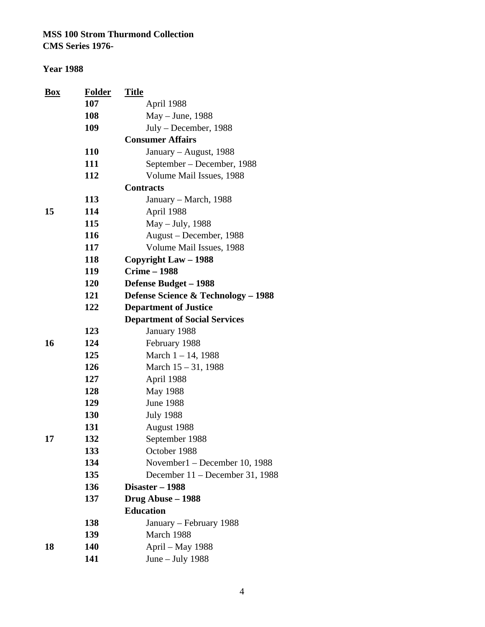| <b>Box</b> | <b>Folder</b> | <u>Title</u>                         |
|------------|---------------|--------------------------------------|
|            | 107           | April 1988                           |
|            | 108           | May – June, 1988                     |
|            | 109           | July – December, 1988                |
|            |               | <b>Consumer Affairs</b>              |
|            | <b>110</b>    | January – August, 1988               |
|            | 111           | September – December, 1988           |
|            | 112           | Volume Mail Issues, 1988             |
|            |               | <b>Contracts</b>                     |
|            | 113           | January – March, 1988                |
| 15         | 114           | April 1988                           |
|            | 115           | May – July, 1988                     |
|            | 116           | August – December, 1988              |
|            | 117           | Volume Mail Issues, 1988             |
|            | 118           | Copyright Law – 1988                 |
|            | 119           | <b>Crime - 1988</b>                  |
|            | 120           | Defense Budget - 1988                |
|            | 121           | Defense Science & Technology - 1988  |
|            | 122           | <b>Department of Justice</b>         |
|            |               | <b>Department of Social Services</b> |
|            | 123           | January 1988                         |
| 16         | 124           | February 1988                        |
|            | 125           | March 1 - 14, 1988                   |
|            | 126           | March $15 - 31$ , 1988               |
|            | 127           | April 1988                           |
|            | 128           | May 1988                             |
|            | 129           | <b>June 1988</b>                     |
|            | 130           | <b>July 1988</b>                     |
|            | 131           | August 1988                          |
| 17         | 132           | September 1988                       |
|            | 133           | October 1988                         |
|            | 134           | November1 - December 10, 1988        |
|            | 135           | December 11 – December 31, 1988      |
|            | 136           | Disaster - 1988                      |
|            | 137           | Drug Abuse - 1988                    |
|            |               | <b>Education</b>                     |
|            | 138           | January – February 1988              |
|            | 139           | March 1988                           |
| 18         | 140           | April – May 1988                     |
|            | 141           | June $-$ July 1988                   |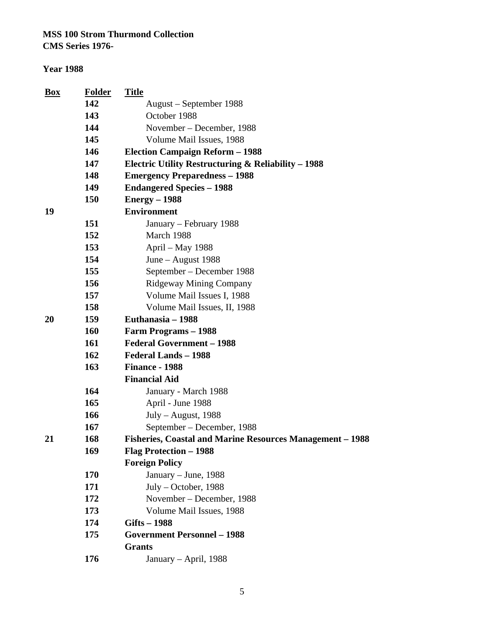**CMS Series 1976-**

#### **Year 1988**

| Box | <b>Folder</b> | <b>Title</b>                                              |
|-----|---------------|-----------------------------------------------------------|
|     | 142           | August - September 1988                                   |
|     | 143           | October 1988                                              |
|     | 144           | November - December, 1988                                 |
|     | 145           | Volume Mail Issues, 1988                                  |
|     | 146           | <b>Election Campaign Reform - 1988</b>                    |
|     | 147           | Electric Utility Restructuring $\&$ Reliability – 1988    |
|     | 148           | <b>Emergency Preparedness – 1988</b>                      |
|     | 149           | <b>Endangered Species - 1988</b>                          |
|     | 150           | $Energy-1988$                                             |
| 19  |               | <b>Environment</b>                                        |
|     | 151           | January – February 1988                                   |
|     | 152           | March 1988                                                |
|     | 153           | April – May 1988                                          |
|     | 154           | June - August 1988                                        |
|     | 155           | September – December 1988                                 |
|     | 156           | <b>Ridgeway Mining Company</b>                            |
|     | 157           | Volume Mail Issues I, 1988                                |
|     | 158           | Volume Mail Issues, II, 1988                              |
| 20  | 159           | Euthanasia – 1988                                         |
|     | 160           | Farm Programs - 1988                                      |
|     | 161           | <b>Federal Government - 1988</b>                          |
|     | 162           | <b>Federal Lands - 1988</b>                               |
|     | 163           | <b>Finance - 1988</b>                                     |
|     |               | <b>Financial Aid</b>                                      |
|     | 164           | January - March 1988                                      |
|     | 165           | April - June 1988                                         |
|     | 166           | $July - August, 1988$                                     |
|     | 167           | September - December, 1988                                |
| 21  | 168           | Fisheries, Coastal and Marine Resources Management - 1988 |
|     | 169           | Flag Protection - 1988                                    |
|     |               | <b>Foreign Policy</b>                                     |
|     | 170           | January – June, 1988                                      |
|     | 171           | July – October, 1988                                      |
|     | 172           | November – December, 1988                                 |
|     | 173           | Volume Mail Issues, 1988                                  |
|     | 174           | Gifts - 1988                                              |
|     | 175           | <b>Government Personnel - 1988</b>                        |
|     |               | <b>Grants</b>                                             |
|     | 176           | January – April, 1988                                     |
|     |               |                                                           |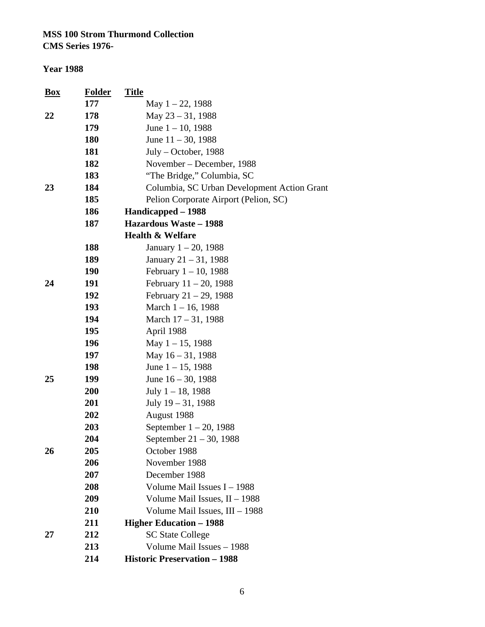#### **Year 1988**

| <b>Box</b> | <u>Folder</u> | <b>Title</b>                                |
|------------|---------------|---------------------------------------------|
|            | 177           | May $1 - 22$ , 1988                         |
| 22         | 178           | May 23 - 31, 1988                           |
|            | 179           | June $1 - 10$ , 1988                        |
|            | <b>180</b>    | June $11 - 30$ , 1988                       |
|            | 181           | $July - October, 1988$                      |
|            | 182           | November – December, 1988                   |
|            | 183           | "The Bridge," Columbia, SC                  |
| 23         | 184           | Columbia, SC Urban Development Action Grant |
|            | 185           | Pelion Corporate Airport (Pelion, SC)       |
|            | 186           | Handicapped – 1988                          |
|            | 187           | <b>Hazardous Waste - 1988</b>               |
|            |               | Health & Welfare                            |
|            | 188           | January $1 - 20$ , 1988                     |
|            | 189           | January $21 - 31$ , 1988                    |
|            | <b>190</b>    | February $1 - 10$ , 1988                    |
| 24         | 191           | February $11 - 20$ , 1988                   |
|            | 192           | February $21 - 29$ , 1988                   |
|            | 193           | March $1 - 16$ , 1988                       |
|            | 194           | March $17 - 31$ , 1988                      |
|            | 195           | April 1988                                  |
|            | 196           | May $1 - 15$ , 1988                         |
|            | 197           | May $16 - 31$ , 1988                        |
|            | 198           | June $1 - 15$ , 1988                        |
| 25         | 199           | June $16 - 30$ , 1988                       |
|            | 200           | July $1 - 18$ , 1988                        |
|            | 201           | July $19 - 31$ , 1988                       |
|            | 202           | August 1988                                 |
|            | 203           | September $1 - 20$ , 1988                   |
|            | 204           | September 21 – 30, 1988                     |
| 26         | 205           | October 1988                                |
|            | 206           | November 1988                               |
|            | 207           | December 1988                               |
|            | 208           | Volume Mail Issues $I - 1988$               |
|            | 209           | Volume Mail Issues, $II - 1988$             |
|            | 210           | Volume Mail Issues, III - 1988              |
|            | 211           | <b>Higher Education - 1988</b>              |
| 27         | 212           | <b>SC State College</b>                     |
|            | 213           | Volume Mail Issues - 1988                   |
|            | 214           | <b>Historic Preservation - 1988</b>         |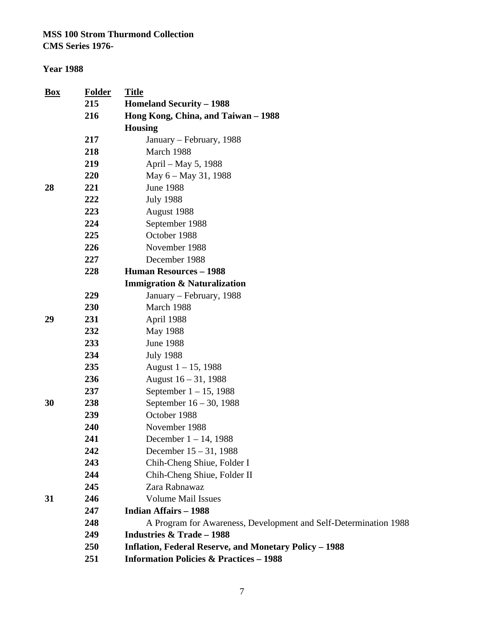| <u>Box</u> | <b>Folder</b> | <b>Title</b>                                                     |
|------------|---------------|------------------------------------------------------------------|
|            | 215           | <b>Homeland Security – 1988</b>                                  |
|            | 216           | Hong Kong, China, and Taiwan - 1988                              |
|            |               | <b>Housing</b>                                                   |
|            | 217           | January – February, 1988                                         |
|            | 218           | March 1988                                                       |
|            | 219           | April – May 5, 1988                                              |
|            | 220           | May $6 -$ May 31, 1988                                           |
| 28         | 221           | <b>June 1988</b>                                                 |
|            | 222           | <b>July 1988</b>                                                 |
|            | 223           | August 1988                                                      |
|            | 224           | September 1988                                                   |
|            | 225           | October 1988                                                     |
|            | 226           | November 1988                                                    |
|            | 227           | December 1988                                                    |
|            | 228           | <b>Human Resources - 1988</b>                                    |
|            |               | <b>Immigration &amp; Naturalization</b>                          |
|            | 229           | January – February, 1988                                         |
|            | 230           | March 1988                                                       |
| 29         | 231           | April 1988                                                       |
|            | 232           | May 1988                                                         |
|            | 233           | <b>June 1988</b>                                                 |
|            | 234           | <b>July 1988</b>                                                 |
|            | 235           | August $1 - 15$ , 1988                                           |
|            | 236           | August $16 - 31$ , 1988                                          |
|            | 237           | September $1 - 15$ , 1988                                        |
| 30         | 238           | September 16 – 30, 1988                                          |
|            | 239           | October 1988                                                     |
|            | 240           | November 1988                                                    |
|            | 241           | December $1 - 14$ , 1988                                         |
|            | 242           | December $15 - 31$ , 1988                                        |
|            | 243           | Chih-Cheng Shiue, Folder I                                       |
|            | 244           | Chih-Cheng Shiue, Folder II                                      |
|            | 245           | Zara Rabnawaz                                                    |
| 31         | 246           | <b>Volume Mail Issues</b>                                        |
|            | 247           | <b>Indian Affairs - 1988</b>                                     |
|            | 248           | A Program for Awareness, Development and Self-Determination 1988 |
|            | 249           | <b>Industries &amp; Trade - 1988</b>                             |
|            | 250           | <b>Inflation, Federal Reserve, and Monetary Policy - 1988</b>    |
|            | 251           | <b>Information Policies &amp; Practices - 1988</b>               |
|            |               |                                                                  |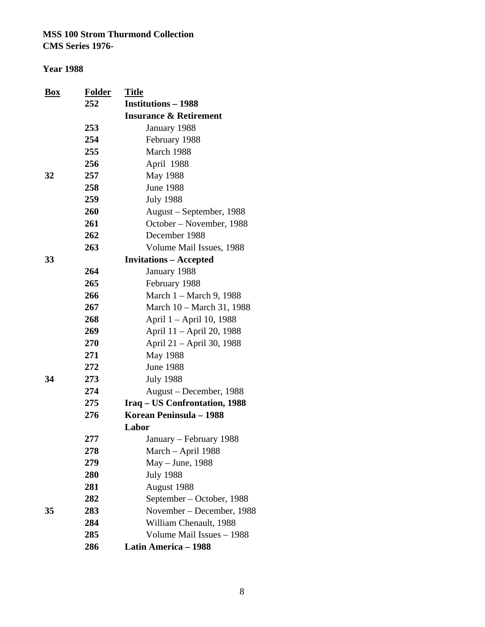| Box | <b>Folder</b> | <b>Title</b>                      |
|-----|---------------|-----------------------------------|
|     | 252           | <b>Institutions – 1988</b>        |
|     |               | <b>Insurance &amp; Retirement</b> |
|     | 253           | January 1988                      |
|     | 254           | February 1988                     |
|     | 255           | March 1988                        |
|     | 256           | April 1988                        |
| 32  | 257           | May 1988                          |
|     | 258           | <b>June 1988</b>                  |
|     | 259           | <b>July 1988</b>                  |
|     | 260           | August – September, 1988          |
|     | 261           | October – November, 1988          |
|     | 262           | December 1988                     |
|     | 263           | Volume Mail Issues, 1988          |
| 33  |               | <b>Invitations - Accepted</b>     |
|     | 264           | January 1988                      |
|     | 265           | February 1988                     |
|     | 266           | March 1 – March 9, 1988           |
|     | 267           | March 10 – March 31, 1988         |
|     | 268           | April 1 – April 10, 1988          |
|     | 269           | April 11 – April 20, 1988         |
|     | 270           | April 21 – April 30, 1988         |
|     | 271           | May 1988                          |
|     | 272           | <b>June 1988</b>                  |
| 34  | 273           | <b>July 1988</b>                  |
|     | 274           | August – December, 1988           |
|     | 275           | Iraq – US Confrontation, 1988     |
|     | 276           | Korean Peninsula - 1988           |
|     |               | Labor                             |
|     | 277           | January – February 1988           |
|     | 278           | March – April 1988                |
|     | 279           | May – June, 1988                  |
|     | 280           | <b>July 1988</b>                  |
|     | 281           | August 1988                       |
|     | 282           | September - October, 1988         |
| 35  | 283           | November - December, 1988         |
|     | 284           | William Chenault, 1988            |
|     | 285           | Volume Mail Issues - 1988         |
|     | 286           | Latin America - 1988              |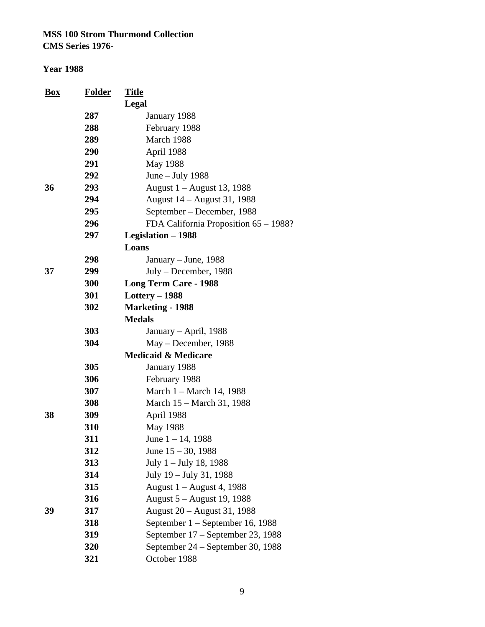#### **Year 1988**

| <b>Box</b> | <b>Folder</b> | <b>Title</b>                          |
|------------|---------------|---------------------------------------|
|            |               | Legal                                 |
|            | 287           | January 1988                          |
|            | 288           | February 1988                         |
|            | 289           | March 1988                            |
|            | 290           | April 1988                            |
|            | 291           | May 1988                              |
|            | 292           | June $-$ July 1988                    |
| 36         | 293           | August 1 – August 13, 1988            |
|            | 294           | August 14 – August 31, 1988           |
|            | 295           | September – December, 1988            |
|            | 296           | FDA California Proposition 65 – 1988? |
|            | 297           | Legislation - 1988                    |
|            |               | Loans                                 |
|            | 298           | January – June, 1988                  |
| 37         | 299           | $July - December, 1988$               |
|            | 300           | <b>Long Term Care - 1988</b>          |
|            | 301           | Lottery $-1988$                       |
|            | 302           | <b>Marketing - 1988</b>               |
|            |               | <b>Medals</b>                         |
|            | 303           | January – April, 1988                 |
|            | 304           | May – December, 1988                  |
|            |               | <b>Medicaid &amp; Medicare</b>        |
|            | 305           | January 1988                          |
|            | 306           | February 1988                         |
|            | 307           | March 1 – March 14, 1988              |
|            | 308           | March 15 – March 31, 1988             |
| 38         | 309           | April 1988                            |
|            | 310           | May 1988                              |
|            | 311           | June $1 - 14$ , 1988                  |
|            | 312           | June $15 - 30$ , 1988                 |
|            | 313           | July 1 – July 18, 1988                |
|            | 314           | July 19 – July 31, 1988               |
|            | 315           | August 1 – August 4, 1988             |
|            | 316           | August 5 – August 19, 1988            |
| 39         | 317           | August 20 - August 31, 1988           |
|            | 318           | September 1 – September 16, 1988      |
|            | 319           | September 17 – September 23, 1988     |
|            | 320           | September 24 - September 30, 1988     |
|            | 321           | October 1988                          |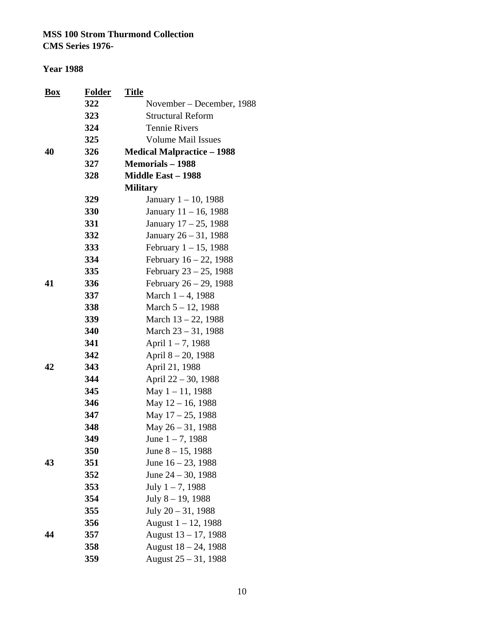**CMS Series 1976-**

| Box | Folder | <b>Title</b>                      |
|-----|--------|-----------------------------------|
|     | 322    | November – December, 1988         |
|     | 323    | <b>Structural Reform</b>          |
|     | 324    | <b>Tennie Rivers</b>              |
|     | 325    | <b>Volume Mail Issues</b>         |
| 40  | 326    | <b>Medical Malpractice - 1988</b> |
|     | 327    | <b>Memorials - 1988</b>           |
|     | 328    | <b>Middle East – 1988</b>         |
|     |        | <b>Military</b>                   |
|     | 329    | January $1 - 10$ , 1988           |
|     | 330    | January 11 - 16, 1988             |
|     | 331    | January 17 – 25, 1988             |
|     | 332    | January 26 – 31, 1988             |
|     | 333    | February $1 - 15$ , 1988          |
|     | 334    | February $16 - 22$ , 1988         |
|     | 335    | February $23 - 25$ , 1988         |
| 41  | 336    | February 26 - 29, 1988            |
|     | 337    | March $1 - 4$ , 1988              |
|     | 338    | March $5 - 12$ , 1988             |
|     | 339    | March $13 - 22$ , 1988            |
|     | 340    | March $23 - 31$ , 1988            |
|     | 341    | April $1 - 7$ , 1988              |
|     | 342    | April 8 – 20, 1988                |
| 42  | 343    | April 21, 1988                    |
|     | 344    | April 22 - 30, 1988               |
|     | 345    | May $1 - 11$ , 1988               |
|     | 346    | May 12 – 16, 1988                 |
|     | 347    | May $17 - 25$ , 1988              |
|     | 348    | May 26 – 31, 1988                 |
|     | 349    | June $1 - 7$ , 1988               |
|     | 350    | June $8 - 15$ , 1988              |
| 43  | 351    | June $16 - 23$ , 1988             |
|     | 352    | June $24 - 30$ , 1988             |
|     | 353    | July $1 - 7$ , 1988               |
|     | 354    | July $8 - 19$ , 1988              |
|     | 355    | July $20 - 31$ , 1988             |
|     | 356    | August $1 - 12$ , 1988            |
| 44  | 357    | August $13 - 17$ , 1988           |
|     | 358    | August 18 - 24, 1988              |
|     | 359    | August $25 - 31$ , 1988           |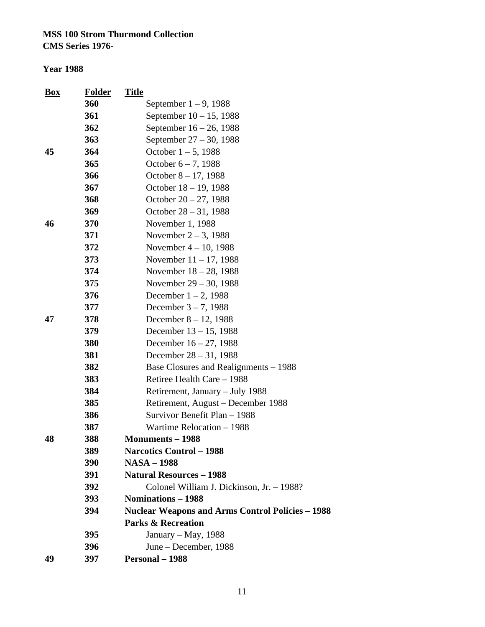| $\frac{Box}{\sqrt{2}}$ | <b>Folder</b> | <b>Title</b>                                            |
|------------------------|---------------|---------------------------------------------------------|
|                        | 360           | September $1 - 9$ , 1988                                |
|                        | 361           | September $10 - 15$ , 1988                              |
|                        | 362           | September 16 – 26, 1988                                 |
|                        | 363           | September 27 – 30, 1988                                 |
| 45                     | 364           | October $1 - 5$ , 1988                                  |
|                        | 365           | October $6 - 7$ , 1988                                  |
|                        | 366           | October $8 - 17$ , 1988                                 |
|                        | 367           | October 18 - 19, 1988                                   |
|                        | 368           | October $20 - 27$ , 1988                                |
|                        | 369           | October $28 - 31$ , 1988                                |
| 46                     | 370           | November 1, 1988                                        |
|                        | 371           | November $2 - 3$ , 1988                                 |
|                        | 372           | November $4 - 10$ , 1988                                |
|                        | 373           | November $11 - 17$ , 1988                               |
|                        | 374           | November $18 - 28$ , 1988                               |
|                        | 375           | November 29 – 30, 1988                                  |
|                        | 376           | December $1 - 2$ , 1988                                 |
|                        | 377           | December $3 - 7$ , 1988                                 |
| 47                     | 378           | December $8 - 12$ , 1988                                |
|                        | 379           | December $13 - 15$ , 1988                               |
|                        | 380           | December $16 - 27$ , 1988                               |
|                        | 381           | December $28 - 31$ , 1988                               |
|                        | 382           | Base Closures and Realignments – 1988                   |
|                        | 383           | Retiree Health Care - 1988                              |
|                        | 384           | Retirement, January - July 1988                         |
|                        | 385           | Retirement, August - December 1988                      |
|                        | 386           | Survivor Benefit Plan - 1988                            |
|                        | 387           | Wartime Relocation - 1988                               |
| 48                     | 388           | <b>Monuments – 1988</b>                                 |
|                        | 389           | <b>Narcotics Control - 1988</b>                         |
|                        | 390           | <b>NASA - 1988</b>                                      |
|                        | 391           | <b>Natural Resources - 1988</b>                         |
|                        | 392           | Colonel William J. Dickinson, Jr. - 1988?               |
|                        | 393           | <b>Nominations – 1988</b>                               |
|                        | 394           | <b>Nuclear Weapons and Arms Control Policies - 1988</b> |
|                        |               | <b>Parks &amp; Recreation</b>                           |
|                        | 395           | January – May, 1988                                     |
|                        | 396           | June – December, 1988                                   |
| 49                     | 397           | Personal - 1988                                         |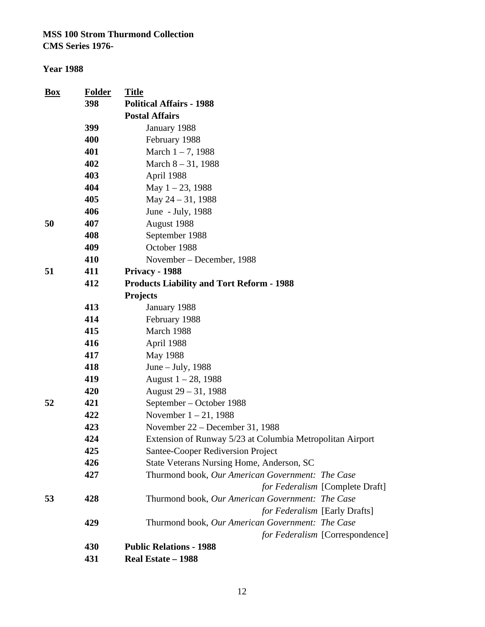| <b>Box</b> | <b>Folder</b> | <b>Title</b>                                              |
|------------|---------------|-----------------------------------------------------------|
|            | 398           | <b>Political Affairs - 1988</b>                           |
|            |               | <b>Postal Affairs</b>                                     |
|            | 399           | January 1988                                              |
|            | 400           | February 1988                                             |
|            | 401           | March $1 - 7$ , 1988                                      |
|            | 402           | March $8 - 31$ , 1988                                     |
|            | 403           | April 1988                                                |
|            | 404           | May 1-23, 1988                                            |
|            | 405           | May 24 - 31, 1988                                         |
|            | 406           | June - July, 1988                                         |
| 50         | 407           | August 1988                                               |
|            | 408           | September 1988                                            |
|            | 409           | October 1988                                              |
|            | 410           | November – December, 1988                                 |
| 51         | 411           | <b>Privacy - 1988</b>                                     |
|            | 412           | <b>Products Liability and Tort Reform - 1988</b>          |
|            |               | <b>Projects</b>                                           |
|            | 413           | January 1988                                              |
|            | 414           | February 1988                                             |
|            | 415           | March 1988                                                |
|            | 416           | April 1988                                                |
|            | 417           | May 1988                                                  |
|            | 418           | June – July, 1988                                         |
|            | 419           | August $1 - 28$ , 1988                                    |
|            | 420           | August $29 - 31$ , 1988                                   |
| 52         | 421           | September – October 1988                                  |
|            | 422           | November $1 - 21$ , 1988                                  |
|            | 423           | November 22 – December 31, 1988                           |
|            | 424           | Extension of Runway 5/23 at Columbia Metropolitan Airport |
|            | 425           | Santee-Cooper Rediversion Project                         |
|            | 426           | State Veterans Nursing Home, Anderson, SC                 |
|            | 427           | Thurmond book, Our American Government: The Case          |
|            |               | for Federalism [Complete Draft]                           |
| 53         | 428           | Thurmond book, Our American Government: The Case          |
|            |               | for Federalism [Early Drafts]                             |
|            | 429           | Thurmond book, Our American Government: The Case          |
|            |               | for Federalism [Correspondence]                           |
|            | 430           | <b>Public Relations - 1988</b>                            |
|            | 431           | Real Estate - 1988                                        |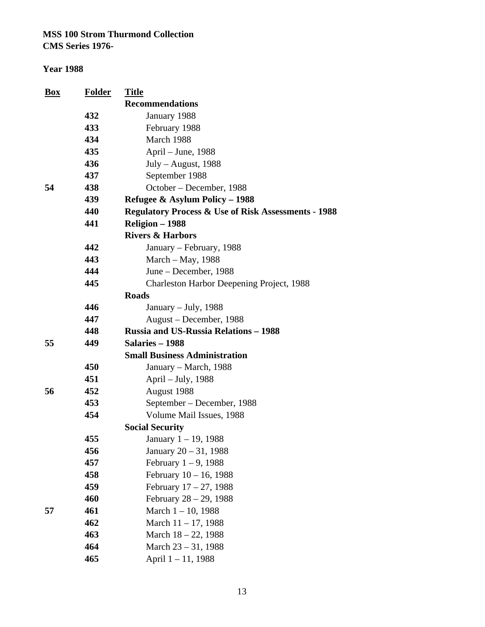| <b>Box</b> | <b>Folder</b> | <b>Title</b>                                                   |
|------------|---------------|----------------------------------------------------------------|
|            |               | <b>Recommendations</b>                                         |
|            | 432           | January 1988                                                   |
|            | 433           | February 1988                                                  |
|            | 434           | March 1988                                                     |
|            | 435           | April – June, 1988                                             |
|            | 436           | $July - August, 1988$                                          |
|            | 437           | September 1988                                                 |
| 54         | 438           | October - December, 1988                                       |
|            | 439           | Refugee & Asylum Policy - 1988                                 |
|            | 440           | <b>Regulatory Process &amp; Use of Risk Assessments - 1988</b> |
|            | 441           | Religion – 1988                                                |
|            |               | <b>Rivers &amp; Harbors</b>                                    |
|            | 442           | January – February, 1988                                       |
|            | 443           | March $-$ May, 1988                                            |
|            | 444           | June – December, 1988                                          |
|            | 445           | <b>Charleston Harbor Deepening Project, 1988</b>               |
|            |               | <b>Roads</b>                                                   |
|            | 446           | January – July, 1988                                           |
|            | 447           | August – December, 1988                                        |
|            | 448           | <b>Russia and US-Russia Relations - 1988</b>                   |
| 55         | 449           | Salaries - 1988                                                |
|            |               | <b>Small Business Administration</b>                           |
|            | 450           | January – March, 1988                                          |
|            | 451           | April – July, 1988                                             |
| 56         | 452           | August 1988                                                    |
|            | 453           | September – December, 1988                                     |
|            | 454           | Volume Mail Issues, 1988                                       |
|            |               | <b>Social Security</b>                                         |
|            | 455           | January 1-19, 1988                                             |
|            | 456           | January $20 - 31$ , 1988                                       |
|            | 457           | February $1 - 9$ , 1988                                        |
|            | 458           | February $10 - 16$ , 1988                                      |
|            | 459           | February $17 - 27$ , 1988                                      |
|            | 460           | February 28 - 29, 1988                                         |
| 57         | 461           | March 1-10, 1988                                               |
|            | 462           | March $11 - 17$ , 1988                                         |
|            | 463           | March 18 - 22, 1988                                            |
|            | 464           | March $23 - 31$ , 1988                                         |
|            | 465           | April 1 - 11, 1988                                             |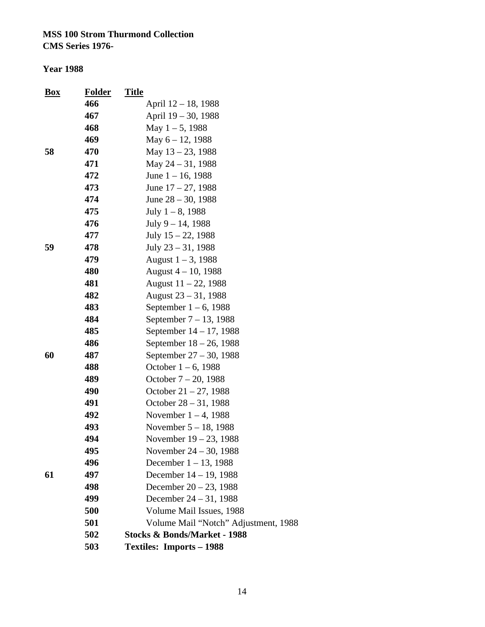| <u>Box</u> | <u>Folder</u> | <u>Title</u>                            |
|------------|---------------|-----------------------------------------|
|            | 466           | April 12 – 18, 1988                     |
|            | 467           | April 19 – 30, 1988                     |
|            | 468           | May $1 - 5$ , 1988                      |
|            | 469           | May $6 - 12$ , 1988                     |
| 58         | 470           | May 13 - 23, 1988                       |
|            | 471           | May 24 - 31, 1988                       |
|            | 472           | June $1 - 16$ , 1988                    |
|            | 473           | June $17 - 27$ , 1988                   |
|            | 474           | June $28 - 30$ , 1988                   |
|            | 475           | July $1 - 8$ , 1988                     |
|            | 476           | July $9 - 14$ , 1988                    |
|            | 477           | July $15 - 22$ , 1988                   |
| 59         | 478           | July $23 - 31$ , 1988                   |
|            | 479           | August $1 - 3$ , 1988                   |
|            | 480           | August $4 - 10$ , 1988                  |
|            | 481           | August $11 - 22$ , 1988                 |
|            | 482           | August $23 - 31$ , 1988                 |
|            | 483           | September $1-6$ , 1988                  |
|            | 484           | September $7 - 13$ , 1988               |
|            | 485           | September 14 – 17, 1988                 |
|            | 486           | September $18 - 26$ , 1988              |
| 60         | 487           | September 27 – 30, 1988                 |
|            | 488           | October $1 - 6$ , 1988                  |
|            | 489           | October $7 - 20$ , 1988                 |
|            | 490           | October $21 - 27$ , 1988                |
|            | 491           | October $28 - 31, 1988$                 |
|            | 492           | November $1 - 4$ , 1988                 |
|            | 493           | November $5 - 18$ , 1988                |
|            | 494           | November 19 – 23, 1988                  |
|            | 495           | November $24 - 30$ , 1988               |
|            | 496           | December $1 - 13$ , 1988                |
| 61         | 497           | December 14 – 19, 1988                  |
|            | 498           | December $20 - 23$ , 1988               |
|            | 499           | December $24 - 31$ , 1988               |
|            | 500           | Volume Mail Issues, 1988                |
|            | 501           | Volume Mail "Notch" Adjustment, 1988    |
|            | 502           | <b>Stocks &amp; Bonds/Market - 1988</b> |
|            | 503           | <b>Textiles: Imports - 1988</b>         |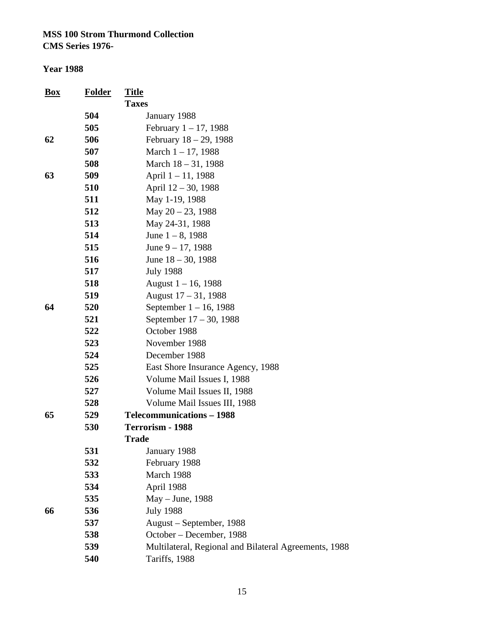| Box | <b>Folder</b> | <b>Title</b>                                          |
|-----|---------------|-------------------------------------------------------|
|     |               | <b>Taxes</b>                                          |
|     | 504           | January 1988                                          |
|     | 505           | February $1 - 17$ , 1988                              |
| 62  | 506           | February $18 - 29$ , 1988                             |
|     | 507           | March $1 - 17$ , 1988                                 |
|     | 508           | March $18 - 31$ , 1988                                |
| 63  | 509           | April 1-11, 1988                                      |
|     | 510           | April 12 - 30, 1988                                   |
|     | 511           | May 1-19, 1988                                        |
|     | 512           | May $20 - 23$ , 1988                                  |
|     | 513           | May 24-31, 1988                                       |
|     | 514           | June $1 - 8$ , 1988                                   |
|     | 515           | June $9 - 17$ , 1988                                  |
|     | 516           | June $18 - 30$ , 1988                                 |
|     | 517           | <b>July 1988</b>                                      |
|     | 518           | August $1 - 16$ , 1988                                |
|     | 519           | August $17 - 31$ , 1988                               |
| 64  | 520           | September $1 - 16$ , 1988                             |
|     | 521           | September 17 – 30, 1988                               |
|     | 522           | October 1988                                          |
|     | 523           | November 1988                                         |
|     | 524           | December 1988                                         |
|     | 525           | East Shore Insurance Agency, 1988                     |
|     | 526           | Volume Mail Issues I, 1988                            |
|     | 527           | Volume Mail Issues II, 1988                           |
|     | 528           | Volume Mail Issues III, 1988                          |
| 65  | 529           | <b>Telecommunications – 1988</b>                      |
|     | 530           | Terrorism - 1988                                      |
|     |               | <b>Trade</b>                                          |
|     | 531           | January 1988                                          |
|     | 532           | February 1988                                         |
|     | 533           | March 1988                                            |
|     | 534           | April 1988                                            |
|     | 535           | May - June, 1988                                      |
| 66  | 536           | <b>July 1988</b>                                      |
|     | 537           | August – September, 1988                              |
|     | 538           | October – December, 1988                              |
|     | 539           | Multilateral, Regional and Bilateral Agreements, 1988 |
|     | 540           | Tariffs, 1988                                         |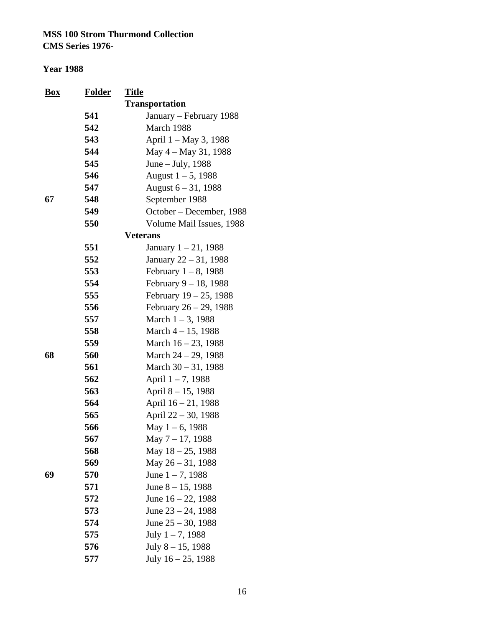| <b>Box</b> | <u>Folder</u> | <b>Title</b>             |
|------------|---------------|--------------------------|
|            |               | <b>Transportation</b>    |
|            | 541           | January – February 1988  |
|            | 542           | March 1988               |
|            | 543           | April 1 – May 3, 1988    |
|            | 544           | May 4 – May 31, 1988     |
|            | 545           | June – July, 1988        |
|            | 546           | August $1 - 5$ , 1988    |
|            | 547           | August $6 - 31$ , 1988   |
| 67         | 548           | September 1988           |
|            | 549           | October – December, 1988 |
|            | 550           | Volume Mail Issues, 1988 |
|            |               | <b>Veterans</b>          |
|            | 551           | January $1 - 21$ , 1988  |
|            | 552           | January 22 – 31, 1988    |
|            | 553           | February $1-8$ , 1988    |
|            | 554           | February 9 - 18, 1988    |
|            | 555           | February 19 - 25, 1988   |
|            | 556           | February 26 - 29, 1988   |
|            | 557           | March $1 - 3$ , 1988     |
|            | 558           | March $4 - 15$ , 1988    |
|            | 559           | March $16 - 23$ , 1988   |
| 68         | 560           | March $24 - 29$ , 1988   |
|            | 561           | March $30 - 31$ , 1988   |
|            | 562           | April 1-7, 1988          |
|            | 563           | April 8 – 15, 1988       |
|            | 564           | April $16 - 21$ , 1988   |
|            | 565           | April $22 - 30$ , 1988   |
|            | 566           | May $1 - 6$ , 1988       |
|            | 567           | May 7 - 17, 1988         |
|            | 568           | May 18 - 25, 1988        |
|            | 569           | May 26 - 31, 1988        |
| 69         | 570           | June $1 - 7$ , 1988      |
|            | 571           | June $8 - 15$ , 1988     |
|            | 572           | June $16 - 22$ , 1988    |
|            | 573           | June $23 - 24$ , 1988    |
|            | 574           | June $25 - 30$ , 1988    |
|            | 575           | July $1 - 7$ , 1988      |
|            | 576           | July 8 - 15, 1988        |
|            | 577           | July $16 - 25$ , 1988    |